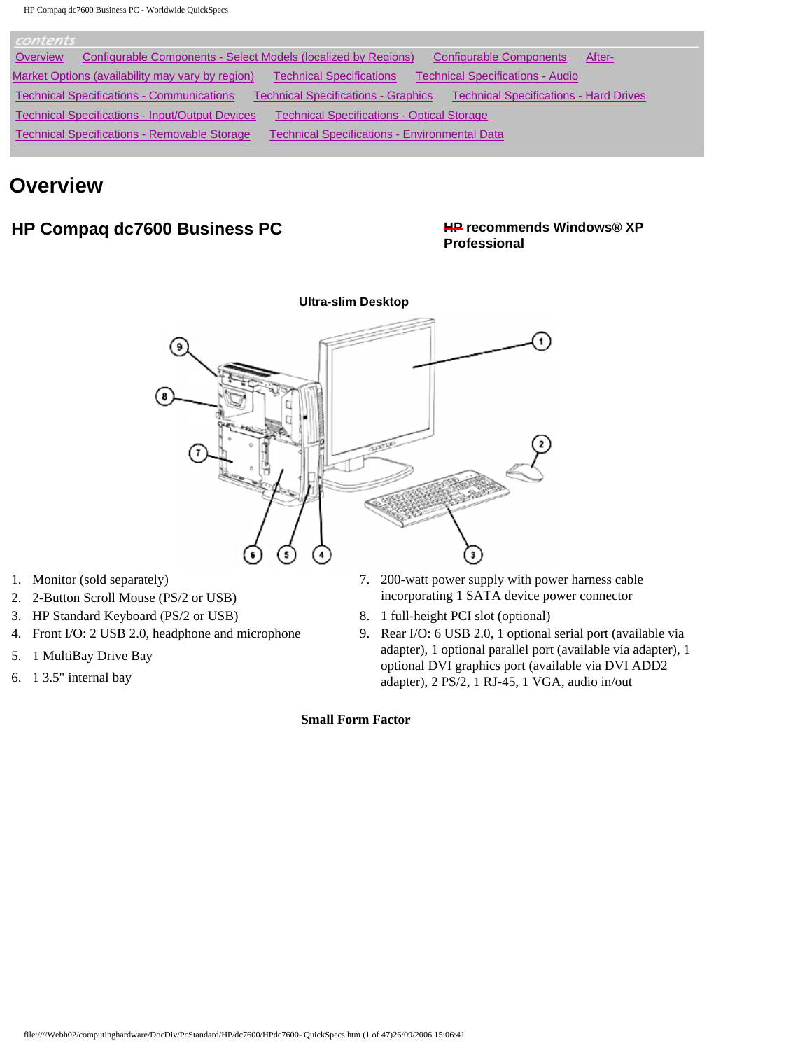| contents                                                                                                                                        |  |
|-------------------------------------------------------------------------------------------------------------------------------------------------|--|
| Configurable Components - Select Models (localized by Regions)<br>Overview<br><b>Configurable Components</b><br>After-                          |  |
| Market Options (availability may vary by region)<br><b>Technical Specifications - Audio</b><br><b>Technical Specifications</b>                  |  |
| <b>Technical Specifications - Communications</b><br><b>Technical Specifications - Hard Drives</b><br><b>Technical Specifications - Graphics</b> |  |
| <b>Technical Specifications - Input/Output Devices</b><br><b>Technical Specifications - Optical Storage</b>                                     |  |
| Technical Specifications - Removable Storage<br><b>Technical Specifications - Environmental Data</b>                                            |  |

## **Overview**

## **HP Compaq dc7600 Business PC HP recommends Windows® XP**

# **Professional**



- 
- 
- 3. HP Standard Keyboard (PS/2 or USB) 8. 1 full-height PCI slot (optional)
- 
- 5. 1 MultiBay Drive Bay
- 6. 1 3.5" internal bay
- 1. Monitor (sold separately) 7. 200-watt power supply with power harness cable 2. 2-Button Scroll Mouse (PS/2 or USB) incorporating 1 SATA device power connector
	-
- 4. Front I/O: 2 USB 2.0, headphone and microphone 9. Rear I/O: 6 USB 2.0, 1 optional serial port (available via adapter), 1 optional parallel port (available via adapter), 1 optional DVI graphics port (available via DVI ADD2 adapter), 2 PS/2, 1 RJ-45, 1 VGA, audio in/out

### **Small Form Factor**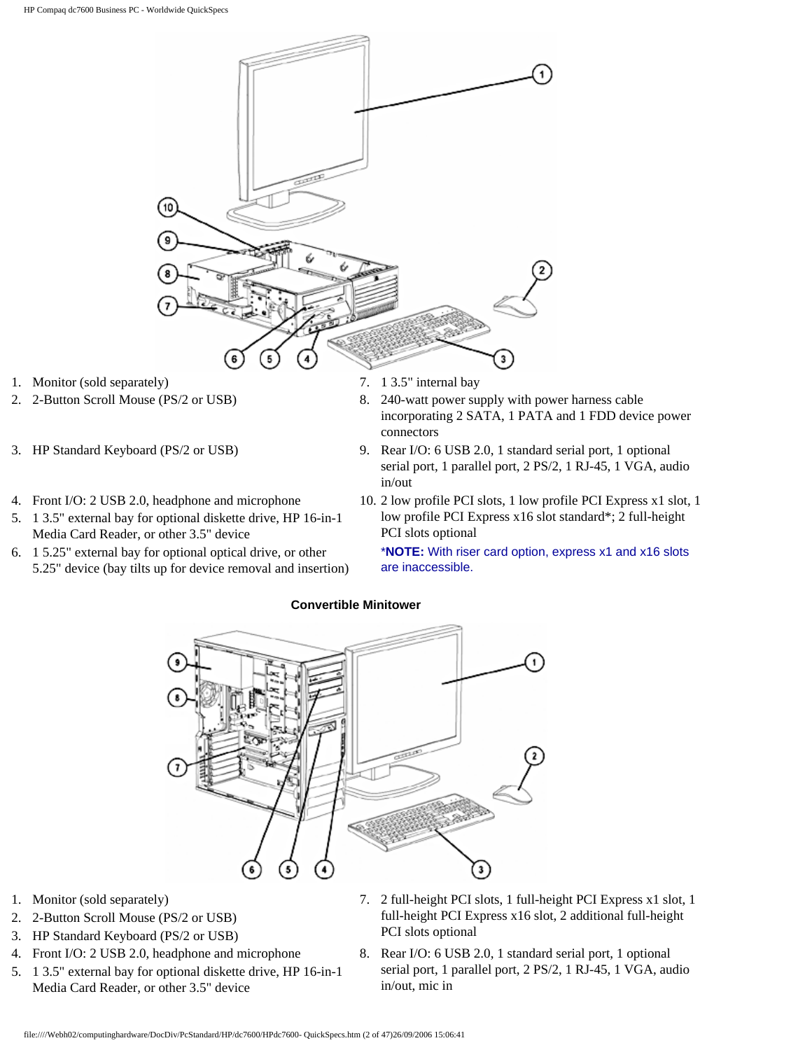

- 
- 
- 
- 5. 1 3.5" external bay for optional diskette drive, HP 16-in-1 Media Card Reader, or other 3.5" device
- 6. 1 5.25" external bay for optional optical drive, or other 5.25" device (bay tilts up for device removal and insertion)
- 
- 2. 2-Button Scroll Mouse (PS/2 or USB) 8. 240-watt power supply with power harness cable incorporating 2 SATA, 1 PATA and 1 FDD device power connectors
- 3. HP Standard Keyboard (PS/2 or USB) 9. Rear I/O: 6 USB 2.0, 1 standard serial port, 1 optional serial port, 1 parallel port, 2 PS/2, 1 RJ-45, 1 VGA, audio in/out
- 4. Front I/O: 2 USB 2.0, headphone and microphone 10. 2 low profile PCI slots, 1 low profile PCI Express x1 slot, 1 low profile PCI Express x16 slot standard\*; 2 full-height PCI slots optional

\***NOTE:** With riser card option, express x1 and x16 slots are inaccessible.



#### **Convertible Minitower**

- 
- 2. 2-Button Scroll Mouse (PS/2 or USB)
- 3. HP Standard Keyboard (PS/2 or USB)
- 
- 5. 1 3.5" external bay for optional diskette drive, HP 16-in-1 Media Card Reader, or other 3.5" device
- 1. Monitor (sold separately) 7. 2 full-height PCI slots, 1 full-height PCI Express x1 slot, 1 full-height PCI Express x16 slot, 2 additional full-height PCI slots optional
- 4. Front I/O: 2 USB 2.0, headphone and microphone 8. Rear I/O: 6 USB 2.0, 1 standard serial port, 1 optional serial port, 1 parallel port, 2 PS/2, 1 RJ-45, 1 VGA, audio in/out, mic in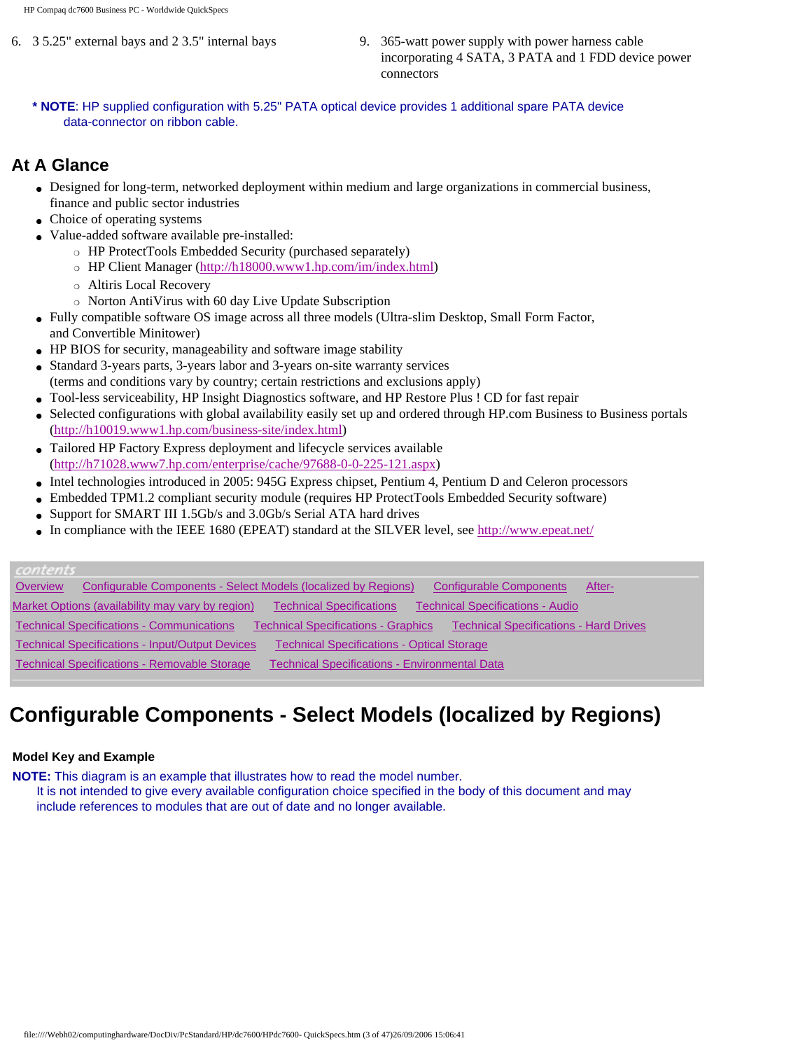- 
- 6. 3 5.25" external bays and 2 3.5" internal bays 9. 365-watt power supply with power harness cable incorporating 4 SATA, 3 PATA and 1 FDD device power connectors
	- **\* NOTE**: HP supplied configuration with 5.25" PATA optical device provides 1 additional spare PATA device data-connector on ribbon cable.

### **At A Glance**

- Designed for long-term, networked deployment within medium and large organizations in commercial business, finance and public sector industries
- Choice of operating systems
- Value-added software available pre-installed:
	- ❍ HP ProtectTools Embedded Security (purchased separately)
	- ❍ HP Client Manager (<http://h18000.www1.hp.com/im/index.html>)
	- o Altiris Local Recovery
	- ❍ Norton AntiVirus with 60 day Live Update Subscription
- Fully compatible software OS image across all three models (Ultra-slim Desktop, Small Form Factor, and Convertible Minitower)
- HP BIOS for security, manageability and software image stability
- Standard 3-years parts, 3-years labor and 3-years on-site warranty services (terms and conditions vary by country; certain restrictions and exclusions apply)
- Tool-less serviceability, HP Insight Diagnostics software, and HP Restore Plus ! CD for fast repair
- Selected configurations with global availability easily set up and ordered through HP.com Business to Business portals (<http://h10019.www1.hp.com/business-site/index.html>)
- Tailored HP Factory Express deployment and lifecycle services available ([http://h71028.www7.hp.com/enterprise/cache/97688-0-0-225-121.aspx\)](http://h71028.www7.hp.com/enterprise/cache/97688-0-0-225-121.aspx)
- Intel technologies introduced in 2005: 945G Express chipset, Pentium 4, Pentium D and Celeron processors
- Embedded TPM1.2 compliant security module (requires HP ProtectTools Embedded Security software)
- Support for SMART III 1.5Gb/s and 3.0Gb/s Serial ATA hard drives
- In compliance with the IEEE 1680 (EPEAT) standard at the SILVER level, see<http://www.epeat.net/>

### contents

| Overview | Configurable Components - Select Models (localized by Regions) |                                                      | <b>Configurable Components</b><br>After-      |  |
|----------|----------------------------------------------------------------|------------------------------------------------------|-----------------------------------------------|--|
|          | Market Options (availability may vary by region)               | <b>Technical Specifications</b>                      | <b>Technical Specifications - Audio</b>       |  |
|          | <b>Technical Specifications - Communications</b>               | <b>Technical Specifications - Graphics</b>           | <b>Technical Specifications - Hard Drives</b> |  |
|          | <b>Technical Specifications - Input/Output Devices</b>         | <b>Technical Specifications - Optical Storage</b>    |                                               |  |
|          | <b>Technical Specifications - Removable Storage</b>            | <b>Technical Specifications - Environmental Data</b> |                                               |  |

## **Configurable Components - Select Models (localized by Regions)**

### **Model Key and Example**

**NOTE:** This diagram is an example that illustrates how to read the model number.

 It is not intended to give every available configuration choice specified in the body of this document and may include references to modules that are out of date and no longer available.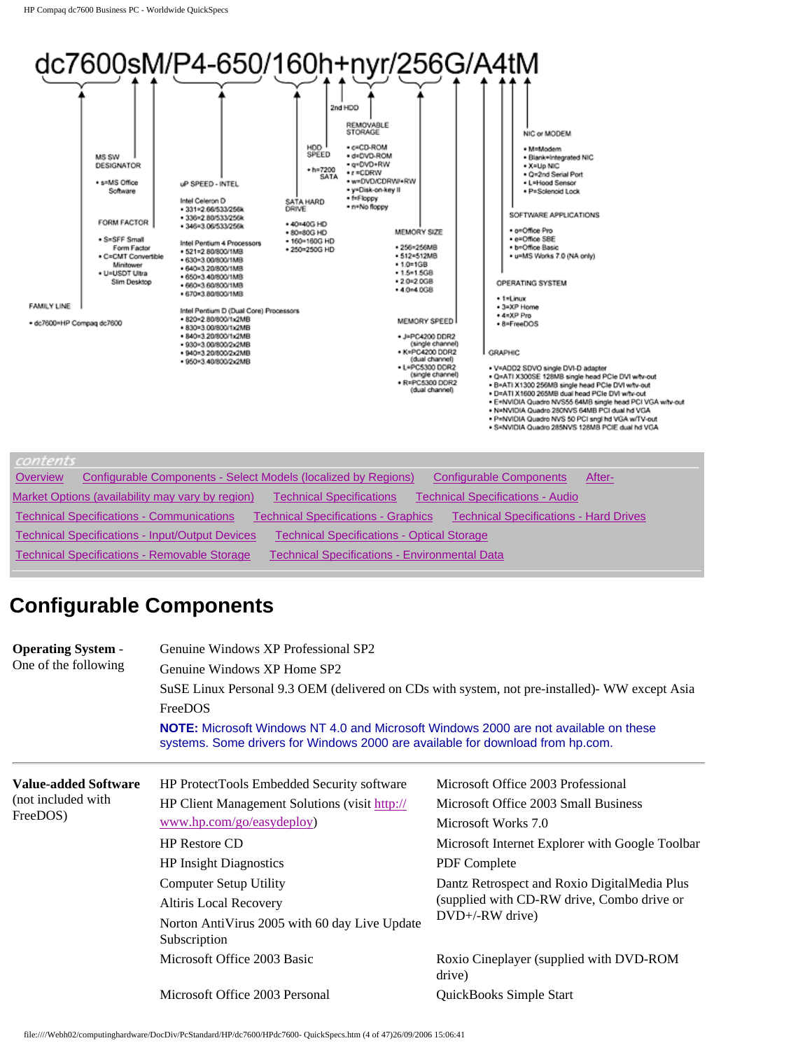

| Overview | Configurable Components - Select Models (localized by Regions) |                                                      | <b>Configurable Components</b><br>After-      |
|----------|----------------------------------------------------------------|------------------------------------------------------|-----------------------------------------------|
|          | Market Options (availability may vary by region)               | <b>Technical Specifications</b>                      | <b>Technical Specifications - Audio</b>       |
|          | <b>Technical Specifications - Communications</b>               | <b>Technical Specifications - Graphics</b>           | <b>Technical Specifications - Hard Drives</b> |
|          | <b>Technical Specifications - Input/Output Devices</b>         | <b>Technical Specifications - Optical Storage</b>    |                                               |
|          | <b>Technical Specifications - Removable Storage</b>            | <b>Technical Specifications - Environmental Data</b> |                                               |

## **Configurable Components**

| <b>Operating System -</b><br>One of the following | Genuine Windows XP Professional SP2<br>Genuine Windows XP Home SP2<br>FreeDOS<br><b>NOTE:</b> Microsoft Windows NT 4.0 and Microsoft Windows 2000 are not available on these<br>systems. Some drivers for Windows 2000 are available for download from hp.com. | SuSE Linux Personal 9.3 OEM (delivered on CDs with system, not pre-installed) WW except Asia |
|---------------------------------------------------|----------------------------------------------------------------------------------------------------------------------------------------------------------------------------------------------------------------------------------------------------------------|----------------------------------------------------------------------------------------------|
| <b>Value-added Software</b><br>(not included with | HP ProtectTools Embedded Security software<br>HP Client Management Solutions (visit http://                                                                                                                                                                    | Microsoft Office 2003 Professional<br>Microsoft Office 2003 Small Business                   |
| FreeDOS)                                          | www.hp.com/go/easydeploy)                                                                                                                                                                                                                                      | Microsoft Works 7.0                                                                          |
|                                                   | <b>HP Restore CD</b>                                                                                                                                                                                                                                           | Microsoft Internet Explorer with Google Toolbar                                              |
|                                                   | <b>HP Insight Diagnostics</b>                                                                                                                                                                                                                                  | PDF Complete                                                                                 |
|                                                   | <b>Computer Setup Utility</b>                                                                                                                                                                                                                                  | Dantz Retrospect and Roxio DigitalMedia Plus                                                 |
|                                                   | Altiris Local Recovery                                                                                                                                                                                                                                         | (supplied with CD-RW drive, Combo drive or                                                   |
|                                                   | Norton AntiVirus 2005 with 60 day Live Update<br>Subscription                                                                                                                                                                                                  | DVD+/-RW drive)                                                                              |
|                                                   | Microsoft Office 2003 Basic                                                                                                                                                                                                                                    | Roxio Cineplayer (supplied with DVD-ROM<br>drive)                                            |
|                                                   | Microsoft Office 2003 Personal                                                                                                                                                                                                                                 | QuickBooks Simple Start                                                                      |

file:////Webh02/computinghardware/DocDiv/PcStandard/HP/dc7600/HPdc7600- QuickSpecs.htm (4 of 47)26/09/2006 15:06:41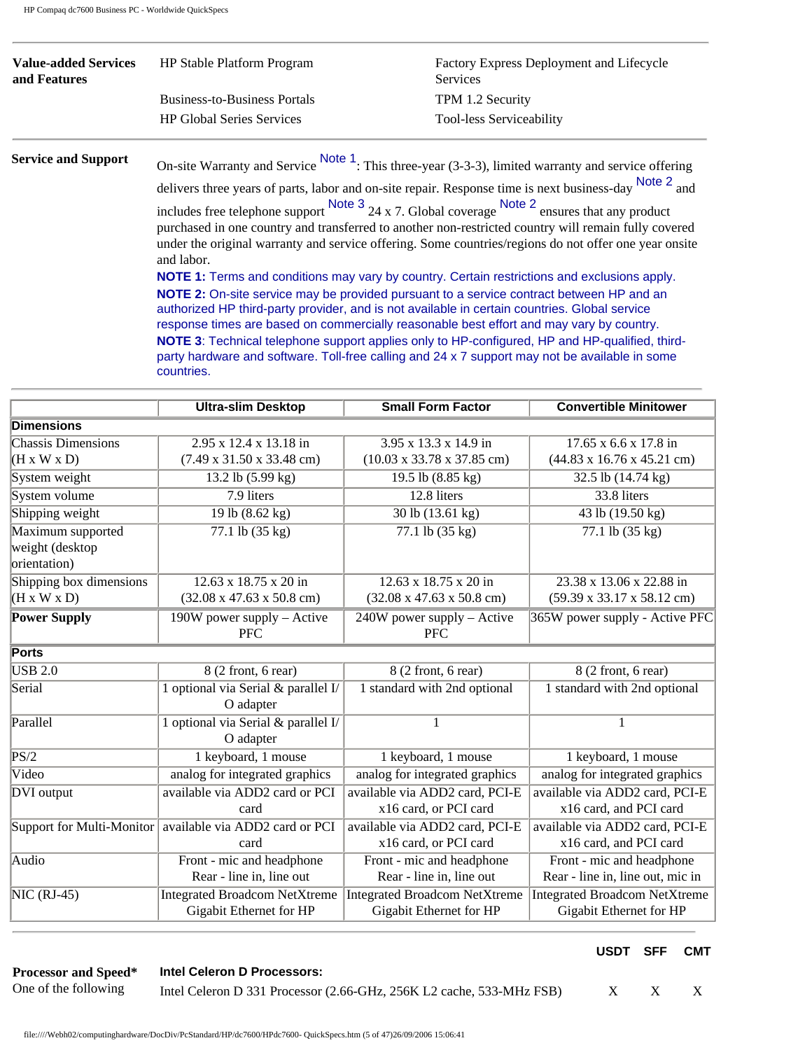| <b>Value-added Services</b><br>and Features | HP Stable Platform Program          | Factory Express Deployment and Lifecycle<br><b>Services</b> |
|---------------------------------------------|-------------------------------------|-------------------------------------------------------------|
|                                             | <b>Business-to-Business Portals</b> | TPM 1.2 Security                                            |
|                                             | <b>HP Global Series Services</b>    | <b>Tool-less Serviceability</b>                             |

**Support** On-site Warranty and Service Note 1: This three-year (3-3-3), limited warranty and service offering

delivers three years of parts, labor and on-site repair. Response time is next business-day Note 2 and includes free telephone support  $\frac{\text{Note 3}}{24 \times 7}$ . Global coverage  $\frac{\text{Note 2}}{\text{ensure that any product}}$ purchased in one country and transferred to another non-restricted country will remain fully covered under the original warranty and service offering. Some countries/regions do not offer one year onsite and labor.

**NOTE 1:** Terms and conditions may vary by country. Certain restrictions and exclusions apply. **NOTE 2:** On-site service may be provided pursuant to a service contract between HP and an authorized HP third-party provider, and is not available in certain countries. Global service response times are based on commercially reasonable best effort and may vary by country. **NOTE 3**: Technical telephone support applies only to HP-configured, HP and HP-qualified, thirdparty hardware and software. Toll-free calling and 24 x 7 support may not be available in some countries.

|                                 | <b>Ultra-slim Desktop</b>                     | <b>Small Form Factor</b>                      | <b>Convertible Minitower</b>                   |
|---------------------------------|-----------------------------------------------|-----------------------------------------------|------------------------------------------------|
| <b>Dimensions</b>               |                                               |                                               |                                                |
| <b>Chassis Dimensions</b>       | 2.95 x 12.4 x 13.18 in                        | 3.95 x 13.3 x 14.9 in                         | 17.65 x 6.6 x 17.8 in                          |
| $(H \times W \times D)$         | $(7.49 \times 31.50 \times 33.48 \text{ cm})$ | $(10.03 \times 33.78 \times 37.85$ cm)        | $(44.83 \times 16.76 \times 45.21$ cm)         |
| System weight                   | 13.2 lb (5.99 kg)                             | 19.5 lb (8.85 kg)                             | 32.5 lb (14.74 kg)                             |
| System volume                   | 7.9 liters                                    | 12.8 liters                                   | 33.8 liters                                    |
| Shipping weight                 | 19 lb (8.62 kg)                               | 30 lb (13.61 kg)                              | 43 lb (19.50 kg)                               |
| Maximum supported               | 77.1 lb (35 kg)                               | 77.1 lb (35 kg)                               | 77.1 lb (35 kg)                                |
| weight (desktop<br>orientation) |                                               |                                               |                                                |
| Shipping box dimensions         | 12.63 x 18.75 x 20 in                         | 12.63 x 18.75 x 20 in                         | 23.38 x 13.06 x 22.88 in                       |
| $(H \times W \times D)$         | $(32.08 \times 47.63 \times 50.8 \text{ cm})$ | $(32.08 \times 47.63 \times 50.8 \text{ cm})$ | $(59.39 \times 33.17 \times 58.12 \text{ cm})$ |
| <b>Power Supply</b>             | $190W$ power supply – Active<br><b>PFC</b>    | $240W$ power supply – Active<br><b>PFC</b>    | 365W power supply - Active PFC                 |
| <b>Ports</b>                    |                                               |                                               |                                                |
| <b>USB 2.0</b>                  | 8 (2 front, 6 rear)                           | 8 (2 front, 6 rear)                           | 8 (2 front, 6 rear)                            |
| Serial                          | 1 optional via Serial & parallel I/           | 1 standard with 2nd optional                  | 1 standard with 2nd optional                   |
|                                 | O adapter                                     |                                               |                                                |
| Parallel                        | 1 optional via Serial & parallel I/           | 1                                             | 1                                              |
|                                 | O adapter                                     |                                               |                                                |
| PS/2                            | 1 keyboard, 1 mouse                           | 1 keyboard, 1 mouse                           | 1 keyboard, 1 mouse                            |
| Video                           | analog for integrated graphics                | analog for integrated graphics                | analog for integrated graphics                 |
| DVI output                      | available via ADD2 card or PCI                | available via ADD2 card, PCI-E                | available via ADD2 card, PCI-E                 |
|                                 | card                                          | x16 card, or PCI card                         | x16 card, and PCI card                         |
| Support for Multi-Monitor       | available via ADD2 card or PCI                | available via ADD2 card, PCI-E                | available via ADD2 card, PCI-E                 |
|                                 | card                                          | x16 card, or PCI card                         | x16 card, and PCI card                         |
| Audio                           | Front - mic and headphone                     | Front - mic and headphone                     | Front - mic and headphone                      |
|                                 | Rear - line in, line out                      | Rear - line in, line out                      | Rear - line in, line out, mic in               |
| $NIC (RJ-45)$                   | <b>Integrated Broadcom NetXtreme</b>          | <b>Integrated Broadcom NetXtreme</b>          | <b>Integrated Broadcom NetXtreme</b>           |
|                                 | Gigabit Ethernet for HP                       | Gigabit Ethernet for HP                       | Gigabit Ethernet for HP                        |

### **USDT SFF CMT**

### **Intel Celeron D Processors:**

**Processor and Speed\*** One of the following

Intel Celeron D 331 Processor (2.66-GHz, 256K L2 cache, 533-MHz FSB) X X X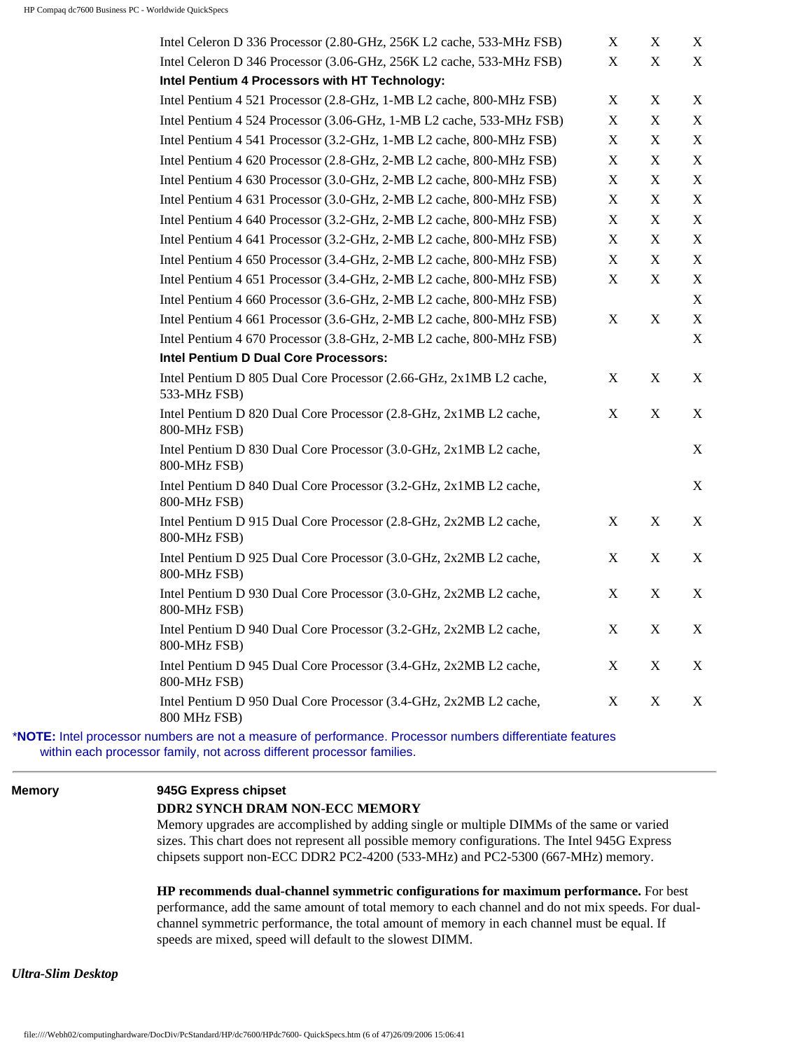| Intel Celeron D 336 Processor (2.80-GHz, 256K L2 cache, 533-MHz FSB)                                      | X           | X           | X           |
|-----------------------------------------------------------------------------------------------------------|-------------|-------------|-------------|
| Intel Celeron D 346 Processor (3.06-GHz, 256K L2 cache, 533-MHz FSB)                                      | X           | X           | X           |
| Intel Pentium 4 Processors with HT Technology:                                                            |             |             |             |
| Intel Pentium 4 521 Processor (2.8-GHz, 1-MB L2 cache, 800-MHz FSB)                                       | X           | X           | X           |
| Intel Pentium 4 524 Processor (3.06-GHz, 1-MB L2 cache, 533-MHz FSB)                                      | X           | X           | $\mathbf X$ |
| Intel Pentium 4 541 Processor (3.2-GHz, 1-MB L2 cache, 800-MHz FSB)                                       | X           | X           | $\mathbf X$ |
| Intel Pentium 4 620 Processor (2.8-GHz, 2-MB L2 cache, 800-MHz FSB)                                       | X           | X           | $\mathbf X$ |
| Intel Pentium 4 630 Processor (3.0-GHz, 2-MB L2 cache, 800-MHz FSB)                                       | X           | X           | $\mathbf X$ |
| Intel Pentium 4 631 Processor (3.0-GHz, 2-MB L2 cache, 800-MHz FSB)                                       | X           | X           | $\mathbf X$ |
| Intel Pentium 4 640 Processor (3.2-GHz, 2-MB L2 cache, 800-MHz FSB)                                       | X           | X           | X           |
| Intel Pentium 4 641 Processor (3.2-GHz, 2-MB L2 cache, 800-MHz FSB)                                       | X           | X           | $\mathbf X$ |
| Intel Pentium 4 650 Processor (3.4-GHz, 2-MB L2 cache, 800-MHz FSB)                                       | X           | X           | X           |
| Intel Pentium 4 651 Processor (3.4-GHz, 2-MB L2 cache, 800-MHz FSB)                                       | X           | X           | $\mathbf X$ |
| Intel Pentium 4 660 Processor (3.6-GHz, 2-MB L2 cache, 800-MHz FSB)                                       |             |             | $\mathbf X$ |
| Intel Pentium 4 661 Processor (3.6-GHz, 2-MB L2 cache, 800-MHz FSB)                                       | X           | X           | $\mathbf X$ |
| Intel Pentium 4 670 Processor (3.8-GHz, 2-MB L2 cache, 800-MHz FSB)                                       |             |             | X           |
| Intel Pentium D Dual Core Processors:                                                                     |             |             |             |
| Intel Pentium D 805 Dual Core Processor (2.66-GHz, 2x1MB L2 cache,<br>533-MHz FSB)                        | X           | X           | X           |
| Intel Pentium D 820 Dual Core Processor (2.8-GHz, 2x1MB L2 cache,<br>800-MHz FSB)                         | X           | X           | X           |
| Intel Pentium D 830 Dual Core Processor (3.0-GHz, 2x1MB L2 cache,<br>800-MHz FSB)                         |             |             | X           |
| Intel Pentium D 840 Dual Core Processor (3.2-GHz, 2x1MB L2 cache,<br>800-MHz FSB)                         |             |             | X           |
| Intel Pentium D 915 Dual Core Processor (2.8-GHz, 2x2MB L2 cache,<br>800-MHz FSB)                         | X           | X           | X           |
| Intel Pentium D 925 Dual Core Processor (3.0-GHz, 2x2MB L2 cache,<br>800-MHz FSB)                         | X           | X           | X           |
| Intel Pentium D 930 Dual Core Processor (3.0-GHz, 2x2MB L2 cache,<br>800-MHz FSB)                         | X           | X           | X           |
| Intel Pentium D 940 Dual Core Processor (3.2-GHz, 2x2MB L2 cache,<br>800-MHz FSB)                         | $\mathbf X$ | $\mathbf X$ | X           |
| Intel Pentium D 945 Dual Core Processor (3.4-GHz, 2x2MB L2 cache,<br>800-MHz FSB)                         | X           | X           | X           |
| Intel Pentium D 950 Dual Core Processor (3.4-GHz, 2x2MB L2 cache,<br>800 MHz FSB)                         | X           | X           | X           |
| *NOTE: Intel processor numbers are not a measure of performance. Processor numbers differentiate features |             |             |             |

within each processor family, not across different processor families.

#### **Memory 945G Express chipset**

#### **DDR2 SYNCH DRAM NON-ECC MEMORY**

Memory upgrades are accomplished by adding single or multiple DIMMs of the same or varied sizes. This chart does not represent all possible memory configurations. The Intel 945G Express chipsets support non-ECC DDR2 PC2-4200 (533-MHz) and PC2-5300 (667-MHz) memory.

**HP recommends dual-channel symmetric configurations for maximum performance.** For best performance, add the same amount of total memory to each channel and do not mix speeds. For dualchannel symmetric performance, the total amount of memory in each channel must be equal. If speeds are mixed, speed will default to the slowest DIMM.

*Ultra-Slim Desktop*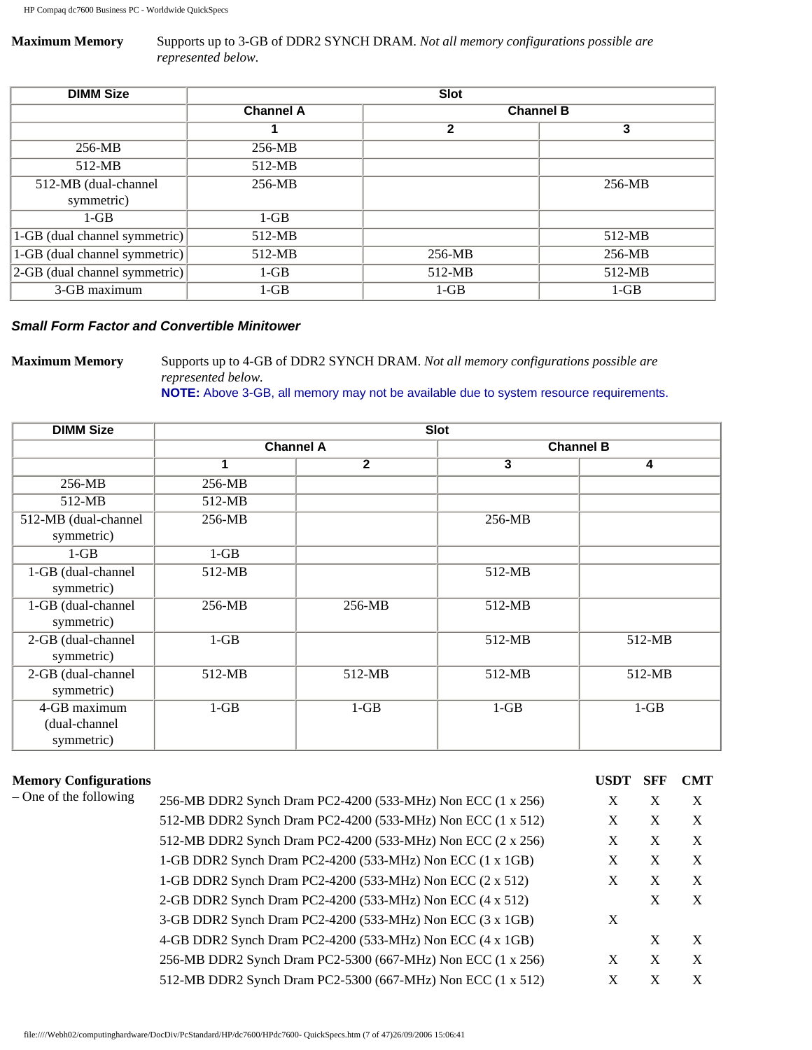### **Maximum Memory** Supports up to 3-GB of DDR2 SYNCH DRAM. *Not all memory configurations possible are represented below.*

| <b>DIMM Size</b>                  | <b>Slot</b>      |                  |          |
|-----------------------------------|------------------|------------------|----------|
|                                   | <b>Channel A</b> | <b>Channel B</b> |          |
|                                   |                  | $\mathbf 2$      | 3        |
| 256-MB                            | 256-MB           |                  |          |
| 512-MB                            | $512-MB$         |                  |          |
| 512-MB (dual-channel              | $256-MB$         |                  | $256-MB$ |
| symmetric)                        |                  |                  |          |
| $1-GB$                            | $1-GB$           |                  |          |
| 1-GB (dual channel symmetric)     | $512-MB$         |                  | $512-MB$ |
| 1-GB (dual channel symmetric)     | $512-MB$         | 256-MB           | $256-MB$ |
| $ 2$ -GB (dual channel symmetric) | $1-GB$           | $512-MB$         | $512-MB$ |
| 3-GB maximum                      | $1-GB$           | $1-GB$           | $1-GB$   |

### *Small Form Factor and Convertible Minitower*

**Maximum Memory** Supports up to 4-GB of DDR2 SYNCH DRAM. *Not all memory configurations possible are represented below.*

**NOTE:** Above 3-GB, all memory may not be available due to system resource requirements.

| <b>DIMM Size</b>                            | <b>Slot</b>      |                |                  |          |
|---------------------------------------------|------------------|----------------|------------------|----------|
|                                             | <b>Channel A</b> |                | <b>Channel B</b> |          |
|                                             | 1                | $\overline{2}$ | 3                | 4        |
| 256-MB                                      | 256-MB           |                |                  |          |
| 512-MB                                      | 512-MB           |                |                  |          |
| 512-MB (dual-channel<br>symmetric)          | 256-MB           |                | 256-MB           |          |
| $1-GB$                                      | $1-GB$           |                |                  |          |
| 1-GB (dual-channel<br>symmetric)            | $512-MB$         |                | 512-MB           |          |
| 1-GB (dual-channel<br>symmetric)            | 256-MB           | 256-MB         | 512-MB           |          |
| 2-GB (dual-channel<br>symmetric)            | $1-GB$           |                | 512-MB           | $512-MB$ |
| 2-GB (dual-channel<br>symmetric)            | 512-MB           | 512-MB         | 512-MB           | 512-MB   |
| 4-GB maximum<br>(dual-channel<br>symmetric) | $1-GB$           | $1-GB$         | $1-GB$           | $1-GB$   |

| <b>Memory Configurations</b> |                                                             | <b>USDT</b> | <b>SFF</b> | <b>CMT</b>                |
|------------------------------|-------------------------------------------------------------|-------------|------------|---------------------------|
| – One of the following       | 256-MB DDR2 Synch Dram PC2-4200 (533-MHz) Non ECC (1 x 256) | X           | X          | X                         |
|                              | 512-MB DDR2 Synch Dram PC2-4200 (533-MHz) Non ECC (1 x 512) | X           | X          | $\boldsymbol{\mathrm{X}}$ |
|                              | 512-MB DDR2 Synch Dram PC2-4200 (533-MHz) Non ECC (2 x 256) | X           | X          | $\boldsymbol{\mathrm{X}}$ |
|                              | 1-GB DDR2 Synch Dram PC2-4200 (533-MHz) Non ECC (1 x 1GB)   | X           | X          | $\boldsymbol{X}$          |
|                              | 1-GB DDR2 Synch Dram PC2-4200 (533-MHz) Non ECC (2 x 512)   | X           | X          | X                         |
|                              | 2-GB DDR2 Synch Dram PC2-4200 (533-MHz) Non ECC (4 x 512)   |             | X          | X                         |
|                              | 3-GB DDR2 Synch Dram PC2-4200 (533-MHz) Non ECC (3 x 1GB)   | X           |            |                           |
|                              | 4-GB DDR2 Synch Dram PC2-4200 (533-MHz) Non ECC (4 x 1GB)   |             | X          | X                         |
|                              | 256-MB DDR2 Synch Dram PC2-5300 (667-MHz) Non ECC (1 x 256) | X           | X          | X                         |
|                              | 512-MB DDR2 Synch Dram PC2-5300 (667-MHz) Non ECC (1 x 512) | X           | X          | X                         |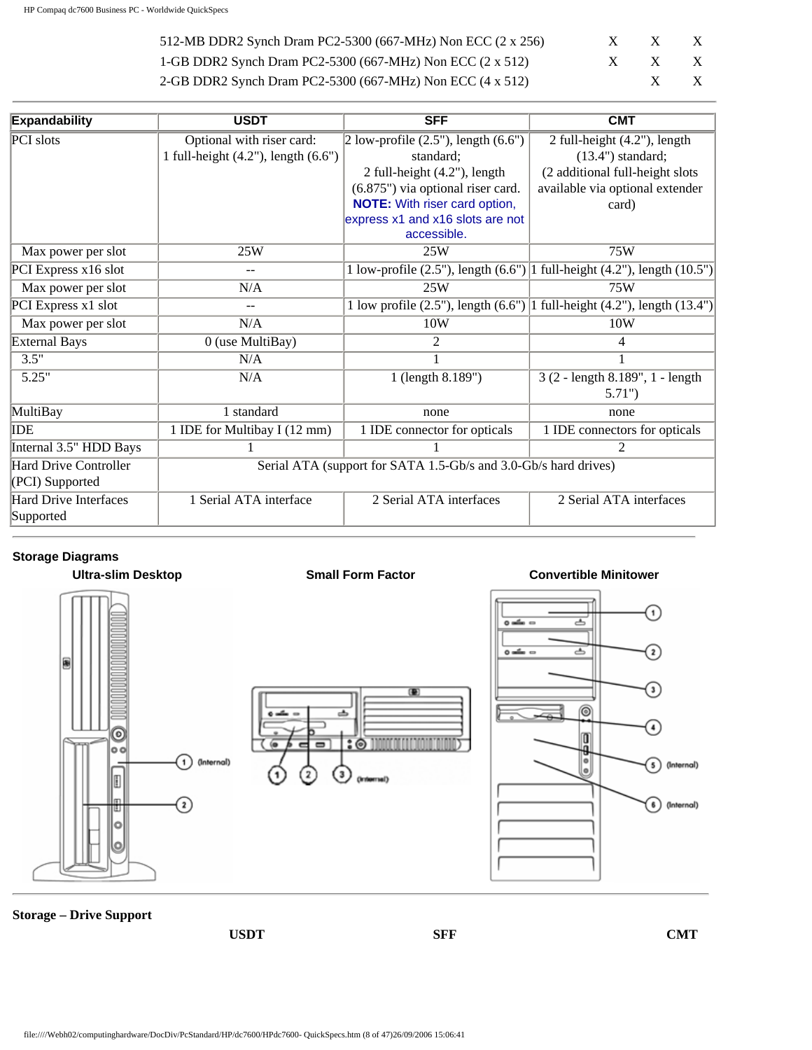| 512-MB DDR2 Synch Dram PC2-5300 (667-MHz) Non ECC $(2 \times 256)$ | X | X                     | X            |
|--------------------------------------------------------------------|---|-----------------------|--------------|
| 1-GB DDR2 Synch Dram PC2-5300 (667-MHz) Non ECC $(2 \times 512)$   |   | $X \times X \times X$ |              |
| 2-GB DDR2 Synch Dram PC2-5300 (667-MHz) Non ECC (4 x 512)          |   |                       | $\mathbf{X}$ |

| <b>Expandability</b>   | <b>USDT</b>                            | <b>SFF</b>                                                      | <b>CMT</b>                                                                       |
|------------------------|----------------------------------------|-----------------------------------------------------------------|----------------------------------------------------------------------------------|
| PCI slots              | Optional with riser card:              | $2$ low-profile $(2.5)$ , length $(6.6)$                        | $\overline{2}$ full-height (4.2"), length                                        |
|                        | 1 full-height $(4.2)$ , length $(6.6)$ | standard:                                                       | $(13.4")$ standard;                                                              |
|                        |                                        | 2 full-height (4.2"), length                                    | (2 additional full-height slots)                                                 |
|                        |                                        | (6.875") via optional riser card.                               | available via optional extender                                                  |
|                        |                                        | <b>NOTE:</b> With riser card option,                            | card)                                                                            |
|                        |                                        | express x1 and x16 slots are not                                |                                                                                  |
|                        |                                        | accessible.                                                     |                                                                                  |
| Max power per slot     | 25W                                    | 25W                                                             | 75W                                                                              |
| PCI Express x16 slot   |                                        |                                                                 | 1 low-profile $(2.5)$ , length $(6.6)$ ] full-height $(4.2)$ , length $(10.5)$ ] |
| Max power per slot     | N/A                                    | 25W                                                             | 75W                                                                              |
| PCI Express x1 slot    |                                        |                                                                 | 1 low profile $(2.5)$ , length $(6.6)$   1 full-height $(4.2)$ , length $(13.4)$ |
| Max power per slot     | N/A                                    | 10W                                                             | 10W                                                                              |
| <b>External Bays</b>   | $0$ (use MultiBay)                     | 2                                                               |                                                                                  |
| 3.5"                   | N/A                                    |                                                                 |                                                                                  |
| 5.25"                  | N/A                                    | 1 (length 8.189")                                               | 3 (2 - length 8.189", 1 - length                                                 |
|                        |                                        |                                                                 | $5.71$ ")                                                                        |
| MultiBay               | 1 standard                             | none                                                            | none                                                                             |
| IDE                    | 1 IDE for Multibay I (12 mm)           | 1 IDE connector for opticals                                    | 1 IDE connectors for opticals                                                    |
| Internal 3.5" HDD Bays |                                        |                                                                 | 2                                                                                |
| Hard Drive Controller  |                                        | Serial ATA (support for SATA 1.5-Gb/s and 3.0-Gb/s hard drives) |                                                                                  |
| (PCI) Supported        |                                        |                                                                 |                                                                                  |
| Hard Drive Interfaces  | 1 Serial ATA interface                 | 2 Serial ATA interfaces                                         | 2 Serial ATA interfaces                                                          |
| Supported              |                                        |                                                                 |                                                                                  |

### **Storage Diagrams**



**Storage – Drive Support**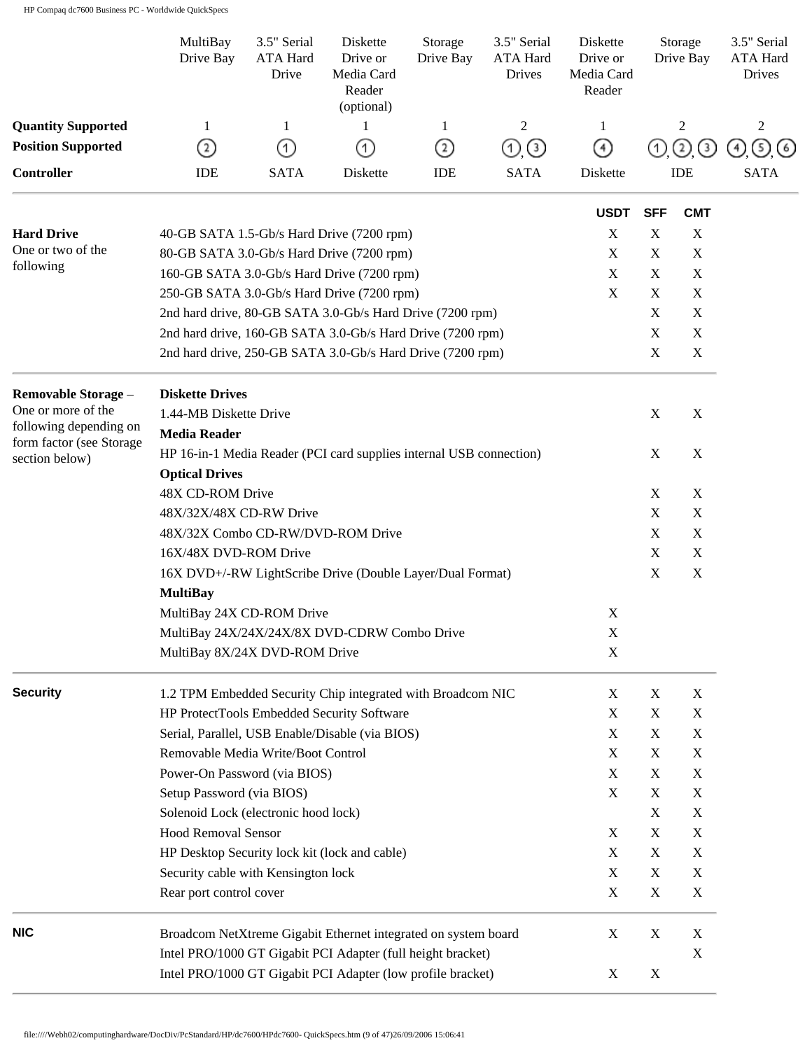|                                                    | MultiBay<br>Drive Bay                                                                        | 3.5" Serial<br>ATA Hard<br>Drive | Diskette<br>Drive or<br>Media Card<br>Reader<br>(optional) | Storage<br>Drive Bay | 3.5" Serial<br>ATA Hard<br>Drives | Diskette<br>Drive or<br>Media Card<br>Reader |                           | Storage<br>Drive Bay | 3.5" Serial<br>ATA Hard<br><b>Drives</b> |
|----------------------------------------------------|----------------------------------------------------------------------------------------------|----------------------------------|------------------------------------------------------------|----------------------|-----------------------------------|----------------------------------------------|---------------------------|----------------------|------------------------------------------|
| <b>Quantity Supported</b>                          | 1                                                                                            | 1                                | 1                                                          | 1                    | $\overline{2}$                    | 1                                            |                           | 2                    | $\overline{c}$                           |
| <b>Position Supported</b>                          | ②                                                                                            | (1)                              | (1)                                                        | ②                    | O (3)                             | ④                                            | ➀                         | $\circled{2}$<br>☉   | <sub>(5)</sub><br>(4)<br>$\circ$         |
| <b>Controller</b>                                  | IDE                                                                                          | <b>SATA</b>                      | Diskette                                                   | IDE                  | <b>SATA</b>                       | Diskette                                     |                           | <b>IDE</b>           | <b>SATA</b>                              |
|                                                    |                                                                                              |                                  |                                                            |                      |                                   | <b>USDT</b>                                  | <b>SFF</b>                | <b>CMT</b>           |                                          |
| <b>Hard Drive</b>                                  | 40-GB SATA 1.5-Gb/s Hard Drive (7200 rpm)                                                    |                                  |                                                            |                      |                                   | $\mathbf X$                                  | X                         | $\mathbf X$          |                                          |
| One or two of the                                  | 80-GB SATA 3.0-Gb/s Hard Drive (7200 rpm)                                                    |                                  |                                                            |                      |                                   | $\mathbf X$                                  | $\boldsymbol{\mathrm{X}}$ | $\mathbf X$          |                                          |
| following                                          | 160-GB SATA 3.0-Gb/s Hard Drive (7200 rpm)                                                   |                                  |                                                            |                      |                                   | $\mathbf X$                                  | $\mathbf X$               | $\mathbf X$          |                                          |
|                                                    | 250-GB SATA 3.0-Gb/s Hard Drive (7200 rpm)                                                   |                                  |                                                            |                      |                                   | $\mathbf X$                                  | X                         | X                    |                                          |
|                                                    | 2nd hard drive, 80-GB SATA 3.0-Gb/s Hard Drive (7200 rpm)                                    |                                  |                                                            |                      |                                   |                                              | X                         | $\mathbf X$          |                                          |
|                                                    | 2nd hard drive, 160-GB SATA 3.0-Gb/s Hard Drive (7200 rpm)                                   |                                  |                                                            |                      |                                   |                                              | X                         | X                    |                                          |
|                                                    | 2nd hard drive, 250-GB SATA 3.0-Gb/s Hard Drive (7200 rpm)                                   |                                  |                                                            |                      |                                   |                                              | X                         | $\mathbf X$          |                                          |
| Removable Storage -<br>One or more of the          | <b>Diskette Drives</b>                                                                       |                                  |                                                            |                      |                                   |                                              |                           |                      |                                          |
| following depending on<br>form factor (see Storage | 1.44-MB Diskette Drive<br><b>Media Reader</b>                                                |                                  |                                                            |                      |                                   |                                              | X                         | $\mathbf X$          |                                          |
| section below)                                     | HP 16-in-1 Media Reader (PCI card supplies internal USB connection)<br><b>Optical Drives</b> |                                  |                                                            |                      |                                   |                                              | X                         | X                    |                                          |
|                                                    | 48X CD-ROM Drive                                                                             |                                  |                                                            |                      |                                   |                                              | X                         | $\mathbf X$          |                                          |
|                                                    | 48X/32X/48X CD-RW Drive                                                                      |                                  |                                                            |                      |                                   |                                              | X                         | X                    |                                          |
|                                                    | 48X/32X Combo CD-RW/DVD-ROM Drive                                                            |                                  |                                                            |                      |                                   |                                              | X                         | X                    |                                          |
|                                                    | 16X/48X DVD-ROM Drive                                                                        |                                  |                                                            |                      |                                   |                                              | $\boldsymbol{\mathrm{X}}$ | $\mathbf X$          |                                          |
|                                                    | 16X DVD+/-RW LightScribe Drive (Double Layer/Dual Format)                                    |                                  |                                                            |                      |                                   |                                              | X                         | X                    |                                          |
|                                                    | <b>MultiBay</b>                                                                              |                                  |                                                            |                      |                                   |                                              |                           |                      |                                          |
|                                                    | MultiBay 24X CD-ROM Drive                                                                    |                                  |                                                            |                      |                                   | X                                            |                           |                      |                                          |
|                                                    | MultiBay 24X/24X/24X/8X DVD-CDRW Combo Drive                                                 |                                  |                                                            |                      |                                   | $\mathbf X$                                  |                           |                      |                                          |
|                                                    | MultiBay 8X/24X DVD-ROM Drive                                                                |                                  |                                                            |                      |                                   | $\mathbf X$                                  |                           |                      |                                          |
| <b>Security</b>                                    | 1.2 TPM Embedded Security Chip integrated with Broadcom NIC                                  |                                  |                                                            |                      |                                   | X                                            | X                         | X                    |                                          |
|                                                    | HP ProtectTools Embedded Security Software                                                   |                                  |                                                            |                      |                                   | X                                            | X                         | X                    |                                          |
|                                                    | Serial, Parallel, USB Enable/Disable (via BIOS)                                              |                                  |                                                            |                      |                                   | X                                            | X                         | X                    |                                          |
|                                                    | Removable Media Write/Boot Control                                                           |                                  |                                                            |                      |                                   | X                                            | X                         | X                    |                                          |
|                                                    | Power-On Password (via BIOS)                                                                 |                                  |                                                            |                      |                                   | X                                            | X                         | $\mathbf X$          |                                          |
|                                                    | Setup Password (via BIOS)                                                                    |                                  |                                                            |                      |                                   | X                                            | X                         | X                    |                                          |
|                                                    | Solenoid Lock (electronic hood lock)                                                         |                                  |                                                            |                      |                                   |                                              | X                         | X                    |                                          |
|                                                    | <b>Hood Removal Sensor</b>                                                                   |                                  |                                                            |                      |                                   | X                                            | X                         | X                    |                                          |
|                                                    | HP Desktop Security lock kit (lock and cable)                                                |                                  |                                                            |                      |                                   | X                                            | X                         | $\mathbf X$          |                                          |
|                                                    | Security cable with Kensington lock                                                          |                                  |                                                            |                      |                                   | X                                            | X                         | X                    |                                          |
|                                                    | Rear port control cover                                                                      |                                  |                                                            |                      |                                   | X                                            | X                         | X                    |                                          |
| <b>NIC</b>                                         | Broadcom NetXtreme Gigabit Ethernet integrated on system board                               |                                  |                                                            |                      |                                   | X                                            | X                         | X                    |                                          |
|                                                    | Intel PRO/1000 GT Gigabit PCI Adapter (full height bracket)                                  |                                  |                                                            |                      |                                   |                                              |                           | X                    |                                          |
|                                                    | Intel PRO/1000 GT Gigabit PCI Adapter (low profile bracket)                                  |                                  |                                                            |                      |                                   | X                                            | X                         |                      |                                          |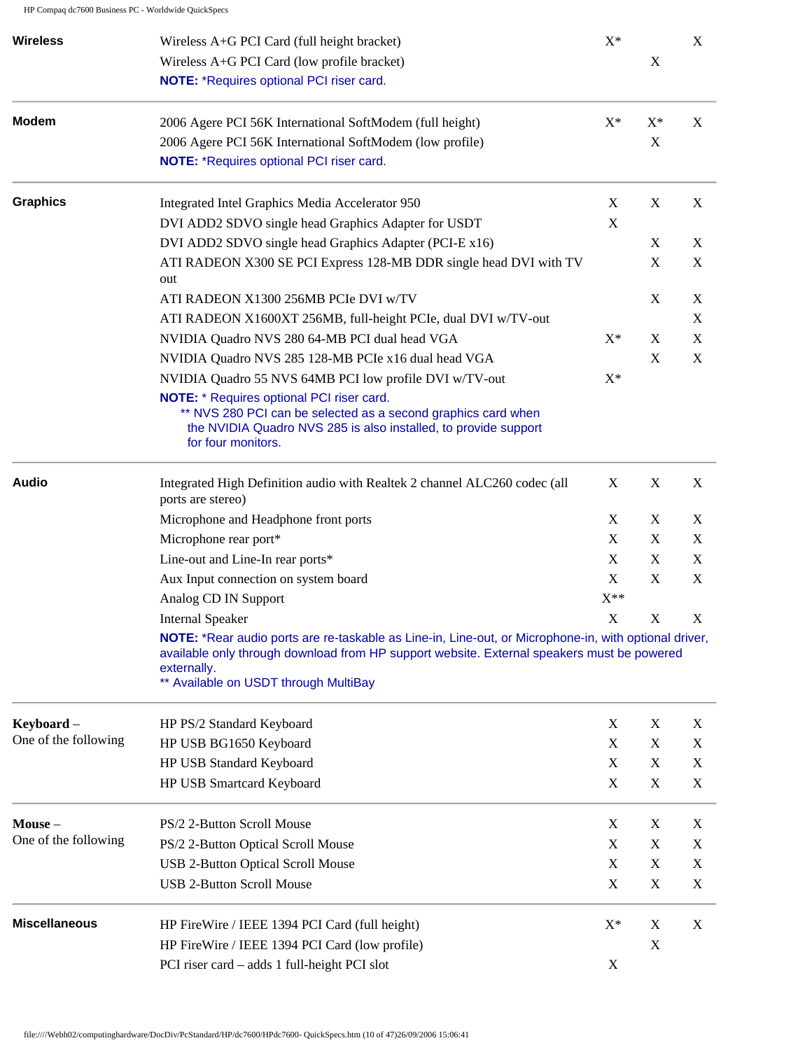| X           |             | $X^*$                     | <b>Wireless</b><br>Wireless A+G PCI Card (full height bracket)                                                                                                                                                                                              |
|-------------|-------------|---------------------------|-------------------------------------------------------------------------------------------------------------------------------------------------------------------------------------------------------------------------------------------------------------|
|             | $\mathbf X$ |                           | Wireless A+G PCI Card (low profile bracket)                                                                                                                                                                                                                 |
|             |             |                           | NOTE: *Requires optional PCI riser card.                                                                                                                                                                                                                    |
| X           | $X^*$       | $X^*$                     | <b>Modem</b><br>2006 Agere PCI 56K International SoftModem (full height)                                                                                                                                                                                    |
|             | X           |                           | 2006 Agere PCI 56K International SoftModem (low profile)                                                                                                                                                                                                    |
|             |             |                           | NOTE: *Requires optional PCI riser card.                                                                                                                                                                                                                    |
| X           | X           | X                         | <b>Graphics</b><br>Integrated Intel Graphics Media Accelerator 950                                                                                                                                                                                          |
|             |             | X                         | DVI ADD2 SDVO single head Graphics Adapter for USDT                                                                                                                                                                                                         |
| X           | X           |                           | DVI ADD2 SDVO single head Graphics Adapter (PCI-E x16)                                                                                                                                                                                                      |
| X           | X           |                           | ATI RADEON X300 SE PCI Express 128-MB DDR single head DVI with TV<br>out                                                                                                                                                                                    |
| X           | X           |                           | ATI RADEON X1300 256MB PCIe DVI w/TV                                                                                                                                                                                                                        |
| X           |             |                           | ATI RADEON X1600XT 256MB, full-height PCIe, dual DVI w/TV-out                                                                                                                                                                                               |
| X           | X           | $X^*$                     | NVIDIA Quadro NVS 280 64-MB PCI dual head VGA                                                                                                                                                                                                               |
| X           | X           |                           | NVIDIA Quadro NVS 285 128-MB PCIe x16 dual head VGA                                                                                                                                                                                                         |
|             |             | $X^*$                     | NVIDIA Quadro 55 NVS 64MB PCI low profile DVI w/TV-out                                                                                                                                                                                                      |
|             |             |                           | <b>NOTE:</b> * Requires optional PCI riser card.<br>** NVS 280 PCI can be selected as a second graphics card when<br>the NVIDIA Quadro NVS 285 is also installed, to provide support<br>for four monitors.                                                  |
| X           | $\mathbf X$ | X                         | <b>Audio</b><br>Integrated High Definition audio with Realtek 2 channel ALC260 codec (all<br>ports are stereo)                                                                                                                                              |
| X           | X           | X                         | Microphone and Headphone front ports                                                                                                                                                                                                                        |
| X           | $\mathbf X$ | $\boldsymbol{\mathrm{X}}$ | Microphone rear port*                                                                                                                                                                                                                                       |
| X           | X           | X                         | Line-out and Line-In rear ports*                                                                                                                                                                                                                            |
| X           | X           | X                         | Aux Input connection on system board                                                                                                                                                                                                                        |
|             |             | $X^{\ast\ast}$            | Analog CD IN Support                                                                                                                                                                                                                                        |
| X           | X           | X                         | <b>Internal Speaker</b>                                                                                                                                                                                                                                     |
|             |             |                           | NOTE: *Rear audio ports are re-taskable as Line-in, Line-out, or Microphone-in, with optional driver,<br>available only through download from HP support website. External speakers must be powered<br>externally.<br>** Available on USDT through MultiBay |
| X           | $\mathbf X$ | X                         | Keyboard -<br>HP PS/2 Standard Keyboard                                                                                                                                                                                                                     |
| X           | $\mathbf X$ | X                         | One of the following<br>HP USB BG1650 Keyboard                                                                                                                                                                                                              |
| X           | X           | $\mathbf X$               | HP USB Standard Keyboard                                                                                                                                                                                                                                    |
| $\mathbf X$ | $\mathbf X$ | $\mathbf X$               | HP USB Smartcard Keyboard                                                                                                                                                                                                                                   |
| X           | X           | X                         | PS/2 2-Button Scroll Mouse<br>Mouse-                                                                                                                                                                                                                        |
| X           | X           | X                         | PS/2 2-Button Optical Scroll Mouse                                                                                                                                                                                                                          |
| X           | X           | X                         | <b>USB 2-Button Optical Scroll Mouse</b>                                                                                                                                                                                                                    |
| $\mathbf X$ | $\mathbf X$ | X                         | <b>USB 2-Button Scroll Mouse</b>                                                                                                                                                                                                                            |
| $\mathbf X$ | X           | $X^*$                     | <b>Miscellaneous</b><br>HP FireWire / IEEE 1394 PCI Card (full height)                                                                                                                                                                                      |
|             | $\mathbf X$ |                           | HP FireWire / IEEE 1394 PCI Card (low profile)                                                                                                                                                                                                              |
|             |             | X                         | PCI riser card - adds 1 full-height PCI slot                                                                                                                                                                                                                |
|             |             |                           | One of the following                                                                                                                                                                                                                                        |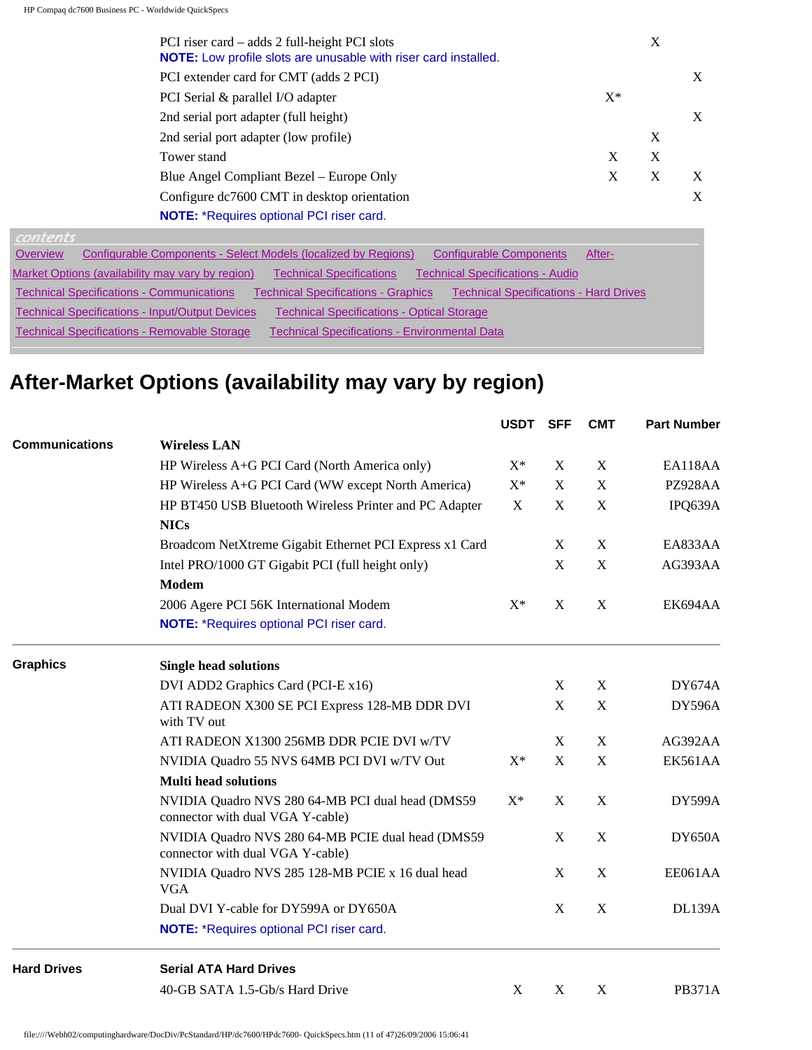| PCI riser card – adds 2 full-height PCI slots<br>NOTE: Low profile slots are unusable with riser card installed. |       | X |   |
|------------------------------------------------------------------------------------------------------------------|-------|---|---|
| PCI extender card for CMT (adds 2 PCI)                                                                           |       |   | X |
| PCI Serial & parallel I/O adapter                                                                                | $X^*$ |   |   |
| 2nd serial port adapter (full height)                                                                            |       |   | X |
| 2nd serial port adapter (low profile)                                                                            |       | X |   |
| Tower stand                                                                                                      | X     | X |   |
| Blue Angel Compliant Bezel – Europe Only                                                                         | X     | X | X |
| Configure dc7600 CMT in desktop orientation                                                                      |       |   | X |
| <b>NOTE:</b> *Requires optional PCI riser card.                                                                  |       |   |   |

| (0,0,0,1,1,2,0,1,1,1)                                                                                                                           |
|-------------------------------------------------------------------------------------------------------------------------------------------------|
| Configurable Components - Select Models (localized by Regions)<br><b>Configurable Components</b><br>Overview<br>After-                          |
| Market Options (availability may vary by region)<br><b>Technical Specifications - Audio</b><br><b>Technical Specifications</b>                  |
| <b>Technical Specifications - Communications</b><br><b>Technical Specifications - Hard Drives</b><br><b>Technical Specifications - Graphics</b> |
| <b>Technical Specifications - Input/Output Devices</b><br><b>Technical Specifications - Optical Storage</b>                                     |
| <b>Technical Specifications - Removable Storage</b><br><b>Technical Specifications - Environmental Data</b>                                     |
|                                                                                                                                                 |

# **After-Market Options (availability may vary by region)**

|                       |                                                                                       | USDT  | SFF         | <b>CMT</b>  | <b>Part Number</b> |
|-----------------------|---------------------------------------------------------------------------------------|-------|-------------|-------------|--------------------|
| <b>Communications</b> | <b>Wireless LAN</b>                                                                   |       |             |             |                    |
|                       | HP Wireless A+G PCI Card (North America only)                                         | $X^*$ | $\mathbf X$ | $\mathbf X$ | EA118AA            |
|                       | HP Wireless A+G PCI Card (WW except North America)                                    | $X^*$ | $\mathbf X$ | X           | PZ928AA            |
|                       | HP BT450 USB Bluetooth Wireless Printer and PC Adapter                                | X     | $\mathbf X$ | $\mathbf X$ | IPQ639A            |
|                       | <b>NICs</b>                                                                           |       |             |             |                    |
|                       | Broadcom NetXtreme Gigabit Ethernet PCI Express x1 Card                               |       | X           | X           | EA833AA            |
|                       | Intel PRO/1000 GT Gigabit PCI (full height only)                                      |       | $\mathbf X$ | $\mathbf X$ | AG393AA            |
|                       | <b>Modem</b>                                                                          |       |             |             |                    |
|                       | 2006 Agere PCI 56K International Modem                                                | $X^*$ | X           | $\mathbf X$ | EK694AA            |
|                       | NOTE: *Requires optional PCI riser card.                                              |       |             |             |                    |
| <b>Graphics</b>       | <b>Single head solutions</b>                                                          |       |             |             |                    |
|                       | DVI ADD2 Graphics Card (PCI-E x16)                                                    |       | X           | X           | <b>DY674A</b>      |
|                       | ATI RADEON X300 SE PCI Express 128-MB DDR DVI<br>with TV out                          |       | $\mathbf X$ | $\mathbf X$ | DY596A             |
|                       | ATI RADEON X1300 256MB DDR PCIE DVI w/TV                                              |       | X           | X           | AG392AA            |
|                       | NVIDIA Quadro 55 NVS 64MB PCI DVI w/TV Out                                            | $X^*$ | X           | X           | EK561AA            |
|                       | <b>Multi head solutions</b>                                                           |       |             |             |                    |
|                       | NVIDIA Quadro NVS 280 64-MB PCI dual head (DMS59<br>connector with dual VGA Y-cable)  | $X^*$ | X           | X           | DY599A             |
|                       | NVIDIA Quadro NVS 280 64-MB PCIE dual head (DMS59<br>connector with dual VGA Y-cable) |       | $\mathbf X$ | X           | DY650A             |
|                       | NVIDIA Quadro NVS 285 128-MB PCIE x 16 dual head<br><b>VGA</b>                        |       | X           | X           | EE061AA            |
|                       | Dual DVI Y-cable for DY599A or DY650A                                                 |       | X           | X           | <b>DL139A</b>      |
|                       | <b>NOTE:</b> *Requires optional PCI riser card.                                       |       |             |             |                    |
| <b>Hard Drives</b>    | <b>Serial ATA Hard Drives</b>                                                         |       |             |             |                    |
|                       | 40-GB SATA 1.5-Gb/s Hard Drive                                                        | X     | X           | X           | <b>PB371A</b>      |
|                       |                                                                                       |       |             |             |                    |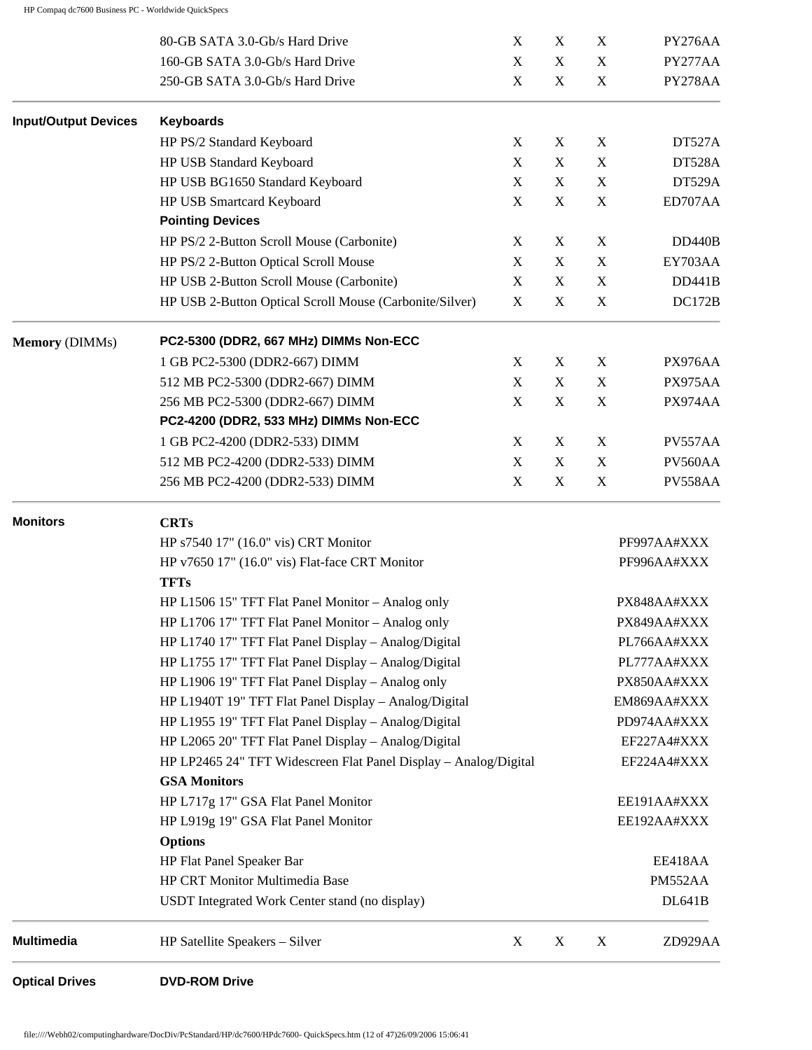| <b>Optical Drives</b>       | <b>DVD-ROM Drive</b>                                                                                      |                           |                            |                            |                                |
|-----------------------------|-----------------------------------------------------------------------------------------------------------|---------------------------|----------------------------|----------------------------|--------------------------------|
| <b>Multimedia</b>           | HP Satellite Speakers - Silver                                                                            | X                         | X                          | X                          | ZD929AA                        |
|                             | USDT Integrated Work Center stand (no display)                                                            |                           |                            |                            | <b>DL641B</b>                  |
|                             | HP CRT Monitor Multimedia Base                                                                            |                           |                            |                            | PM552AA                        |
|                             | HP Flat Panel Speaker Bar                                                                                 |                           |                            |                            | EE418AA                        |
|                             | <b>Options</b>                                                                                            |                           |                            |                            |                                |
|                             | HP L919g 19" GSA Flat Panel Monitor                                                                       |                           |                            |                            | EE192AA#XXX                    |
|                             | HP L717g 17" GSA Flat Panel Monitor                                                                       |                           |                            |                            | EE191AA#XXX                    |
|                             | <b>GSA Monitors</b>                                                                                       |                           |                            |                            |                                |
|                             | HP LP2465 24" TFT Widescreen Flat Panel Display - Analog/Digital                                          |                           |                            |                            | EF224A4#XXX                    |
|                             | HP L2065 20" TFT Flat Panel Display - Analog/Digital                                                      |                           |                            |                            | EF227A4#XXX                    |
|                             | HP L1955 19" TFT Flat Panel Display - Analog/Digital                                                      |                           |                            |                            | PD974AA#XXX                    |
|                             | HP L1940T 19" TFT Flat Panel Display - Analog/Digital                                                     |                           |                            |                            | EM869AA#XXX                    |
|                             | HP L1755 17" TFT Flat Panel Display - Analog/Digital<br>HP L1906 19" TFT Flat Panel Display - Analog only |                           |                            |                            | PX850AA#XXX                    |
|                             | HP L1740 17" TFT Flat Panel Display - Analog/Digital                                                      |                           |                            |                            | PL766AA#XXX<br>PL777AA#XXX     |
|                             | HP L1706 17" TFT Flat Panel Monitor - Analog only                                                         |                           |                            |                            | PX849AA#XXX                    |
|                             | HP L1506 15" TFT Flat Panel Monitor - Analog only                                                         |                           |                            |                            | PX848AA#XXX                    |
|                             | <b>TFTs</b>                                                                                               |                           |                            |                            |                                |
|                             | HP v7650 17" (16.0" vis) Flat-face CRT Monitor                                                            |                           |                            |                            | PF996AA#XXX                    |
|                             | HP s7540 17" (16.0" vis) CRT Monitor                                                                      |                           |                            |                            | PF997AA#XXX                    |
| <b>Monitors</b>             | <b>CRTs</b>                                                                                               |                           |                            |                            |                                |
|                             | 256 MB PC2-4200 (DDR2-533) DIMM                                                                           | X                         | X                          | $\mathbf X$                | PV558AA                        |
|                             | 512 MB PC2-4200 (DDR2-533) DIMM                                                                           | X                         | X                          | $\mathbf X$                | PV560AA                        |
|                             | 1 GB PC2-4200 (DDR2-533) DIMM                                                                             | X                         | X                          | $\mathbf X$                | PV557AA                        |
|                             | PC2-4200 (DDR2, 533 MHz) DIMMs Non-ECC                                                                    |                           |                            |                            |                                |
|                             | 256 MB PC2-5300 (DDR2-667) DIMM                                                                           | X                         | $\mathbf X$                | X                          | PX974AA                        |
|                             | 512 MB PC2-5300 (DDR2-667) DIMM                                                                           | X                         | X                          | $\mathbf X$                | PX975AA                        |
|                             | 1 GB PC2-5300 (DDR2-667) DIMM                                                                             | X                         | X                          | $\mathbf X$                | PX976AA                        |
| <b>Memory</b> (DIMMs)       | PC2-5300 (DDR2, 667 MHz) DIMMs Non-ECC                                                                    |                           |                            |                            |                                |
|                             | HP USB 2-Button Optical Scroll Mouse (Carbonite/Silver)                                                   | $\mathbf X$               | $\mathbf X$                | $\mathbf X$                | DC172B                         |
|                             | HP USB 2-Button Scroll Mouse (Carbonite)                                                                  | X                         | $\mathbf X$                | $\mathbf X$                | <b>DD441B</b>                  |
|                             | HP PS/2 2-Button Optical Scroll Mouse                                                                     | X                         | X                          | $\mathbf X$                | EY703AA                        |
|                             | HP PS/2 2-Button Scroll Mouse (Carbonite)                                                                 | $\boldsymbol{\mathrm{X}}$ | X                          | X                          | <b>DD440B</b>                  |
|                             | <b>Pointing Devices</b>                                                                                   |                           |                            |                            |                                |
|                             | HP USB BG1650 Standard Keyboard<br>HP USB Smartcard Keyboard                                              | X                         | $\mathbf X$                | X                          | ED707AA                        |
|                             | HP USB Standard Keyboard                                                                                  | X<br>X                    | $\mathbf X$<br>$\mathbf X$ | $\mathbf X$<br>$\mathbf X$ | <b>DT528A</b><br><b>DT529A</b> |
|                             | HP PS/2 Standard Keyboard                                                                                 | X                         | X                          | X                          | DT527A                         |
| <b>Input/Output Devices</b> | <b>Keyboards</b>                                                                                          |                           |                            |                            |                                |
|                             |                                                                                                           |                           |                            |                            |                                |
|                             | 250-GB SATA 3.0-Gb/s Hard Drive                                                                           | X                         | $\mathbf X$                | $\mathbf X$                | PY278AA                        |
|                             | 160-GB SATA 3.0-Gb/s Hard Drive                                                                           | X                         | $\mathbf X$                | X                          | PY277AA                        |
|                             | 80-GB SATA 3.0-Gb/s Hard Drive                                                                            | X                         | X                          | X                          | PY276AA                        |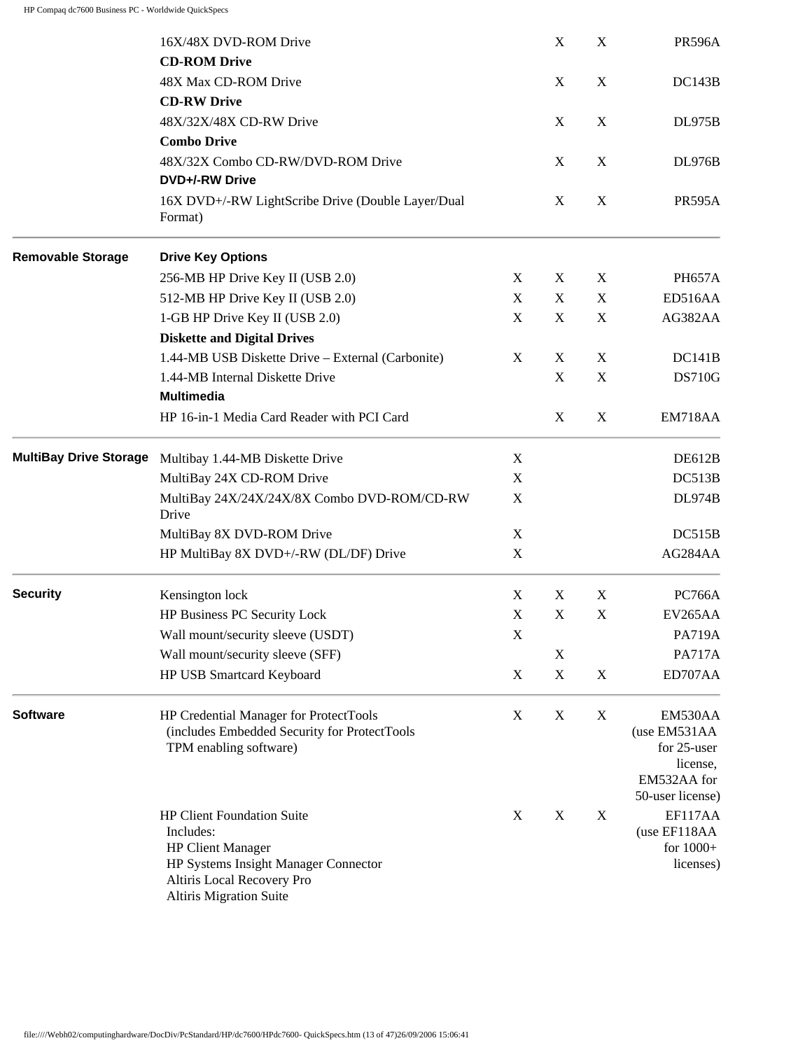|                               | 16X/48X DVD-ROM Drive                                                                                                                                                       |             | $\mathbf X$ | X           | <b>PR596A</b>                                                     |
|-------------------------------|-----------------------------------------------------------------------------------------------------------------------------------------------------------------------------|-------------|-------------|-------------|-------------------------------------------------------------------|
|                               | <b>CD-ROM Drive</b>                                                                                                                                                         |             |             |             |                                                                   |
|                               | 48X Max CD-ROM Drive                                                                                                                                                        |             | $\mathbf X$ | X           | DC143B                                                            |
|                               | <b>CD-RW Drive</b>                                                                                                                                                          |             |             |             |                                                                   |
|                               | 48X/32X/48X CD-RW Drive                                                                                                                                                     |             | X           | X           | <b>DL975B</b>                                                     |
|                               | <b>Combo Drive</b>                                                                                                                                                          |             |             |             |                                                                   |
|                               | 48X/32X Combo CD-RW/DVD-ROM Drive<br>DVD+/-RW Drive                                                                                                                         |             | $\mathbf X$ | X           | <b>DL976B</b>                                                     |
|                               | 16X DVD+/-RW LightScribe Drive (Double Layer/Dual<br>Format)                                                                                                                |             | X           | X           | <b>PR595A</b>                                                     |
| <b>Removable Storage</b>      | <b>Drive Key Options</b>                                                                                                                                                    |             |             |             |                                                                   |
|                               | 256-MB HP Drive Key II (USB 2.0)                                                                                                                                            | X           | X           | X           | <b>PH657A</b>                                                     |
|                               | 512-MB HP Drive Key II (USB 2.0)                                                                                                                                            | X           | X           | X           | ED516AA                                                           |
|                               | 1-GB HP Drive Key II (USB 2.0)                                                                                                                                              | X           | $\mathbf X$ | X           | AG382AA                                                           |
|                               | <b>Diskette and Digital Drives</b>                                                                                                                                          |             |             |             |                                                                   |
|                               | 1.44-MB USB Diskette Drive - External (Carbonite)                                                                                                                           | X           | X           | X           | DC141B                                                            |
|                               | 1.44-MB Internal Diskette Drive                                                                                                                                             |             | $\mathbf X$ | $\mathbf X$ | <b>DS710G</b>                                                     |
|                               | <b>Multimedia</b>                                                                                                                                                           |             |             |             |                                                                   |
|                               | HP 16-in-1 Media Card Reader with PCI Card                                                                                                                                  |             | X           | X           | EM718AA                                                           |
| <b>MultiBay Drive Storage</b> | Multibay 1.44-MB Diskette Drive                                                                                                                                             | X           |             |             | DE612B                                                            |
|                               | MultiBay 24X CD-ROM Drive                                                                                                                                                   | X           |             |             | DC513B                                                            |
|                               | MultiBay 24X/24X/24X/8X Combo DVD-ROM/CD-RW<br>Drive                                                                                                                        | X           |             |             | <b>DL974B</b>                                                     |
|                               | MultiBay 8X DVD-ROM Drive                                                                                                                                                   | X           |             |             | DC515B                                                            |
|                               | HP MultiBay 8X DVD+/-RW (DL/DF) Drive                                                                                                                                       | $\mathbf X$ |             |             | AG284AA                                                           |
| <b>Security</b>               | Kensington lock                                                                                                                                                             | X           | X           | $\mathbf X$ | <b>PC766A</b>                                                     |
|                               | HP Business PC Security Lock                                                                                                                                                | X           | X           | $\mathbf X$ | EV265AA                                                           |
|                               | Wall mount/security sleeve (USDT)                                                                                                                                           | $\mathbf X$ |             |             | <b>PA719A</b>                                                     |
|                               | Wall mount/security sleeve (SFF)                                                                                                                                            |             | X           |             | <b>PA717A</b>                                                     |
|                               | HP USB Smartcard Keyboard                                                                                                                                                   | $\mathbf X$ | $\mathbf X$ | $\mathbf X$ | ED707AA                                                           |
| <b>Software</b>               | HP Credential Manager for ProtectTools<br>(includes Embedded Security for ProtectTools<br>TPM enabling software)                                                            | X           | X           | X           | EM530AA<br>(use EM531AA<br>for 25-user<br>license,<br>EM532AA for |
|                               |                                                                                                                                                                             |             |             |             | 50-user license)                                                  |
|                               | <b>HP Client Foundation Suite</b><br>Includes:<br><b>HP Client Manager</b><br>HP Systems Insight Manager Connector<br>Altiris Local Recovery Pro<br>Altiris Migration Suite | X           | X           | X           | EF117AA<br>(use EF118AA<br>for $1000+$<br>licenses)               |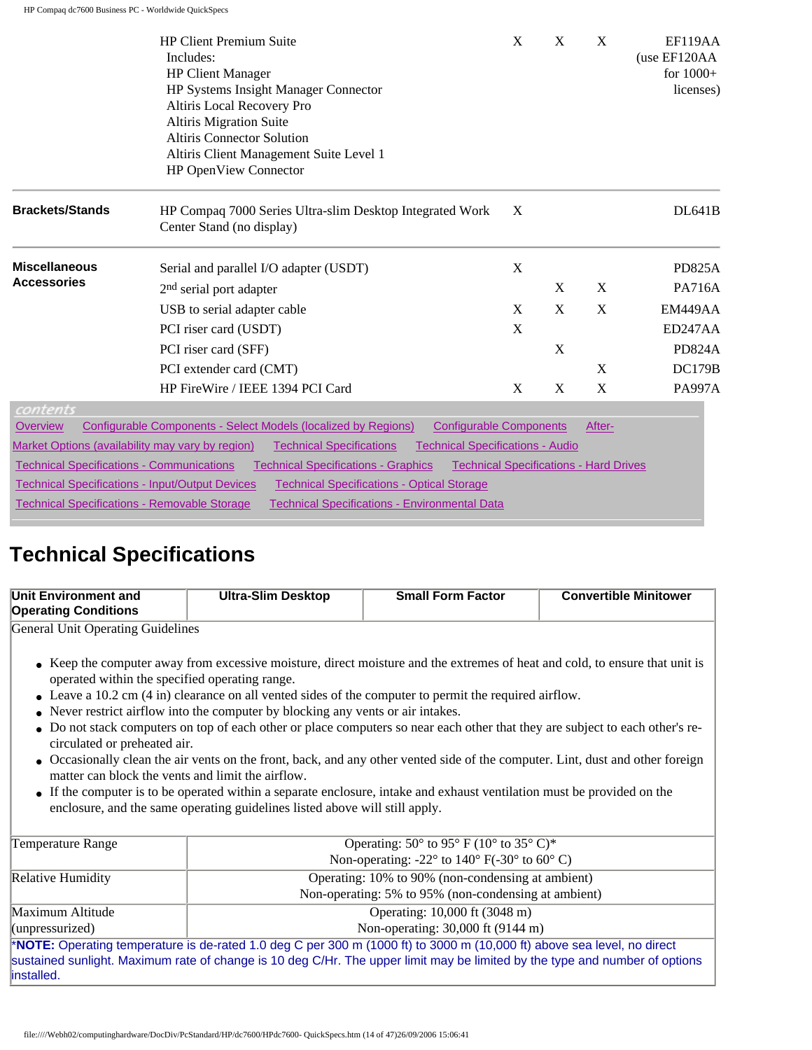|                                                  | <b>HP Client Premium Suite</b>                                                                                                 | X | X | X                                             | EF119AA       |
|--------------------------------------------------|--------------------------------------------------------------------------------------------------------------------------------|---|---|-----------------------------------------------|---------------|
|                                                  | Includes:                                                                                                                      |   |   |                                               | (use EF120AA  |
|                                                  | <b>HP Client Manager</b>                                                                                                       |   |   |                                               | for $1000+$   |
|                                                  | HP Systems Insight Manager Connector                                                                                           |   |   |                                               | licenses)     |
|                                                  | Altiris Local Recovery Pro                                                                                                     |   |   |                                               |               |
|                                                  | Altiris Migration Suite                                                                                                        |   |   |                                               |               |
|                                                  | <b>Altiris Connector Solution</b>                                                                                              |   |   |                                               |               |
|                                                  | Altiris Client Management Suite Level 1                                                                                        |   |   |                                               |               |
|                                                  | HP OpenView Connector                                                                                                          |   |   |                                               |               |
| <b>Brackets/Stands</b>                           | HP Compaq 7000 Series Ultra-slim Desktop Integrated Work<br>Center Stand (no display)                                          | X |   |                                               | <b>DL641B</b> |
| <b>Miscellaneous</b>                             | Serial and parallel I/O adapter (USDT)                                                                                         | X |   |                                               | <b>PD825A</b> |
| <b>Accessories</b>                               | 2 <sup>nd</sup> serial port adapter                                                                                            |   | X | X                                             | <b>PA716A</b> |
|                                                  | USB to serial adapter cable                                                                                                    | X | X | X                                             | EM449AA       |
|                                                  | PCI riser card (USDT)                                                                                                          | X |   |                                               | ED247AA       |
|                                                  | PCI riser card (SFF)                                                                                                           |   | X |                                               | <b>PD824A</b> |
|                                                  | PCI extender card (CMT)                                                                                                        |   |   | X                                             | <b>DC179B</b> |
|                                                  | HP FireWire / IEEE 1394 PCI Card                                                                                               | X | X | X                                             | <b>PA997A</b> |
| contents                                         |                                                                                                                                |   |   |                                               |               |
| <b>Overview</b>                                  | Configurable Components - Select Models (localized by Regions)<br><b>Configurable Components</b>                               |   |   | After-                                        |               |
|                                                  | Market Options (availability may vary by region)<br><b>Technical Specifications</b><br><b>Technical Specifications - Audio</b> |   |   |                                               |               |
| <b>Technical Specifications - Communications</b> | <b>Technical Specifications - Graphics</b>                                                                                     |   |   | <b>Technical Specifications - Hard Drives</b> |               |
|                                                  | <b>Technical Specifications - Input/Output Devices</b><br><b>Technical Specifications - Optical Storage</b>                    |   |   |                                               |               |

# **Technical Specifications**

| Unit Environment and<br><b>Operating Conditions</b>                                                                                 | <b>Ultra-Slim Desktop</b>                                                                                                                                                                                                                                                                                                                                                                                                                                                                                                                                                                                                                                                                                                                                                                                          | <b>Small Form Factor</b>                                                         | <b>Convertible Minitower</b> |  |  |  |
|-------------------------------------------------------------------------------------------------------------------------------------|--------------------------------------------------------------------------------------------------------------------------------------------------------------------------------------------------------------------------------------------------------------------------------------------------------------------------------------------------------------------------------------------------------------------------------------------------------------------------------------------------------------------------------------------------------------------------------------------------------------------------------------------------------------------------------------------------------------------------------------------------------------------------------------------------------------------|----------------------------------------------------------------------------------|------------------------------|--|--|--|
| General Unit Operating Guidelines                                                                                                   |                                                                                                                                                                                                                                                                                                                                                                                                                                                                                                                                                                                                                                                                                                                                                                                                                    |                                                                                  |                              |  |  |  |
| operated within the specified operating range.<br>circulated or preheated air.<br>matter can block the vents and limit the airflow. | • Keep the computer away from excessive moisture, direct moisture and the extremes of heat and cold, to ensure that unit is<br>• Leave a $10.2$ cm $(4 \text{ in})$ clearance on all vented sides of the computer to permit the required airflow.<br>• Never restrict airflow into the computer by blocking any vents or air intakes.<br>• Do not stack computers on top of each other or place computers so near each other that they are subject to each other's re-<br>• Occasionally clean the air vents on the front, back, and any other vented side of the computer. Lint, dust and other foreign<br>• If the computer is to be operated within a separate enclosure, intake and exhaust ventilation must be provided on the<br>enclosure, and the same operating guidelines listed above will still apply. |                                                                                  |                              |  |  |  |
| Temperature Range                                                                                                                   |                                                                                                                                                                                                                                                                                                                                                                                                                                                                                                                                                                                                                                                                                                                                                                                                                    | Operating: $50^{\circ}$ to $95^{\circ}$ F ( $10^{\circ}$ to $35^{\circ}$ C)*     |                              |  |  |  |
|                                                                                                                                     |                                                                                                                                                                                                                                                                                                                                                                                                                                                                                                                                                                                                                                                                                                                                                                                                                    | Non-operating: -22 $\degree$ to 140 $\degree$ F(-30 $\degree$ to 60 $\degree$ C) |                              |  |  |  |
| Relative Humidity                                                                                                                   |                                                                                                                                                                                                                                                                                                                                                                                                                                                                                                                                                                                                                                                                                                                                                                                                                    | Operating: 10% to 90% (non-condensing at ambient)                                |                              |  |  |  |
|                                                                                                                                     | Non-operating: 5% to 95% (non-condensing at ambient)                                                                                                                                                                                                                                                                                                                                                                                                                                                                                                                                                                                                                                                                                                                                                               |                                                                                  |                              |  |  |  |
| Maximum Altitude                                                                                                                    |                                                                                                                                                                                                                                                                                                                                                                                                                                                                                                                                                                                                                                                                                                                                                                                                                    | Operating: 10,000 ft (3048 m)                                                    |                              |  |  |  |
| (unprescurized)                                                                                                                     |                                                                                                                                                                                                                                                                                                                                                                                                                                                                                                                                                                                                                                                                                                                                                                                                                    | Non-operating: 30,000 ft (9144 m)                                                |                              |  |  |  |
|                                                                                                                                     | *NOTE: Operating temperature is de-rated 1.0 deg C per 300 m (1000 ft) to 3000 m (10,000 ft) above sea level, no direct                                                                                                                                                                                                                                                                                                                                                                                                                                                                                                                                                                                                                                                                                            |                                                                                  |                              |  |  |  |
|                                                                                                                                     | sustained sunlight. Maximum rate of change is 10 deg C/Hr. The upper limit may be limited by the type and number of options                                                                                                                                                                                                                                                                                                                                                                                                                                                                                                                                                                                                                                                                                        |                                                                                  |                              |  |  |  |
| installed.                                                                                                                          |                                                                                                                                                                                                                                                                                                                                                                                                                                                                                                                                                                                                                                                                                                                                                                                                                    |                                                                                  |                              |  |  |  |

[Technical Specifications - Removable Storage](http://h18000.www1.hp.com/products/quickspecs/12253_div/12253_div.HTML#Technical Specifications - Removable Storage) [Technical Specifications - Environmental Data](http://h18000.www1.hp.com/products/quickspecs/12253_div/12253_div.HTML#Technical Specifications - Environmental Data)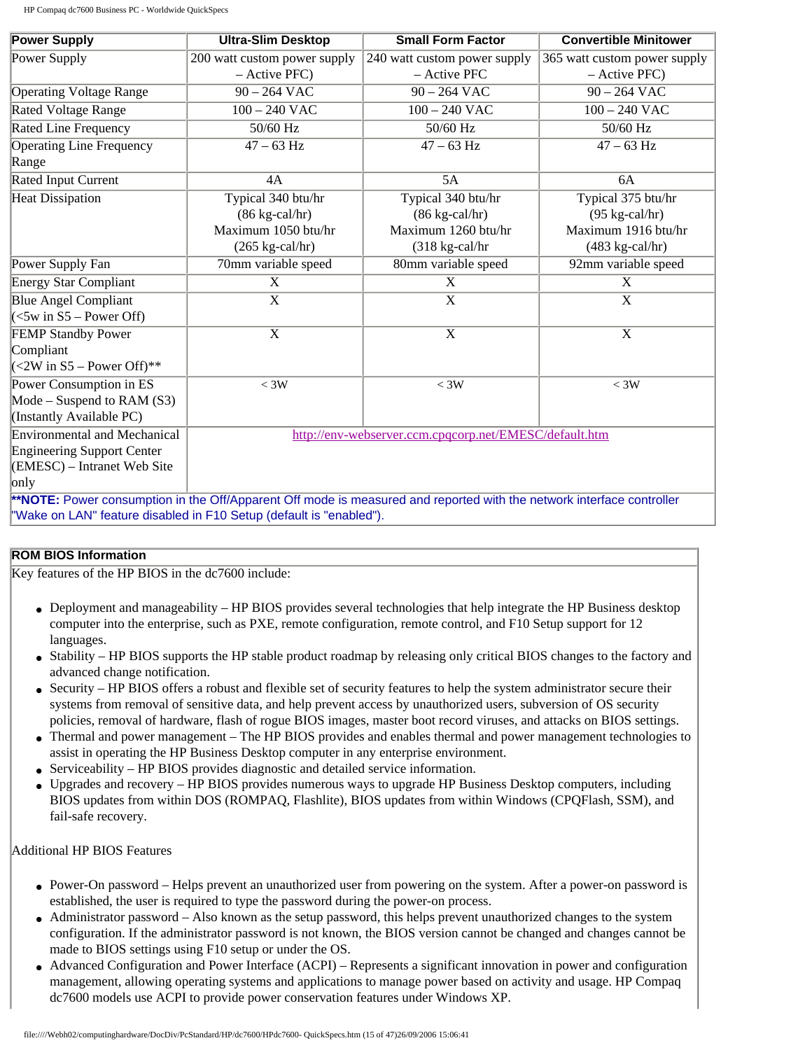| <b>Power Supply</b>                  | <b>Ultra-Slim Desktop</b>                                                                                             | <b>Small Form Factor</b>                               | <b>Convertible Minitower</b> |  |  |
|--------------------------------------|-----------------------------------------------------------------------------------------------------------------------|--------------------------------------------------------|------------------------------|--|--|
| Power Supply                         | 200 watt custom power supply                                                                                          | 240 watt custom power supply                           | 365 watt custom power supply |  |  |
|                                      | $-$ Active PFC)                                                                                                       | - Active PFC                                           | - Active PFC)                |  |  |
| <b>Operating Voltage Range</b>       | $90 - 264$ VAC                                                                                                        | $90 - 264$ VAC                                         | $90 - 264$ VAC               |  |  |
| <b>Rated Voltage Range</b>           | $100 - 240$ VAC                                                                                                       | $100 - 240$ VAC<br>$100 - 240$ VAC                     |                              |  |  |
| <b>Rated Line Frequency</b>          | 50/60 Hz                                                                                                              | 50/60 Hz<br>50/60 Hz                                   |                              |  |  |
| <b>Operating Line Frequency</b>      | $47 - 63$ Hz                                                                                                          | $47 - 63$ Hz                                           | $47 - 63$ Hz                 |  |  |
| Range                                |                                                                                                                       |                                                        |                              |  |  |
| Rated Input Current                  | 4A                                                                                                                    | 5A                                                     | 6A                           |  |  |
| <b>Heat Dissipation</b>              | Typical 340 btu/hr                                                                                                    | Typical 340 btu/hr                                     | Typical 375 btu/hr           |  |  |
|                                      | $(86 \text{ kg-call/hr})$                                                                                             | $(86 \text{ kg-call/hr})$                              | $(95 \text{ kg-call/hr})$    |  |  |
|                                      | Maximum 1050 btu/hr                                                                                                   | Maximum 1260 btu/hr                                    | Maximum 1916 btu/hr          |  |  |
|                                      | $(265 \text{ kg-call/hr})$                                                                                            | $(318 \text{ kg-call/hr})$                             | $(483 \text{ kg-call/hr})$   |  |  |
| Power Supply Fan                     | 70mm variable speed                                                                                                   | 80mm variable speed                                    | 92mm variable speed          |  |  |
| <b>Energy Star Compliant</b>         | X                                                                                                                     | X                                                      | X                            |  |  |
| <b>Blue Angel Compliant</b>          | $\boldsymbol{\mathrm{X}}$                                                                                             | X                                                      | $\mathbf{X}$                 |  |  |
| $\leq$ 5w in S5 – Power Off)         |                                                                                                                       |                                                        |                              |  |  |
| <b>FEMP Standby Power</b>            | X                                                                                                                     | X                                                      | X                            |  |  |
| Compliant                            |                                                                                                                       |                                                        |                              |  |  |
| $(<2W \text{ in } S5 - Power Off)**$ |                                                                                                                       |                                                        |                              |  |  |
| Power Consumption in ES              | $<$ 3W                                                                                                                | $<$ 3W                                                 | $<$ 3W                       |  |  |
| Mode – Suspend to RAM $(S3)$         |                                                                                                                       |                                                        |                              |  |  |
| (Instantly Available PC)             |                                                                                                                       |                                                        |                              |  |  |
| <b>Environmental and Mechanical</b>  |                                                                                                                       | http://env-webserver.ccm.cpqcorp.net/EMESC/default.htm |                              |  |  |
| <b>Engineering Support Center</b>    |                                                                                                                       |                                                        |                              |  |  |
| (EMESC) – Intranet Web Site          |                                                                                                                       |                                                        |                              |  |  |
| only                                 |                                                                                                                       |                                                        |                              |  |  |
|                                      | **NOTE: Power consumption in the Off/Apparent Off mode is measured and reported with the network interface controller |                                                        |                              |  |  |
|                                      | 'Wake on LAN" feature disabled in F10 Setup (default is "enabled").                                                   |                                                        |                              |  |  |

### **ROM BIOS Information**

Key features of the HP BIOS in the dc7600 include:

- Deployment and manageability HP BIOS provides several technologies that help integrate the HP Business desktop computer into the enterprise, such as PXE, remote configuration, remote control, and F10 Setup support for 12 languages.
- Stability HP BIOS supports the HP stable product roadmap by releasing only critical BIOS changes to the factory and advanced change notification.
- Security HP BIOS offers a robust and flexible set of security features to help the system administrator secure their systems from removal of sensitive data, and help prevent access by unauthorized users, subversion of OS security policies, removal of hardware, flash of rogue BIOS images, master boot record viruses, and attacks on BIOS settings.
- Thermal and power management The HP BIOS provides and enables thermal and power management technologies to assist in operating the HP Business Desktop computer in any enterprise environment.
- Serviceability HP BIOS provides diagnostic and detailed service information.
- Upgrades and recovery HP BIOS provides numerous ways to upgrade HP Business Desktop computers, including BIOS updates from within DOS (ROMPAQ, Flashlite), BIOS updates from within Windows (CPQFlash, SSM), and fail-safe recovery.

Additional HP BIOS Features

- Power-On password Helps prevent an unauthorized user from powering on the system. After a power-on password is established, the user is required to type the password during the power-on process.
- Administrator password Also known as the setup password, this helps prevent unauthorized changes to the system configuration. If the administrator password is not known, the BIOS version cannot be changed and changes cannot be made to BIOS settings using F10 setup or under the OS.
- Advanced Configuration and Power Interface (ACPI) Represents a significant innovation in power and configuration management, allowing operating systems and applications to manage power based on activity and usage. HP Compaq dc7600 models use ACPI to provide power conservation features under Windows XP.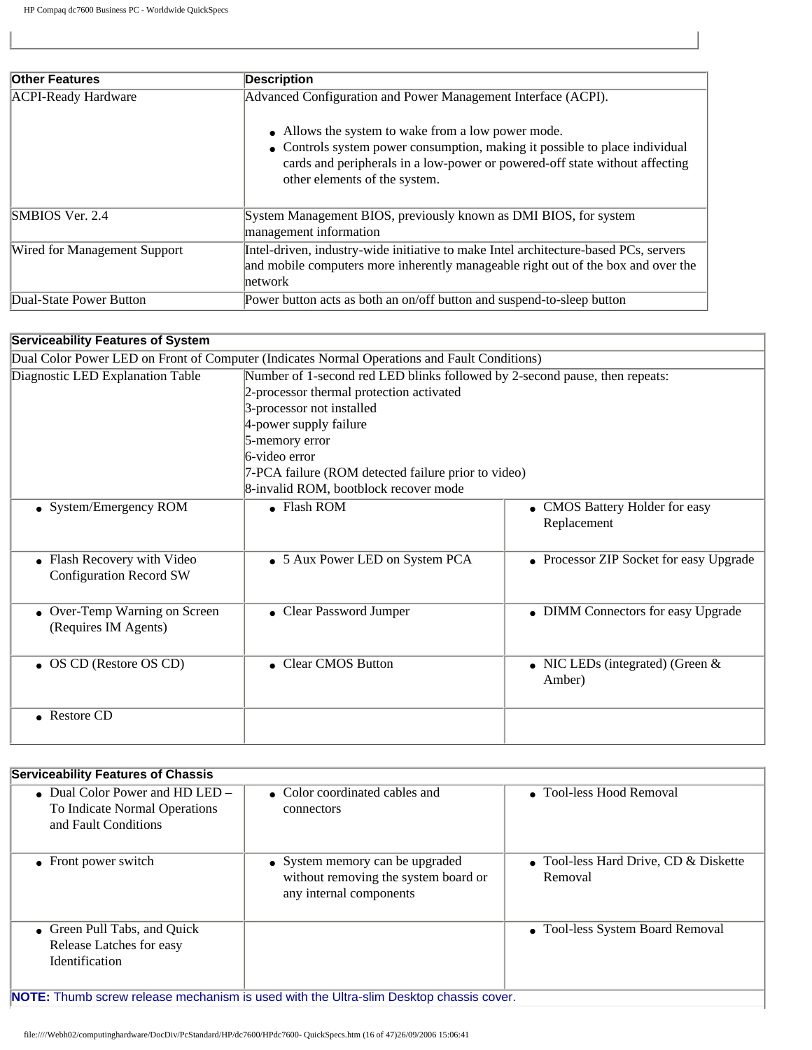| <b>Other Features</b>        | <b>Description</b>                                                                                                                                                                                                                                |
|------------------------------|---------------------------------------------------------------------------------------------------------------------------------------------------------------------------------------------------------------------------------------------------|
| <b>ACPI-Ready Hardware</b>   | Advanced Configuration and Power Management Interface (ACPI).                                                                                                                                                                                     |
|                              | • Allows the system to wake from a low power mode.<br>• Controls system power consumption, making it possible to place individual<br>cards and peripherals in a low-power or powered-off state without affecting<br>other elements of the system. |
| SMBIOS Ver. 2.4              | System Management BIOS, previously known as DMI BIOS, for system<br>management information                                                                                                                                                        |
| Wired for Management Support | Intel-driven, industry-wide initiative to make Intel architecture-based PCs, servers<br>and mobile computers more inherently manageable right out of the box and over the<br>network                                                              |
| Dual-State Power Button      | Power button acts as both an on/off button and suspend-to-sleep button                                                                                                                                                                            |

### **Serviceability Features of System**

|                                  | Dual Color Power LED on Front of Computer (Indicates Normal Operations and Fault Conditions) |                                         |  |  |  |  |
|----------------------------------|----------------------------------------------------------------------------------------------|-----------------------------------------|--|--|--|--|
| Diagnostic LED Explanation Table | Number of 1-second red LED blinks followed by 2-second pause, then repeats:                  |                                         |  |  |  |  |
|                                  | 2-processor thermal protection activated                                                     |                                         |  |  |  |  |
|                                  | 3-processor not installed                                                                    |                                         |  |  |  |  |
|                                  | 4-power supply failure                                                                       |                                         |  |  |  |  |
|                                  | 5-memory error                                                                               |                                         |  |  |  |  |
|                                  | $6$ -video error                                                                             |                                         |  |  |  |  |
|                                  | 7-PCA failure (ROM detected failure prior to video)                                          |                                         |  |  |  |  |
|                                  | 8-invalid ROM, bootblock recover mode                                                        |                                         |  |  |  |  |
| • System/Emergency ROM           | $\bullet$ Flash ROM                                                                          | • CMOS Battery Holder for easy          |  |  |  |  |
|                                  |                                                                                              | Replacement                             |  |  |  |  |
|                                  |                                                                                              |                                         |  |  |  |  |
| • Flash Recovery with Video      | • 5 Aux Power LED on System PCA                                                              | • Processor ZIP Socket for easy Upgrade |  |  |  |  |
| <b>Configuration Record SW</b>   |                                                                                              |                                         |  |  |  |  |
|                                  |                                                                                              |                                         |  |  |  |  |
| • Over-Temp Warning on Screen    | • Clear Password Jumper                                                                      | • DIMM Connectors for easy Upgrade      |  |  |  |  |
| (Requires IM Agents)             |                                                                                              |                                         |  |  |  |  |
|                                  |                                                                                              |                                         |  |  |  |  |
| • OS CD (Restore OS CD)          | • Clear CMOS Button                                                                          | • NIC LEDs (integrated) (Green $&$      |  |  |  |  |
|                                  |                                                                                              |                                         |  |  |  |  |
|                                  | Amber)                                                                                       |                                         |  |  |  |  |
|                                  |                                                                                              |                                         |  |  |  |  |
| • Restore CD                     |                                                                                              |                                         |  |  |  |  |
|                                  |                                                                                              |                                         |  |  |  |  |

| <b>Serviceability Features of Chassis</b>                                                                             |                                                                                                    |                                                    |  |  |  |  |
|-----------------------------------------------------------------------------------------------------------------------|----------------------------------------------------------------------------------------------------|----------------------------------------------------|--|--|--|--|
| • Dual Color Power and $HD$ LED $-$<br>To Indicate Normal Operations<br>and Fault Conditions                          | • Color coordinated cables and<br>connectors                                                       | • Tool-less Hood Removal                           |  |  |  |  |
| • Front power switch                                                                                                  | • System memory can be upgraded<br>without removing the system board or<br>any internal components | • Tool-less Hard Drive, CD $&$ Diskette<br>Removal |  |  |  |  |
| • Tool-less System Board Removal<br>• Green Pull Tabs, and Quick<br>Release Latches for easy<br><b>Identification</b> |                                                                                                    |                                                    |  |  |  |  |
| <b>NOTE:</b> Thumb screw release mechanism is used with the Ultra-slim Desktop chassis cover.                         |                                                                                                    |                                                    |  |  |  |  |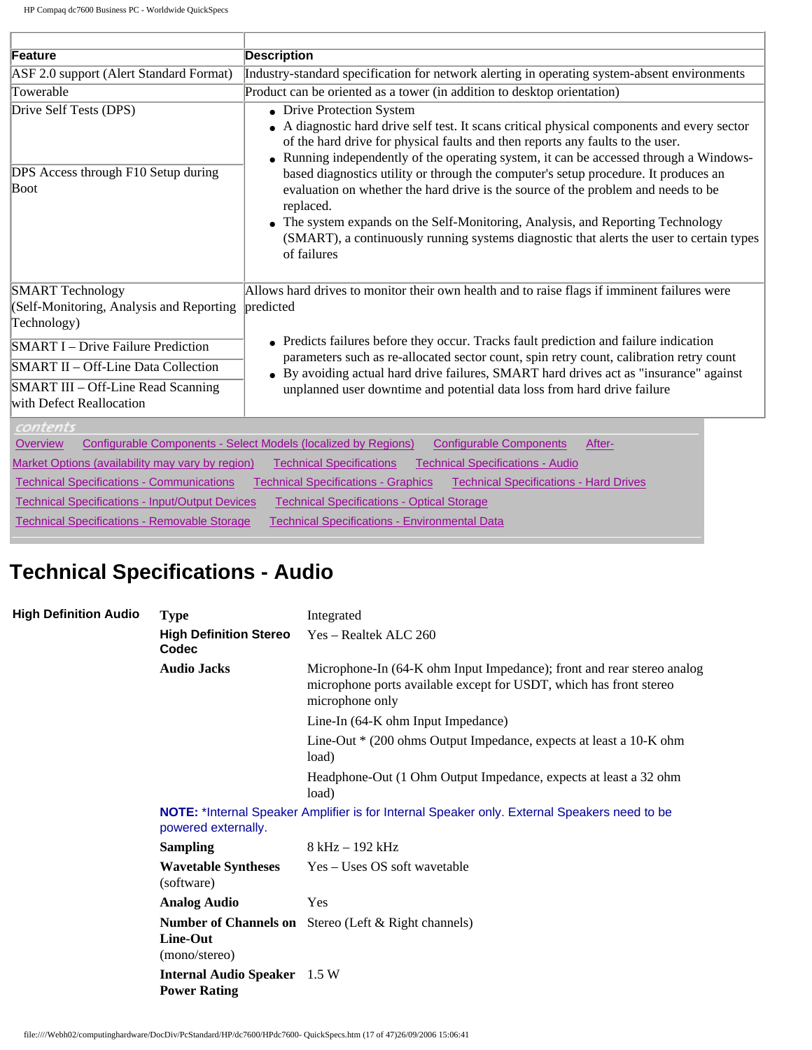| Feature                                                                                                                                                                                                                                         | <b>Description</b>                                                                                                                                                                                                                                                                                                                                                                                                                                                |
|-------------------------------------------------------------------------------------------------------------------------------------------------------------------------------------------------------------------------------------------------|-------------------------------------------------------------------------------------------------------------------------------------------------------------------------------------------------------------------------------------------------------------------------------------------------------------------------------------------------------------------------------------------------------------------------------------------------------------------|
| ASF 2.0 support (Alert Standard Format)                                                                                                                                                                                                         | Industry-standard specification for network alerting in operating system-absent environments                                                                                                                                                                                                                                                                                                                                                                      |
| Towerable                                                                                                                                                                                                                                       | Product can be oriented as a tower (in addition to desktop orientation)                                                                                                                                                                                                                                                                                                                                                                                           |
| Drive Self Tests (DPS)                                                                                                                                                                                                                          | • Drive Protection System<br>• A diagnostic hard drive self test. It scans critical physical components and every sector<br>of the hard drive for physical faults and then reports any faults to the user.<br>• Running independently of the operating system, it can be accessed through a Windows-                                                                                                                                                              |
| DPS Access through F10 Setup during<br>Boot                                                                                                                                                                                                     | based diagnostics utility or through the computer's setup procedure. It produces an<br>evaluation on whether the hard drive is the source of the problem and needs to be<br>replaced.<br>• The system expands on the Self-Monitoring, Analysis, and Reporting Technology<br>(SMART), a continuously running systems diagnostic that alerts the user to certain types<br>of failures                                                                               |
| <b>SMART</b> Technology<br>(Self-Monitoring, Analysis and Reporting<br>Technology)<br><b>SMART I</b> – Drive Failure Prediction<br>SMART II - Off-Line Data Collection<br><b>SMART III – Off-Line Read Scanning</b><br>with Defect Reallocation | Allows hard drives to monitor their own health and to raise flags if imminent failures were<br>predicted<br>• Predicts failures before they occur. Tracks fault prediction and failure indication<br>parameters such as re-allocated sector count, spin retry count, calibration retry count<br>• By avoiding actual hard drive failures, SMART hard drives act as "insurance" against<br>unplanned user downtime and potential data loss from hard drive failure |
| contents<br>Overview<br>Market Options (availability may vary by region)<br><b>Technical Specifications - Communications</b><br><b>Technical Specifications - Input/Output Devices</b><br><b>Technical Specifications - Removable Storage</b>   | Configurable Components - Select Models (localized by Regions)<br><b>Configurable Components</b><br>After-<br><b>Technical Specifications - Audio</b><br><b>Technical Specifications</b><br><b>Technical Specifications - Hard Drives</b><br><b>Technical Specifications - Graphics</b><br><b>Technical Specifications - Optical Storage</b><br><b>Technical Specifications - Environmental Data</b>                                                              |

٦

# **Technical Specifications - Audio**

| <b>High Definition Audio</b> | <b>Type</b>                                                | Integrated                                                                                                                                                      |
|------------------------------|------------------------------------------------------------|-----------------------------------------------------------------------------------------------------------------------------------------------------------------|
|                              | <b>High Definition Stereo</b><br>Codec                     | Yes – Realtek ALC 260                                                                                                                                           |
|                              | <b>Audio Jacks</b>                                         | Microphone-In (64-K ohm Input Impedance); front and rear stereo analog<br>microphone ports available except for USDT, which has front stereo<br>microphone only |
|                              |                                                            | Line-In (64-K ohm Input Impedance)                                                                                                                              |
|                              |                                                            | Line-Out * (200 ohms Output Impedance, expects at least a 10-K ohm<br>load)                                                                                     |
|                              |                                                            | Headphone-Out (1 Ohm Output Impedance, expects at least a 32 ohm<br>load)                                                                                       |
|                              | powered externally.                                        | NOTE: *Internal Speaker Amplifier is for Internal Speaker only. External Speakers need to be                                                                    |
|                              | <b>Sampling</b>                                            | 8 kHz – 192 kHz                                                                                                                                                 |
|                              | <b>Wavetable Syntheses</b><br>(software)                   | Yes – Uses OS soft wavetable                                                                                                                                    |
|                              | <b>Analog Audio</b>                                        | Yes                                                                                                                                                             |
|                              | Line-Out<br>(mono/stereo)                                  | <b>Number of Channels on</b> Stereo (Left & Right channels)                                                                                                     |
|                              | <b>Internal Audio Speaker</b> 1.5 W<br><b>Power Rating</b> |                                                                                                                                                                 |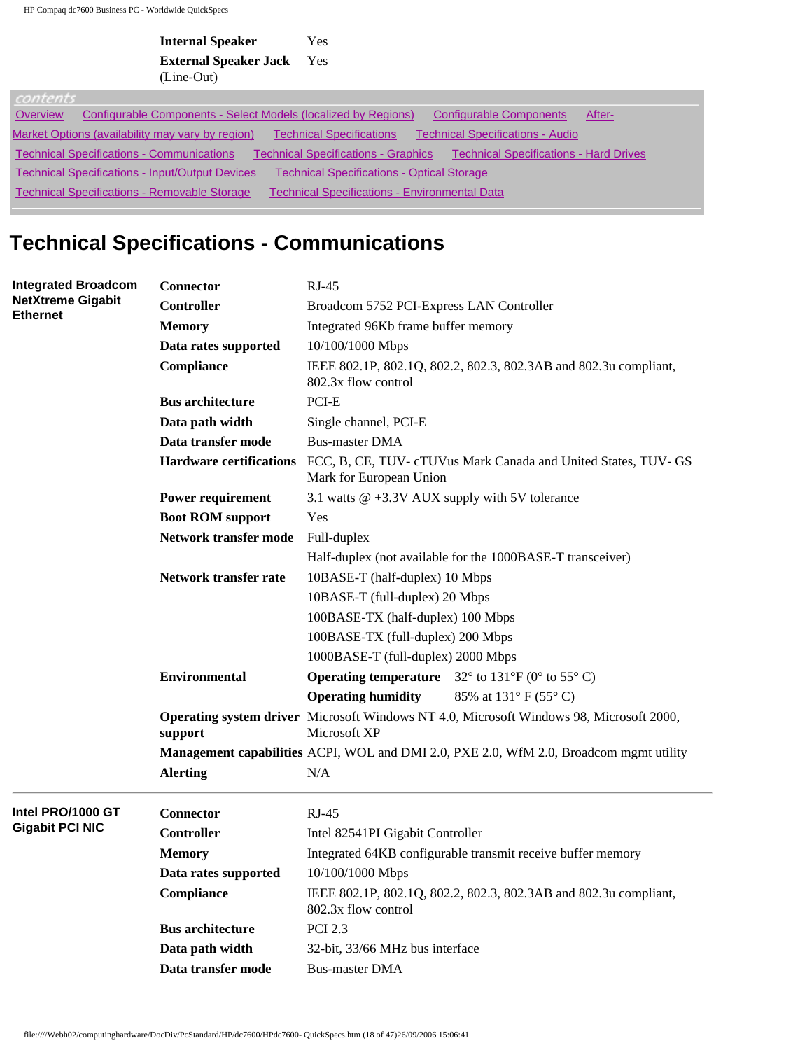| <b>Internal Speaker</b>      | Yes |
|------------------------------|-----|
| <b>External Speaker Jack</b> | Yes |
| (Line-Out)                   |     |

| contents |                                                                |                                                      |                                               |        |
|----------|----------------------------------------------------------------|------------------------------------------------------|-----------------------------------------------|--------|
| Overview | Configurable Components - Select Models (localized by Regions) |                                                      | <b>Configurable Components</b>                | After- |
|          | Market Options (availability may vary by region)               | Technical Specifications                             | <b>Technical Specifications - Audio</b>       |        |
|          | <b>Technical Specifications - Communications</b>               | <b>Technical Specifications - Graphics</b>           | <b>Technical Specifications - Hard Drives</b> |        |
|          | <b>Technical Specifications - Input/Output Devices</b>         | <b>Technical Specifications - Optical Storage</b>    |                                               |        |
|          | Technical Specifications - Removable Storage                   | <b>Technical Specifications - Environmental Data</b> |                                               |        |

# **Technical Specifications - Communications**

| <b>Integrated Broadcom</b>                  | Connector                      | $RJ-45$                                                                                                        |  |  |  |
|---------------------------------------------|--------------------------------|----------------------------------------------------------------------------------------------------------------|--|--|--|
| <b>NetXtreme Gigabit</b><br><b>Ethernet</b> | <b>Controller</b>              | Broadcom 5752 PCI-Express LAN Controller                                                                       |  |  |  |
|                                             | <b>Memory</b>                  | Integrated 96Kb frame buffer memory                                                                            |  |  |  |
|                                             | Data rates supported           | 10/100/1000 Mbps                                                                                               |  |  |  |
|                                             | Compliance                     | IEEE 802.1P, 802.1Q, 802.2, 802.3, 802.3AB and 802.3u compliant,<br>802.3x flow control                        |  |  |  |
|                                             | <b>Bus architecture</b>        | PCI-E                                                                                                          |  |  |  |
|                                             | Data path width                | Single channel, PCI-E                                                                                          |  |  |  |
|                                             | Data transfer mode             | <b>Bus-master DMA</b>                                                                                          |  |  |  |
|                                             | <b>Hardware certifications</b> | FCC, B, CE, TUV- cTUVus Mark Canada and United States, TUV- GS<br>Mark for European Union                      |  |  |  |
|                                             | <b>Power requirement</b>       | 3.1 watts $@ + 3.3V$ AUX supply with 5V tolerance                                                              |  |  |  |
|                                             | <b>Boot ROM support</b>        | Yes                                                                                                            |  |  |  |
|                                             | <b>Network transfer mode</b>   | Full-duplex                                                                                                    |  |  |  |
|                                             |                                | Half-duplex (not available for the 1000BASE-T transceiver)                                                     |  |  |  |
|                                             | Network transfer rate          | 10BASE-T (half-duplex) 10 Mbps                                                                                 |  |  |  |
|                                             |                                | 10BASE-T (full-duplex) 20 Mbps                                                                                 |  |  |  |
|                                             |                                | 100BASE-TX (half-duplex) 100 Mbps                                                                              |  |  |  |
|                                             |                                | 100BASE-TX (full-duplex) 200 Mbps                                                                              |  |  |  |
|                                             |                                | 1000BASE-T (full-duplex) 2000 Mbps                                                                             |  |  |  |
|                                             | <b>Environmental</b>           | <b>Operating temperature</b> $32^{\circ}$ to $131^{\circ}F$ (0° to $55^{\circ}C$ )                             |  |  |  |
|                                             |                                | <b>Operating humidity</b><br>85% at 131° F (55° C)                                                             |  |  |  |
|                                             | support                        | <b>Operating system driver</b> Microsoft Windows NT 4.0, Microsoft Windows 98, Microsoft 2000,<br>Microsoft XP |  |  |  |
|                                             |                                | Management capabilities ACPI, WOL and DMI 2.0, PXE 2.0, WfM 2.0, Broadcom mgmt utility                         |  |  |  |
|                                             | <b>Alerting</b>                | N/A                                                                                                            |  |  |  |
| Intel PRO/1000 GT                           | <b>Connector</b>               | $RJ-45$                                                                                                        |  |  |  |
| <b>Gigabit PCI NIC</b>                      | <b>Controller</b>              | Intel 82541PI Gigabit Controller                                                                               |  |  |  |
|                                             | <b>Memory</b>                  | Integrated 64KB configurable transmit receive buffer memory                                                    |  |  |  |
|                                             | Data rates supported           | 10/100/1000 Mbps                                                                                               |  |  |  |
|                                             | Compliance                     | IEEE 802.1P, 802.1Q, 802.2, 802.3, 802.3AB and 802.3u compliant,<br>802.3x flow control                        |  |  |  |
|                                             | <b>Bus architecture</b>        | <b>PCI 2.3</b>                                                                                                 |  |  |  |
|                                             | Data path width                | 32-bit, 33/66 MHz bus interface                                                                                |  |  |  |
|                                             | Data transfer mode             | <b>Bus-master DMA</b>                                                                                          |  |  |  |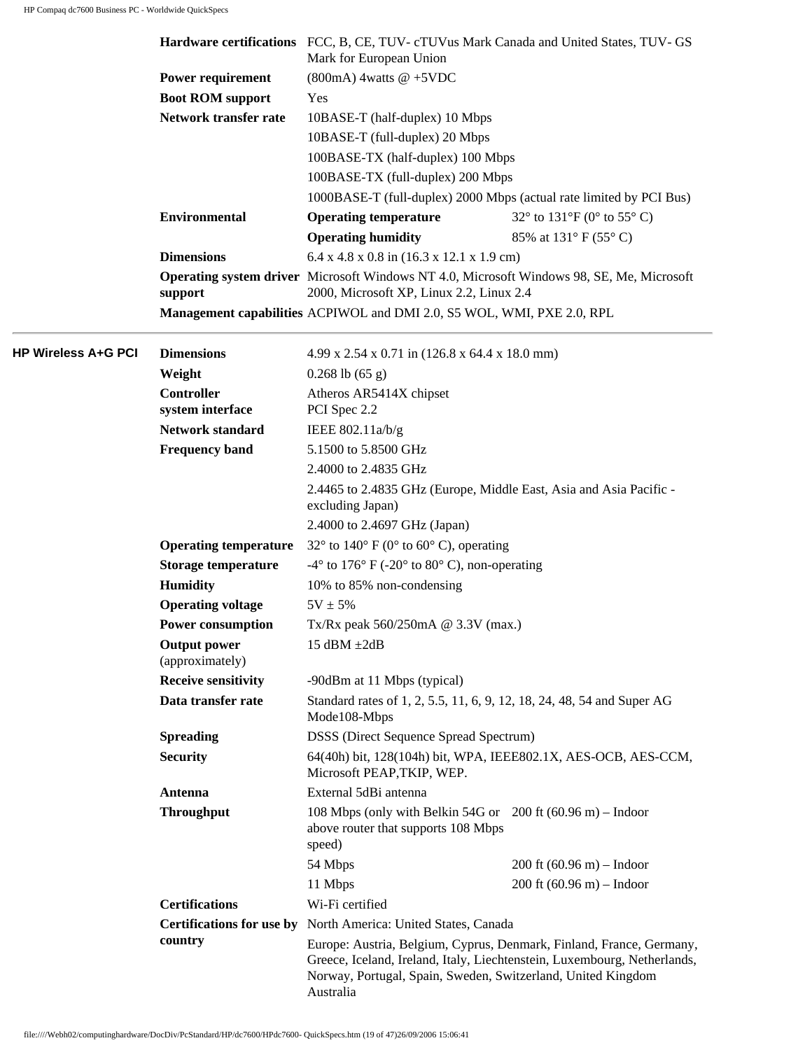|                            |                                        | Hardware certifications FCC, B, CE, TUV- cTUVus Mark Canada and United States, TUV- GS<br>Mark for European Union |                                                                                                                                                  |  |  |
|----------------------------|----------------------------------------|-------------------------------------------------------------------------------------------------------------------|--------------------------------------------------------------------------------------------------------------------------------------------------|--|--|
|                            | Power requirement                      | $(800mA)$ 4watts @ +5VDC                                                                                          |                                                                                                                                                  |  |  |
|                            | <b>Boot ROM support</b>                | Yes                                                                                                               |                                                                                                                                                  |  |  |
|                            | Network transfer rate                  | 10BASE-T (half-duplex) 10 Mbps<br>10BASE-T (full-duplex) 20 Mbps<br>100BASE-TX (half-duplex) 100 Mbps             |                                                                                                                                                  |  |  |
|                            |                                        |                                                                                                                   |                                                                                                                                                  |  |  |
|                            |                                        |                                                                                                                   |                                                                                                                                                  |  |  |
|                            |                                        | 100BASE-TX (full-duplex) 200 Mbps                                                                                 |                                                                                                                                                  |  |  |
|                            |                                        |                                                                                                                   | 1000BASE-T (full-duplex) 2000 Mbps (actual rate limited by PCI Bus)                                                                              |  |  |
|                            | <b>Environmental</b>                   | <b>Operating temperature</b>                                                                                      | 32 $\degree$ to 131 $\degree$ F (0 $\degree$ to 55 $\degree$ C)                                                                                  |  |  |
|                            |                                        | <b>Operating humidity</b>                                                                                         | 85% at 131° F (55° C)                                                                                                                            |  |  |
|                            | <b>Dimensions</b>                      | $6.4$ x 4.8 x 0.8 in (16.3 x 12.1 x 1.9 cm)                                                                       |                                                                                                                                                  |  |  |
|                            |                                        | Operating system driver Microsoft Windows NT 4.0, Microsoft Windows 98, SE, Me, Microsoft                         |                                                                                                                                                  |  |  |
|                            | support                                | 2000, Microsoft XP, Linux 2.2, Linux 2.4                                                                          |                                                                                                                                                  |  |  |
|                            |                                        | Management capabilities ACPIWOL and DMI 2.0, S5 WOL, WMI, PXE 2.0, RPL                                            |                                                                                                                                                  |  |  |
| <b>HP Wireless A+G PCI</b> | <b>Dimensions</b>                      | 4.99 x 2.54 x 0.71 in (126.8 x 64.4 x 18.0 mm)                                                                    |                                                                                                                                                  |  |  |
|                            | Weight                                 | $0.268$ lb $(65 g)$                                                                                               |                                                                                                                                                  |  |  |
|                            | <b>Controller</b>                      | Atheros AR5414X chipset                                                                                           |                                                                                                                                                  |  |  |
|                            | system interface                       | PCI Spec 2.2                                                                                                      |                                                                                                                                                  |  |  |
|                            | <b>Network standard</b>                | IEEE 802.11a/b/g                                                                                                  |                                                                                                                                                  |  |  |
|                            | <b>Frequency band</b>                  | 5.1500 to 5.8500 GHz                                                                                              |                                                                                                                                                  |  |  |
|                            |                                        | 2.4000 to 2.4835 GHz<br>2.4465 to 2.4835 GHz (Europe, Middle East, Asia and Asia Pacific -<br>excluding Japan)    |                                                                                                                                                  |  |  |
|                            |                                        |                                                                                                                   |                                                                                                                                                  |  |  |
|                            |                                        |                                                                                                                   |                                                                                                                                                  |  |  |
|                            | <b>Operating temperature</b>           | 32 $\degree$ to 140 $\degree$ F (0 $\degree$ to 60 $\degree$ C), operating                                        |                                                                                                                                                  |  |  |
|                            | <b>Storage temperature</b>             | $-4^{\circ}$ to 176° F ( $-20^{\circ}$ to 80° C), non-operating                                                   |                                                                                                                                                  |  |  |
|                            | <b>Humidity</b>                        | 10% to 85% non-condensing                                                                                         |                                                                                                                                                  |  |  |
|                            | <b>Operating voltage</b>               | $5V \pm 5%$                                                                                                       |                                                                                                                                                  |  |  |
|                            | <b>Power consumption</b>               | Tx/Rx peak $560/250$ mA @ 3.3V (max.)                                                                             |                                                                                                                                                  |  |  |
|                            | <b>Output power</b><br>(approximately) | 15 dBM $\pm 2$ dB                                                                                                 |                                                                                                                                                  |  |  |
|                            | <b>Receive sensitivity</b>             | -90dBm at 11 Mbps (typical)                                                                                       |                                                                                                                                                  |  |  |
|                            | Data transfer rate                     | Standard rates of 1, 2, 5.5, 11, 6, 9, 12, 18, 24, 48, 54 and Super AG<br>Mode108-Mbps                            |                                                                                                                                                  |  |  |
|                            | <b>Spreading</b>                       | <b>DSSS</b> (Direct Sequence Spread Spectrum)                                                                     |                                                                                                                                                  |  |  |
|                            | <b>Security</b>                        | 64(40h) bit, 128(104h) bit, WPA, IEEE802.1X, AES-OCB, AES-CCM,<br>Microsoft PEAP, TKIP, WEP.                      |                                                                                                                                                  |  |  |
|                            | Antenna                                | External 5dBi antenna                                                                                             |                                                                                                                                                  |  |  |
|                            | <b>Throughput</b>                      | 108 Mbps (only with Belkin 54G or $200$ ft (60.96 m) – Indoor<br>above router that supports 108 Mbps              |                                                                                                                                                  |  |  |
|                            |                                        | speed)                                                                                                            |                                                                                                                                                  |  |  |
|                            |                                        | 54 Mbps                                                                                                           | $200$ ft $(60.96 \text{ m})$ – Indoor                                                                                                            |  |  |
|                            |                                        | 11 Mbps                                                                                                           | $200$ ft $(60.96 \text{ m})$ – Indoor                                                                                                            |  |  |
|                            | <b>Certifications</b>                  | Wi-Fi certified                                                                                                   |                                                                                                                                                  |  |  |
|                            | country                                | Certifications for use by North America: United States, Canada                                                    |                                                                                                                                                  |  |  |
|                            |                                        | Norway, Portugal, Spain, Sweden, Switzerland, United Kingdom<br>Australia                                         | Europe: Austria, Belgium, Cyprus, Denmark, Finland, France, Germany,<br>Greece, Iceland, Ireland, Italy, Liechtenstein, Luxembourg, Netherlands, |  |  |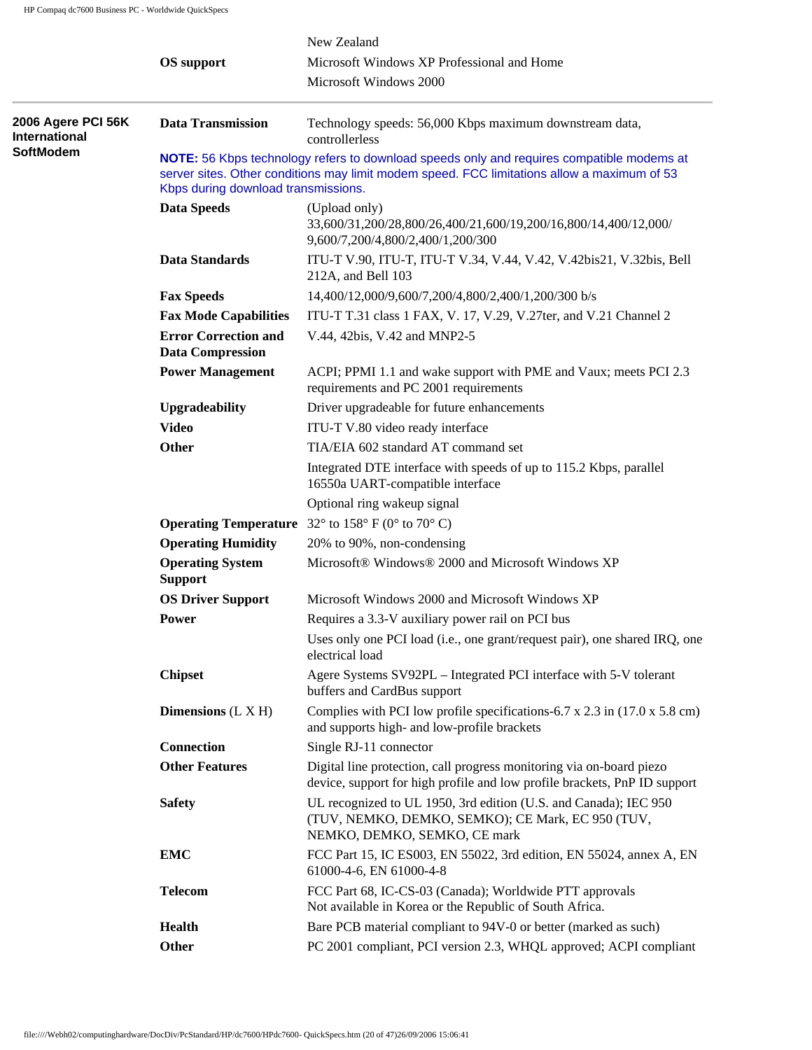|                                            |                                                                                                                                                                                                                                 | New Zealand                                                                                                                                           |  |  |  |
|--------------------------------------------|---------------------------------------------------------------------------------------------------------------------------------------------------------------------------------------------------------------------------------|-------------------------------------------------------------------------------------------------------------------------------------------------------|--|--|--|
|                                            | <b>OS</b> support                                                                                                                                                                                                               | Microsoft Windows XP Professional and Home                                                                                                            |  |  |  |
|                                            |                                                                                                                                                                                                                                 | Microsoft Windows 2000                                                                                                                                |  |  |  |
| 2006 Agere PCI 56K<br><b>International</b> | <b>Data Transmission</b>                                                                                                                                                                                                        | Technology speeds: 56,000 Kbps maximum downstream data,<br>controllerless                                                                             |  |  |  |
| <b>SoftModem</b>                           | NOTE: 56 Kbps technology refers to download speeds only and requires compatible modems at<br>server sites. Other conditions may limit modem speed. FCC limitations allow a maximum of 53<br>Kbps during download transmissions. |                                                                                                                                                       |  |  |  |
|                                            | <b>Data Speeds</b>                                                                                                                                                                                                              | (Upload only)<br>33,600/31,200/28,800/26,400/21,600/19,200/16,800/14,400/12,000/<br>9,600/7,200/4,800/2,400/1,200/300                                 |  |  |  |
|                                            | Data Standards                                                                                                                                                                                                                  | ITU-T V.90, ITU-T, ITU-T V.34, V.44, V.42, V.42bis21, V.32bis, Bell<br>212A, and Bell 103                                                             |  |  |  |
|                                            | <b>Fax Speeds</b>                                                                                                                                                                                                               | 14,400/12,000/9,600/7,200/4,800/2,400/1,200/300 b/s                                                                                                   |  |  |  |
|                                            | <b>Fax Mode Capabilities</b>                                                                                                                                                                                                    | ITU-T T.31 class 1 FAX, V. 17, V.29, V.27ter, and V.21 Channel 2                                                                                      |  |  |  |
|                                            | <b>Error Correction and</b><br><b>Data Compression</b>                                                                                                                                                                          | V.44, 42bis, V.42 and MNP2-5                                                                                                                          |  |  |  |
|                                            | <b>Power Management</b>                                                                                                                                                                                                         | ACPI; PPMI 1.1 and wake support with PME and Vaux; meets PCI 2.3<br>requirements and PC 2001 requirements                                             |  |  |  |
|                                            | <b>Upgradeability</b>                                                                                                                                                                                                           | Driver upgradeable for future enhancements                                                                                                            |  |  |  |
|                                            | <b>Video</b>                                                                                                                                                                                                                    | ITU-T V.80 video ready interface                                                                                                                      |  |  |  |
|                                            | Other                                                                                                                                                                                                                           | TIA/EIA 602 standard AT command set                                                                                                                   |  |  |  |
|                                            |                                                                                                                                                                                                                                 | Integrated DTE interface with speeds of up to 115.2 Kbps, parallel<br>16550a UART-compatible interface                                                |  |  |  |
|                                            |                                                                                                                                                                                                                                 | Optional ring wakeup signal                                                                                                                           |  |  |  |
|                                            |                                                                                                                                                                                                                                 | <b>Operating Temperature</b> 32 $^{\circ}$ to 158 $^{\circ}$ F (0 $^{\circ}$ to 70 $^{\circ}$ C)                                                      |  |  |  |
|                                            | <b>Operating Humidity</b>                                                                                                                                                                                                       | 20% to 90%, non-condensing                                                                                                                            |  |  |  |
|                                            | <b>Operating System</b><br><b>Support</b>                                                                                                                                                                                       | Microsoft® Windows® 2000 and Microsoft Windows XP                                                                                                     |  |  |  |
|                                            | <b>OS Driver Support</b>                                                                                                                                                                                                        | Microsoft Windows 2000 and Microsoft Windows XP                                                                                                       |  |  |  |
|                                            | <b>Power</b>                                                                                                                                                                                                                    | Requires a 3.3-V auxiliary power rail on PCI bus                                                                                                      |  |  |  |
|                                            |                                                                                                                                                                                                                                 | Uses only one PCI load (i.e., one grant/request pair), one shared IRQ, one<br>electrical load                                                         |  |  |  |
|                                            | <b>Chipset</b>                                                                                                                                                                                                                  | Agere Systems SV92PL - Integrated PCI interface with 5-V tolerant<br>buffers and CardBus support                                                      |  |  |  |
|                                            | Dimensions $(L X H)$                                                                                                                                                                                                            | Complies with PCI low profile specifications-6.7 x 2.3 in $(17.0 \times 5.8 \text{ cm})$<br>and supports high- and low-profile brackets               |  |  |  |
|                                            | <b>Connection</b>                                                                                                                                                                                                               | Single RJ-11 connector                                                                                                                                |  |  |  |
|                                            | <b>Other Features</b>                                                                                                                                                                                                           | Digital line protection, call progress monitoring via on-board piezo<br>device, support for high profile and low profile brackets, PnP ID support     |  |  |  |
|                                            | <b>Safety</b>                                                                                                                                                                                                                   | UL recognized to UL 1950, 3rd edition (U.S. and Canada); IEC 950<br>(TUV, NEMKO, DEMKO, SEMKO); CE Mark, EC 950 (TUV,<br>NEMKO, DEMKO, SEMKO, CE mark |  |  |  |
|                                            | <b>EMC</b>                                                                                                                                                                                                                      | FCC Part 15, IC ES003, EN 55022, 3rd edition, EN 55024, annex A, EN<br>61000-4-6, EN 61000-4-8                                                        |  |  |  |
|                                            | <b>Telecom</b>                                                                                                                                                                                                                  | FCC Part 68, IC-CS-03 (Canada); Worldwide PTT approvals<br>Not available in Korea or the Republic of South Africa.                                    |  |  |  |
|                                            | <b>Health</b>                                                                                                                                                                                                                   | Bare PCB material compliant to 94V-0 or better (marked as such)                                                                                       |  |  |  |
|                                            | Other                                                                                                                                                                                                                           | PC 2001 compliant, PCI version 2.3, WHQL approved; ACPI compliant                                                                                     |  |  |  |
|                                            |                                                                                                                                                                                                                                 |                                                                                                                                                       |  |  |  |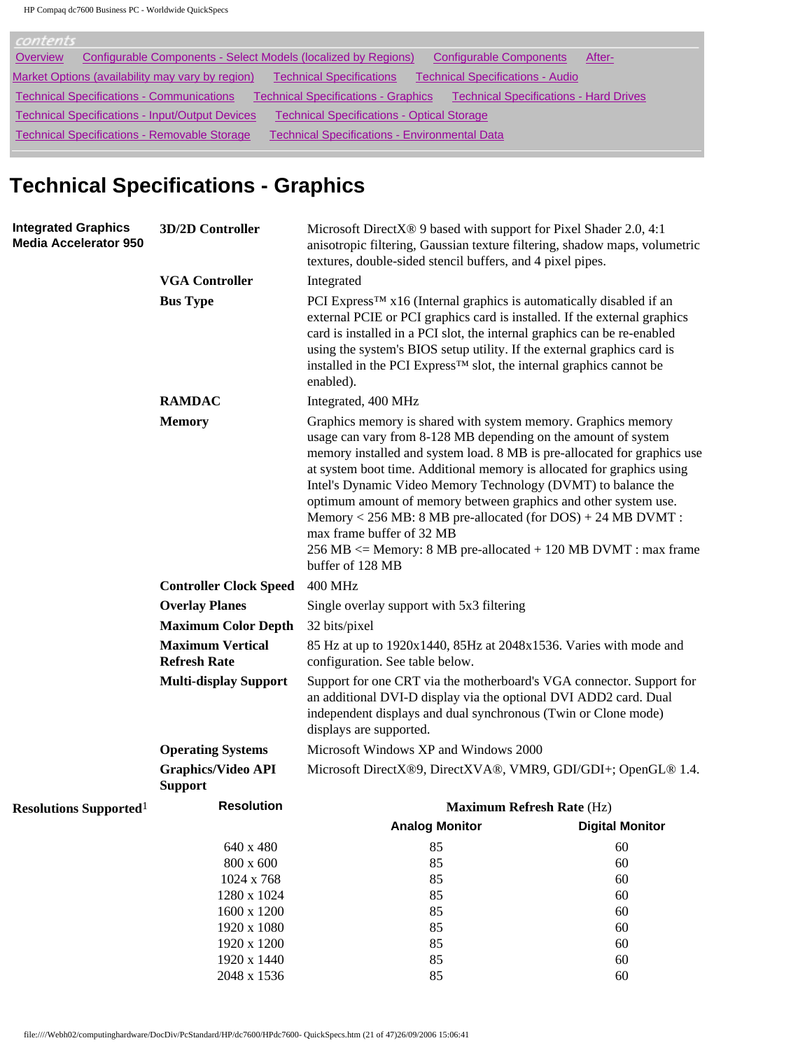| contents                                                                                                                                        |
|-------------------------------------------------------------------------------------------------------------------------------------------------|
| Configurable Components - Select Models (localized by Regions)<br><b>Configurable Components</b><br>Overview<br>After-                          |
| Market Options (availability may vary by region)<br><b>Technical Specifications</b><br><b>Technical Specifications - Audio</b>                  |
| <b>Technical Specifications - Communications</b><br><b>Technical Specifications - Hard Drives</b><br><b>Technical Specifications - Graphics</b> |
| <b>Technical Specifications - Input/Output Devices</b><br><b>Technical Specifications - Optical Storage</b>                                     |
| <b>Technical Specifications - Removable Storage</b><br><b>Technical Specifications - Environmental Data</b>                                     |

# **Technical Specifications - Graphics**

| <b>Integrated Graphics</b><br><b>Media Accelerator 950</b> | 3D/2D Controller                               | Microsoft DirectX <sup>®</sup> 9 based with support for Pixel Shader 2.0, 4:1<br>anisotropic filtering, Gaussian texture filtering, shadow maps, volumetric<br>textures, double-sided stencil buffers, and 4 pixel pipes.                                                                                                                                                                                                                                                                                                                                                                                                                                                                                                                                                                                                                                                                                                                                                                                                                                                                                  |                        |  |  |  |
|------------------------------------------------------------|------------------------------------------------|------------------------------------------------------------------------------------------------------------------------------------------------------------------------------------------------------------------------------------------------------------------------------------------------------------------------------------------------------------------------------------------------------------------------------------------------------------------------------------------------------------------------------------------------------------------------------------------------------------------------------------------------------------------------------------------------------------------------------------------------------------------------------------------------------------------------------------------------------------------------------------------------------------------------------------------------------------------------------------------------------------------------------------------------------------------------------------------------------------|------------------------|--|--|--|
|                                                            | <b>VGA Controller</b>                          | Integrated<br>PCI Express <sup>TM</sup> $x16$ (Internal graphics is automatically disabled if an<br>external PCIE or PCI graphics card is installed. If the external graphics<br>card is installed in a PCI slot, the internal graphics can be re-enabled<br>using the system's BIOS setup utility. If the external graphics card is<br>installed in the PCI Express <sup>™</sup> slot, the internal graphics cannot be<br>enabled).<br>Integrated, 400 MHz<br>Graphics memory is shared with system memory. Graphics memory<br>usage can vary from 8-128 MB depending on the amount of system<br>memory installed and system load. 8 MB is pre-allocated for graphics use<br>at system boot time. Additional memory is allocated for graphics using<br>Intel's Dynamic Video Memory Technology (DVMT) to balance the<br>optimum amount of memory between graphics and other system use.<br>Memory < 256 MB: 8 MB pre-allocated (for DOS) + 24 MB DVMT:<br>max frame buffer of 32 MB<br>$256 \text{ MB} \leq M$ Memory: 8 MB pre-allocated + 120 MB DVMT : max frame<br>buffer of 128 MB<br><b>400 MHz</b> |                        |  |  |  |
|                                                            | <b>Bus Type</b>                                |                                                                                                                                                                                                                                                                                                                                                                                                                                                                                                                                                                                                                                                                                                                                                                                                                                                                                                                                                                                                                                                                                                            |                        |  |  |  |
|                                                            | <b>RAMDAC</b>                                  |                                                                                                                                                                                                                                                                                                                                                                                                                                                                                                                                                                                                                                                                                                                                                                                                                                                                                                                                                                                                                                                                                                            |                        |  |  |  |
|                                                            | <b>Memory</b>                                  |                                                                                                                                                                                                                                                                                                                                                                                                                                                                                                                                                                                                                                                                                                                                                                                                                                                                                                                                                                                                                                                                                                            |                        |  |  |  |
|                                                            | <b>Controller Clock Speed</b>                  |                                                                                                                                                                                                                                                                                                                                                                                                                                                                                                                                                                                                                                                                                                                                                                                                                                                                                                                                                                                                                                                                                                            |                        |  |  |  |
|                                                            | <b>Overlay Planes</b>                          | Single overlay support with 5x3 filtering                                                                                                                                                                                                                                                                                                                                                                                                                                                                                                                                                                                                                                                                                                                                                                                                                                                                                                                                                                                                                                                                  |                        |  |  |  |
|                                                            | <b>Maximum Color Depth</b>                     | 32 bits/pixel                                                                                                                                                                                                                                                                                                                                                                                                                                                                                                                                                                                                                                                                                                                                                                                                                                                                                                                                                                                                                                                                                              |                        |  |  |  |
|                                                            | <b>Maximum Vertical</b><br><b>Refresh Rate</b> | 85 Hz at up to 1920x1440, 85Hz at 2048x1536. Varies with mode and<br>configuration. See table below.<br>Support for one CRT via the motherboard's VGA connector. Support for<br>an additional DVI-D display via the optional DVI ADD2 card. Dual<br>independent displays and dual synchronous (Twin or Clone mode)<br>displays are supported.                                                                                                                                                                                                                                                                                                                                                                                                                                                                                                                                                                                                                                                                                                                                                              |                        |  |  |  |
|                                                            | <b>Multi-display Support</b>                   |                                                                                                                                                                                                                                                                                                                                                                                                                                                                                                                                                                                                                                                                                                                                                                                                                                                                                                                                                                                                                                                                                                            |                        |  |  |  |
|                                                            | <b>Operating Systems</b>                       | Microsoft Windows XP and Windows 2000                                                                                                                                                                                                                                                                                                                                                                                                                                                                                                                                                                                                                                                                                                                                                                                                                                                                                                                                                                                                                                                                      |                        |  |  |  |
|                                                            | <b>Graphics/Video API</b><br><b>Support</b>    | Microsoft DirectX®9, DirectXVA®, VMR9, GDI/GDI+; OpenGL® 1.4.                                                                                                                                                                                                                                                                                                                                                                                                                                                                                                                                                                                                                                                                                                                                                                                                                                                                                                                                                                                                                                              |                        |  |  |  |
| <b>Resolutions Supported</b> <sup>1</sup>                  | <b>Resolution</b>                              | <b>Maximum Refresh Rate (Hz)</b>                                                                                                                                                                                                                                                                                                                                                                                                                                                                                                                                                                                                                                                                                                                                                                                                                                                                                                                                                                                                                                                                           |                        |  |  |  |
|                                                            |                                                | <b>Analog Monitor</b>                                                                                                                                                                                                                                                                                                                                                                                                                                                                                                                                                                                                                                                                                                                                                                                                                                                                                                                                                                                                                                                                                      | <b>Digital Monitor</b> |  |  |  |
|                                                            | 640 x 480                                      | 85                                                                                                                                                                                                                                                                                                                                                                                                                                                                                                                                                                                                                                                                                                                                                                                                                                                                                                                                                                                                                                                                                                         | 60                     |  |  |  |
|                                                            | 800 x 600                                      | 85                                                                                                                                                                                                                                                                                                                                                                                                                                                                                                                                                                                                                                                                                                                                                                                                                                                                                                                                                                                                                                                                                                         | 60                     |  |  |  |
|                                                            | 1024 x 768                                     | 85                                                                                                                                                                                                                                                                                                                                                                                                                                                                                                                                                                                                                                                                                                                                                                                                                                                                                                                                                                                                                                                                                                         | 60                     |  |  |  |
|                                                            | 1280 x 1024                                    | 85                                                                                                                                                                                                                                                                                                                                                                                                                                                                                                                                                                                                                                                                                                                                                                                                                                                                                                                                                                                                                                                                                                         | 60                     |  |  |  |
|                                                            | 1600 x 1200                                    | 85                                                                                                                                                                                                                                                                                                                                                                                                                                                                                                                                                                                                                                                                                                                                                                                                                                                                                                                                                                                                                                                                                                         | 60                     |  |  |  |
|                                                            | 1920 x 1080                                    | 85                                                                                                                                                                                                                                                                                                                                                                                                                                                                                                                                                                                                                                                                                                                                                                                                                                                                                                                                                                                                                                                                                                         | 60                     |  |  |  |
|                                                            | 1920 x 1200                                    | 85                                                                                                                                                                                                                                                                                                                                                                                                                                                                                                                                                                                                                                                                                                                                                                                                                                                                                                                                                                                                                                                                                                         | 60                     |  |  |  |
|                                                            | 1920 x 1440                                    | 85                                                                                                                                                                                                                                                                                                                                                                                                                                                                                                                                                                                                                                                                                                                                                                                                                                                                                                                                                                                                                                                                                                         | 60                     |  |  |  |
|                                                            | 2048 x 1536                                    | 85                                                                                                                                                                                                                                                                                                                                                                                                                                                                                                                                                                                                                                                                                                                                                                                                                                                                                                                                                                                                                                                                                                         | 60                     |  |  |  |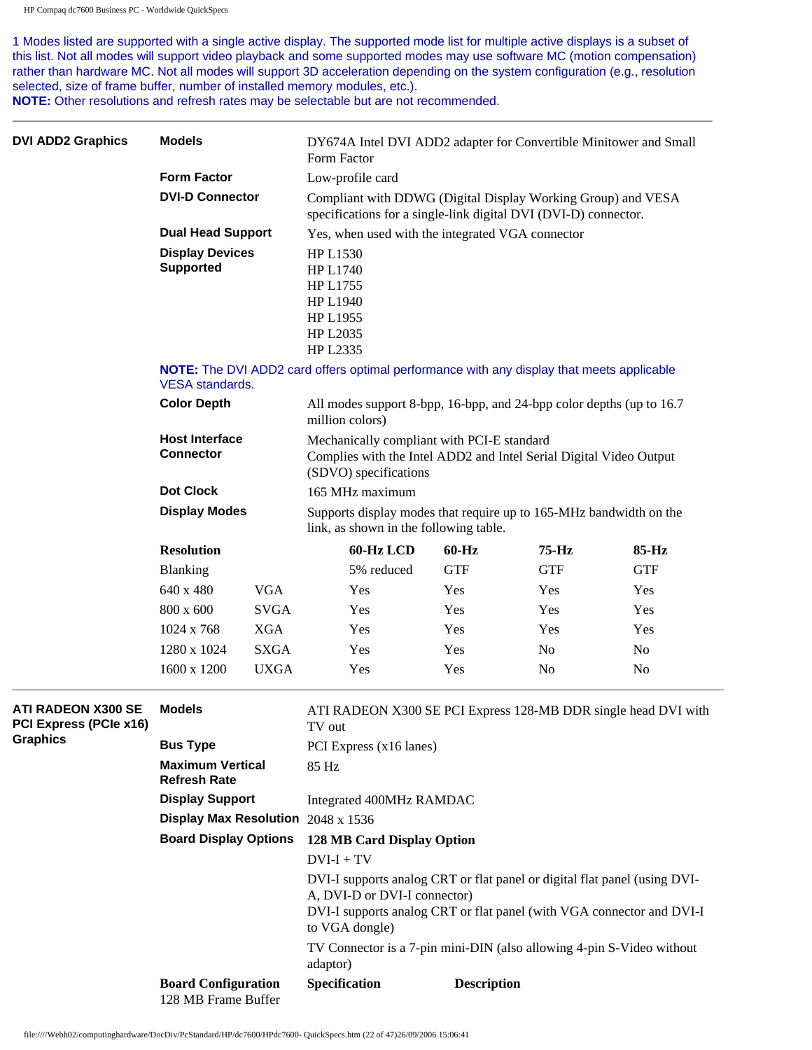1 Modes listed are supported with a single active display. The supported mode list for multiple active displays is a subset of this list. Not all modes will support video playback and some supported modes may use software MC (motion compensation) rather than hardware MC. Not all modes will support 3D acceleration depending on the system configuration (e.g., resolution selected, size of frame buffer, number of installed memory modules, etc.).

**NOTE:** Other resolutions and refresh rates may be selectable but are not recommended.

| <b>DVI ADD2 Graphics</b>                            | Form Factor                                                                                                                   | DY674A Intel DVI ADD2 adapter for Convertible Minitower and Small |                                                                                                                                                                                                      |                    |                |                                                                |  |
|-----------------------------------------------------|-------------------------------------------------------------------------------------------------------------------------------|-------------------------------------------------------------------|------------------------------------------------------------------------------------------------------------------------------------------------------------------------------------------------------|--------------------|----------------|----------------------------------------------------------------|--|
|                                                     | <b>Form Factor</b><br><b>DVI-D Connector</b><br><b>Dual Head Support</b>                                                      |                                                                   | Low-profile card                                                                                                                                                                                     |                    |                |                                                                |  |
|                                                     |                                                                                                                               |                                                                   | Compliant with DDWG (Digital Display Working Group) and VESA<br>specifications for a single-link digital DVI (DVI-D) connector.                                                                      |                    |                |                                                                |  |
|                                                     |                                                                                                                               |                                                                   | Yes, when used with the integrated VGA connector                                                                                                                                                     |                    |                |                                                                |  |
|                                                     | <b>Display Devices</b><br><b>Supported</b>                                                                                    |                                                                   | <b>HP L1530</b><br><b>HP L1740</b><br>HP L1755<br><b>HP L1940</b><br>HP L1955<br>HP L2035                                                                                                            |                    |                |                                                                |  |
|                                                     | VESA standards.                                                                                                               |                                                                   | HP L2335<br>NOTE: The DVI ADD2 card offers optimal performance with any display that meets applicable                                                                                                |                    |                |                                                                |  |
|                                                     | <b>Color Depth</b>                                                                                                            |                                                                   | All modes support 8-bpp, 16-bpp, and 24-bpp color depths (up to 16.7)<br>million colors)                                                                                                             |                    |                |                                                                |  |
|                                                     | <b>Host Interface</b><br><b>Connector</b><br><b>Dot Clock</b><br><b>Display Modes</b><br><b>Resolution</b><br><b>Blanking</b> |                                                                   | Mechanically compliant with PCI-E standard<br>Complies with the Intel ADD2 and Intel Serial Digital Video Output<br>(SDVO) specifications                                                            |                    |                |                                                                |  |
|                                                     |                                                                                                                               |                                                                   | 165 MHz maximum                                                                                                                                                                                      |                    |                |                                                                |  |
|                                                     |                                                                                                                               |                                                                   | Supports display modes that require up to 165-MHz bandwidth on the<br>link, as shown in the following table.                                                                                         |                    |                |                                                                |  |
|                                                     |                                                                                                                               |                                                                   | 60-Hz LCD                                                                                                                                                                                            | $60 - Hz$          | $75-Hz$        | 85-Hz                                                          |  |
|                                                     |                                                                                                                               |                                                                   | 5% reduced                                                                                                                                                                                           | <b>GTF</b>         | <b>GTF</b>     | <b>GTF</b>                                                     |  |
|                                                     | 640 x 480                                                                                                                     | <b>VGA</b>                                                        | Yes                                                                                                                                                                                                  | Yes                | Yes            | Yes                                                            |  |
|                                                     | 800 x 600                                                                                                                     | <b>SVGA</b>                                                       | Yes                                                                                                                                                                                                  | Yes                | Yes            | Yes                                                            |  |
|                                                     | 1024 x 768                                                                                                                    | <b>XGA</b>                                                        | Yes                                                                                                                                                                                                  | Yes                | Yes            | Yes                                                            |  |
|                                                     | 1280 x 1024                                                                                                                   | <b>SXGA</b>                                                       | Yes                                                                                                                                                                                                  | Yes                | N <sub>o</sub> | N <sub>o</sub>                                                 |  |
|                                                     | 1600 x 1200                                                                                                                   | <b>UXGA</b>                                                       | Yes                                                                                                                                                                                                  | Yes                | N <sub>0</sub> | N <sub>0</sub>                                                 |  |
| <b>ATI RADEON X300 SE</b><br>PCI Express (PCIe x16) | <b>Models</b>                                                                                                                 |                                                                   | TV out                                                                                                                                                                                               |                    |                | ATI RADEON X300 SE PCI Express 128-MB DDR single head DVI with |  |
| <b>Graphics</b>                                     | <b>Bus Type</b>                                                                                                               |                                                                   | PCI Express (x16 lanes)                                                                                                                                                                              |                    |                |                                                                |  |
|                                                     | <b>Maximum Vertical</b><br><b>Refresh Rate</b>                                                                                |                                                                   | 85 Hz                                                                                                                                                                                                |                    |                |                                                                |  |
|                                                     | <b>Display Support</b>                                                                                                        |                                                                   | Integrated 400MHz RAMDAC                                                                                                                                                                             |                    |                |                                                                |  |
|                                                     | Display Max Resolution 2048 x 1536                                                                                            |                                                                   |                                                                                                                                                                                                      |                    |                |                                                                |  |
|                                                     | <b>Board Display Options</b>                                                                                                  |                                                                   | 128 MB Card Display Option<br>$DVI-I + TV$                                                                                                                                                           |                    |                |                                                                |  |
|                                                     |                                                                                                                               |                                                                   |                                                                                                                                                                                                      |                    |                |                                                                |  |
|                                                     |                                                                                                                               |                                                                   | DVI-I supports analog CRT or flat panel or digital flat panel (using DVI-<br>A, DVI-D or DVI-I connector)<br>DVI-I supports analog CRT or flat panel (with VGA connector and DVI-I<br>to VGA dongle) |                    |                |                                                                |  |
|                                                     |                                                                                                                               |                                                                   | TV Connector is a 7-pin mini-DIN (also allowing 4-pin S-Video without<br>adaptor)                                                                                                                    |                    |                |                                                                |  |
|                                                     | <b>Board Configuration</b><br>128 MB Frame Buffer                                                                             |                                                                   | Specification                                                                                                                                                                                        | <b>Description</b> |                |                                                                |  |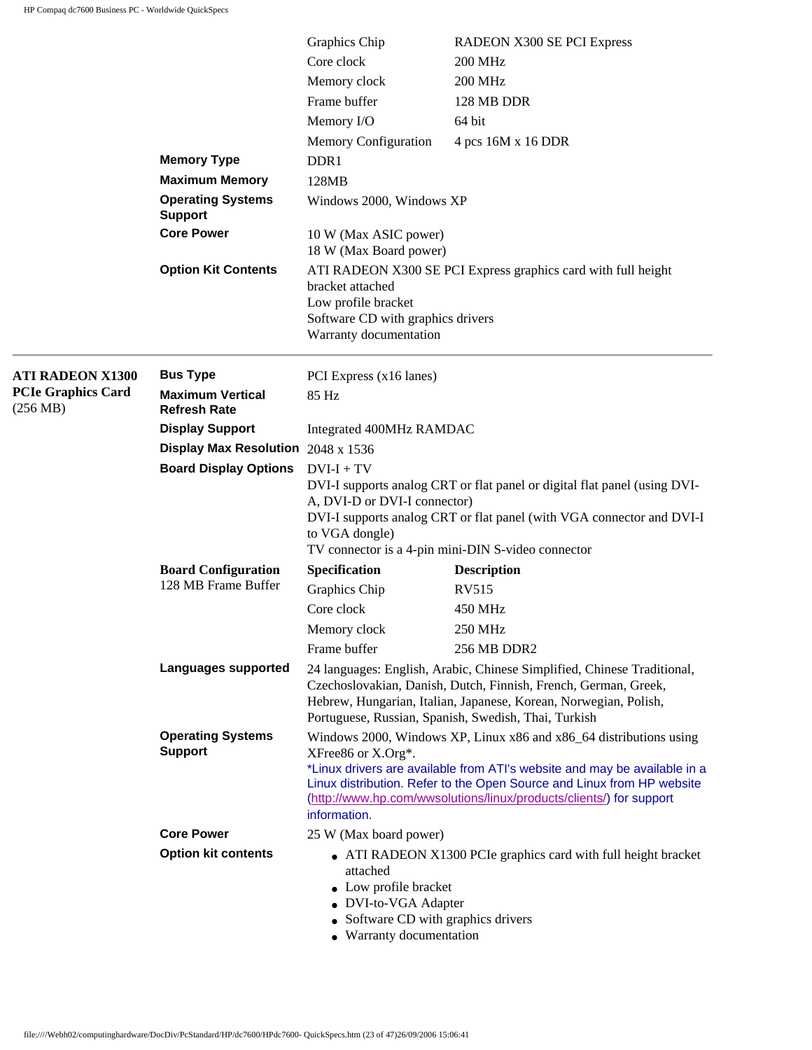|                                       |                                                | Graphics Chip                                                                                                                                                                                                                                                          | RADEON X300 SE PCI Express                                                                                                                                                                                                                                                                       |  |
|---------------------------------------|------------------------------------------------|------------------------------------------------------------------------------------------------------------------------------------------------------------------------------------------------------------------------------------------------------------------------|--------------------------------------------------------------------------------------------------------------------------------------------------------------------------------------------------------------------------------------------------------------------------------------------------|--|
|                                       |                                                | Core clock                                                                                                                                                                                                                                                             | <b>200 MHz</b>                                                                                                                                                                                                                                                                                   |  |
|                                       |                                                | Memory clock                                                                                                                                                                                                                                                           | <b>200 MHz</b>                                                                                                                                                                                                                                                                                   |  |
|                                       |                                                | Frame buffer                                                                                                                                                                                                                                                           | 128 MB DDR                                                                                                                                                                                                                                                                                       |  |
|                                       |                                                | Memory I/O                                                                                                                                                                                                                                                             | 64 bit                                                                                                                                                                                                                                                                                           |  |
|                                       |                                                | <b>Memory Configuration</b>                                                                                                                                                                                                                                            | 4 pcs 16M x 16 DDR                                                                                                                                                                                                                                                                               |  |
|                                       | <b>Memory Type</b>                             | DDR1                                                                                                                                                                                                                                                                   |                                                                                                                                                                                                                                                                                                  |  |
|                                       | <b>Maximum Memory</b>                          | 128MB                                                                                                                                                                                                                                                                  |                                                                                                                                                                                                                                                                                                  |  |
|                                       | <b>Operating Systems</b><br><b>Support</b>     | Windows 2000, Windows XP                                                                                                                                                                                                                                               |                                                                                                                                                                                                                                                                                                  |  |
|                                       | <b>Core Power</b>                              |                                                                                                                                                                                                                                                                        | 10 W (Max ASIC power)<br>18 W (Max Board power)                                                                                                                                                                                                                                                  |  |
|                                       | <b>Option Kit Contents</b>                     | bracket attached<br>Low profile bracket<br>Software CD with graphics drivers<br>Warranty documentation                                                                                                                                                                 | ATI RADEON X300 SE PCI Express graphics card with full height                                                                                                                                                                                                                                    |  |
| <b>ATI RADEON X1300</b>               | <b>Bus Type</b>                                | PCI Express (x16 lanes)                                                                                                                                                                                                                                                |                                                                                                                                                                                                                                                                                                  |  |
| <b>PCIe Graphics Card</b><br>(256 MB) | <b>Maximum Vertical</b><br><b>Refresh Rate</b> | 85 Hz                                                                                                                                                                                                                                                                  |                                                                                                                                                                                                                                                                                                  |  |
|                                       | <b>Display Support</b>                         | Integrated 400MHz RAMDAC                                                                                                                                                                                                                                               |                                                                                                                                                                                                                                                                                                  |  |
|                                       | Display Max Resolution $2048 \times 1536$      |                                                                                                                                                                                                                                                                        |                                                                                                                                                                                                                                                                                                  |  |
|                                       | <b>Board Display Options</b>                   | $DVI + TV$<br>A, DVI-D or DVI-I connector)<br>to VGA dongle)                                                                                                                                                                                                           | DVI-I supports analog CRT or flat panel or digital flat panel (using DVI-<br>DVI-I supports analog CRT or flat panel (with VGA connector and DVI-I<br>TV connector is a 4-pin mini-DIN S-video connector                                                                                         |  |
|                                       | <b>Board Configuration</b>                     | Specification                                                                                                                                                                                                                                                          | <b>Description</b>                                                                                                                                                                                                                                                                               |  |
|                                       | 128 MB Frame Buffer                            | Graphics Chip                                                                                                                                                                                                                                                          | RV515                                                                                                                                                                                                                                                                                            |  |
|                                       |                                                | Core clock                                                                                                                                                                                                                                                             | 450 MHz                                                                                                                                                                                                                                                                                          |  |
|                                       |                                                | Memory clock                                                                                                                                                                                                                                                           | 250 MHz                                                                                                                                                                                                                                                                                          |  |
|                                       |                                                | Frame buffer                                                                                                                                                                                                                                                           | 256 MB DDR2                                                                                                                                                                                                                                                                                      |  |
|                                       | <b>Languages supported</b>                     | 24 languages: English, Arabic, Chinese Simplified, Chinese Traditional,<br>Czechoslovakian, Danish, Dutch, Finnish, French, German, Greek,<br>Hebrew, Hungarian, Italian, Japanese, Korean, Norwegian, Polish,<br>Portuguese, Russian, Spanish, Swedish, Thai, Turkish |                                                                                                                                                                                                                                                                                                  |  |
|                                       | <b>Operating Systems</b><br><b>Support</b>     | XFree86 or X.Org*.<br>information.                                                                                                                                                                                                                                     | Windows 2000, Windows XP, Linux x86 and x86_64 distributions using<br>*Linux drivers are available from ATI's website and may be available in a<br>Linux distribution. Refer to the Open Source and Linux from HP website<br>(http://www.hp.com/wwsolutions/linux/products/clients/) for support |  |
|                                       | <b>Core Power</b>                              | 25 W (Max board power)                                                                                                                                                                                                                                                 |                                                                                                                                                                                                                                                                                                  |  |
|                                       | <b>Option kit contents</b>                     | • ATI RADEON X1300 PCIe graphics card with full height bracket<br>attached<br>• Low profile bracket<br>• DVI-to-VGA Adapter<br>• Software CD with graphics drivers<br>• Warranty documentation                                                                         |                                                                                                                                                                                                                                                                                                  |  |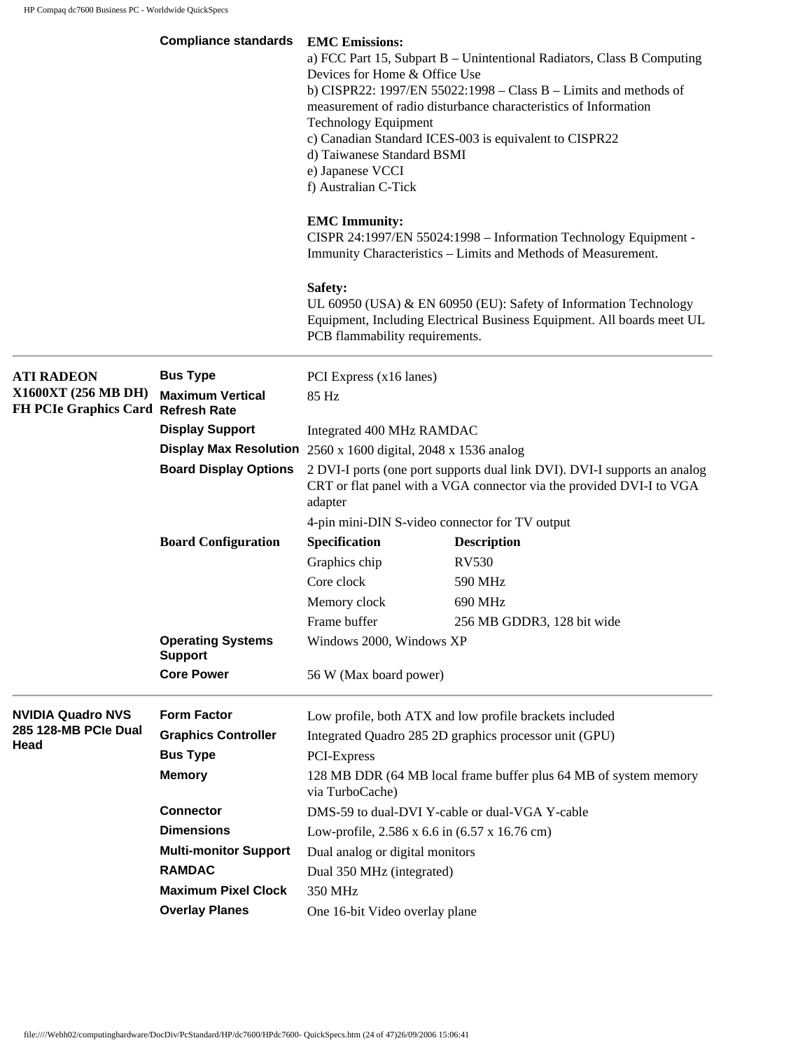|                                                           | <b>Compliance standards</b>                | <b>EMC</b> Emissions:<br>a) FCC Part 15, Subpart B - Unintentional Radiators, Class B Computing<br>Devices for Home & Office Use<br>b) CISPR22: 1997/EN 55022:1998 – Class $B$ – Limits and methods of<br>measurement of radio disturbance characteristics of Information<br><b>Technology Equipment</b><br>c) Canadian Standard ICES-003 is equivalent to CISPR22<br>d) Taiwanese Standard BSMI<br>e) Japanese VCCI<br>f) Australian C-Tick |                                                                                                                                            |  |
|-----------------------------------------------------------|--------------------------------------------|----------------------------------------------------------------------------------------------------------------------------------------------------------------------------------------------------------------------------------------------------------------------------------------------------------------------------------------------------------------------------------------------------------------------------------------------|--------------------------------------------------------------------------------------------------------------------------------------------|--|
|                                                           |                                            | <b>EMC</b> Immunity:                                                                                                                                                                                                                                                                                                                                                                                                                         | CISPR 24:1997/EN 55024:1998 - Information Technology Equipment -<br>Immunity Characteristics - Limits and Methods of Measurement.          |  |
|                                                           |                                            | Safety:<br>PCB flammability requirements.                                                                                                                                                                                                                                                                                                                                                                                                    | UL 60950 (USA) & EN 60950 (EU): Safety of Information Technology<br>Equipment, Including Electrical Business Equipment. All boards meet UL |  |
| <b>ATI RADEON</b>                                         | <b>Bus Type</b>                            | PCI Express (x16 lanes)                                                                                                                                                                                                                                                                                                                                                                                                                      |                                                                                                                                            |  |
| X1600XT (256 MB DH)<br>FH PCIe Graphics Card Refresh Rate | <b>Maximum Vertical</b>                    | 85 Hz                                                                                                                                                                                                                                                                                                                                                                                                                                        |                                                                                                                                            |  |
|                                                           | <b>Display Support</b>                     | Integrated 400 MHz RAMDAC<br>Display Max Resolution $2560 \times 1600$ digital, $2048 \times 1536$ analog                                                                                                                                                                                                                                                                                                                                    |                                                                                                                                            |  |
|                                                           |                                            |                                                                                                                                                                                                                                                                                                                                                                                                                                              |                                                                                                                                            |  |
|                                                           | <b>Board Display Options</b>               | 2 DVI-I ports (one port supports dual link DVI). DVI-I supports an analog<br>CRT or flat panel with a VGA connector via the provided DVI-I to VGA<br>adapter                                                                                                                                                                                                                                                                                 |                                                                                                                                            |  |
|                                                           |                                            |                                                                                                                                                                                                                                                                                                                                                                                                                                              | 4-pin mini-DIN S-video connector for TV output                                                                                             |  |
|                                                           | <b>Board Configuration</b>                 | Specification                                                                                                                                                                                                                                                                                                                                                                                                                                | <b>Description</b>                                                                                                                         |  |
|                                                           |                                            | Graphics chip                                                                                                                                                                                                                                                                                                                                                                                                                                | RV530                                                                                                                                      |  |
|                                                           |                                            | Core clock                                                                                                                                                                                                                                                                                                                                                                                                                                   | 590 MHz                                                                                                                                    |  |
|                                                           |                                            | Memory clock                                                                                                                                                                                                                                                                                                                                                                                                                                 | 690 MHz                                                                                                                                    |  |
|                                                           |                                            | Frame buffer                                                                                                                                                                                                                                                                                                                                                                                                                                 | 256 MB GDDR3, 128 bit wide                                                                                                                 |  |
|                                                           | <b>Operating Systems</b><br><b>Support</b> | Windows 2000, Windows XP                                                                                                                                                                                                                                                                                                                                                                                                                     |                                                                                                                                            |  |
|                                                           | <b>Core Power</b>                          | 56 W (Max board power)                                                                                                                                                                                                                                                                                                                                                                                                                       |                                                                                                                                            |  |
| <b>NVIDIA Quadro NVS</b>                                  | <b>Form Factor</b>                         |                                                                                                                                                                                                                                                                                                                                                                                                                                              | Low profile, both ATX and low profile brackets included                                                                                    |  |
| 285 128-MB PCle Dual                                      | <b>Graphics Controller</b>                 |                                                                                                                                                                                                                                                                                                                                                                                                                                              | Integrated Quadro 285 2D graphics processor unit (GPU)                                                                                     |  |
| Head                                                      | <b>Bus Type</b>                            | PCI-Express                                                                                                                                                                                                                                                                                                                                                                                                                                  |                                                                                                                                            |  |
|                                                           | <b>Memory</b>                              | via TurboCache)                                                                                                                                                                                                                                                                                                                                                                                                                              | 128 MB DDR (64 MB local frame buffer plus 64 MB of system memory                                                                           |  |
|                                                           | <b>Connector</b>                           |                                                                                                                                                                                                                                                                                                                                                                                                                                              | DMS-59 to dual-DVI Y-cable or dual-VGA Y-cable                                                                                             |  |
|                                                           | <b>Dimensions</b>                          |                                                                                                                                                                                                                                                                                                                                                                                                                                              | Low-profile, 2.586 x 6.6 in (6.57 x 16.76 cm)                                                                                              |  |
|                                                           | <b>Multi-monitor Support</b>               | Dual analog or digital monitors                                                                                                                                                                                                                                                                                                                                                                                                              |                                                                                                                                            |  |
|                                                           | <b>RAMDAC</b>                              | Dual 350 MHz (integrated)                                                                                                                                                                                                                                                                                                                                                                                                                    |                                                                                                                                            |  |
|                                                           | <b>Maximum Pixel Clock</b>                 | 350 MHz                                                                                                                                                                                                                                                                                                                                                                                                                                      |                                                                                                                                            |  |
|                                                           | <b>Overlay Planes</b>                      | One 16-bit Video overlay plane                                                                                                                                                                                                                                                                                                                                                                                                               |                                                                                                                                            |  |
|                                                           |                                            |                                                                                                                                                                                                                                                                                                                                                                                                                                              |                                                                                                                                            |  |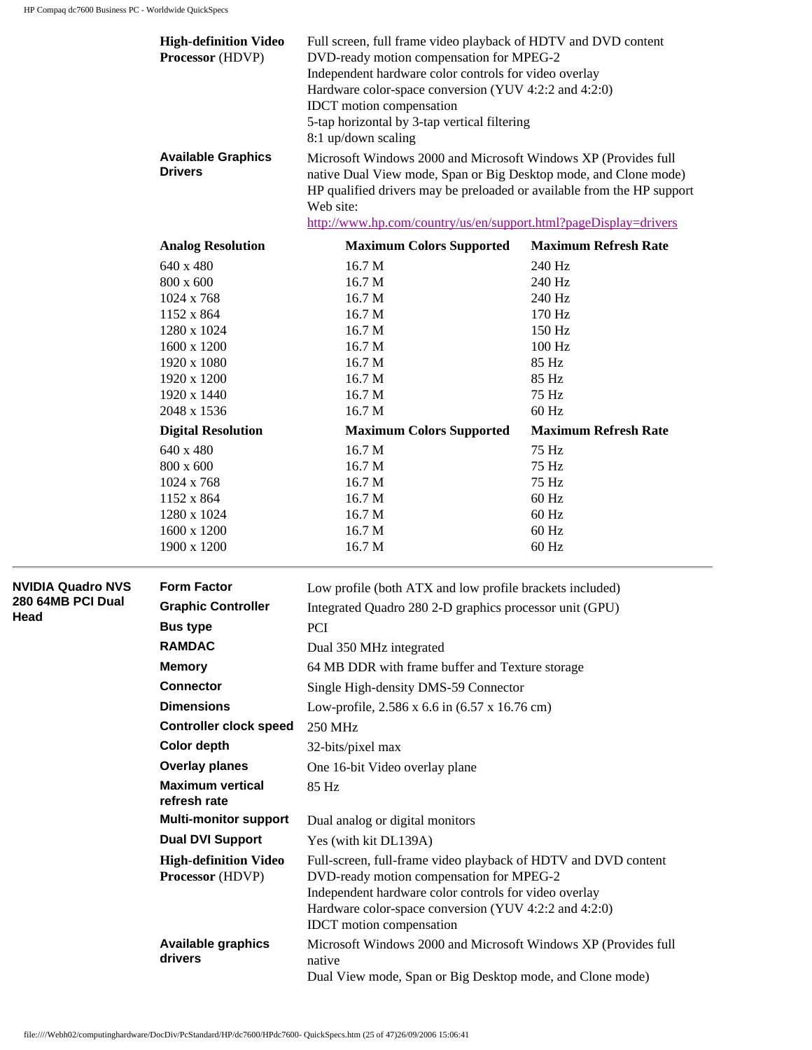**NVIDIA Quadro NVS 280 64MB PCI Dual** 

**Head** 

| <b>High-definition Video</b><br>Processor (HDVP) | Full screen, full frame video playback of HDTV and DVD content<br>DVD-ready motion compensation for MPEG-2<br>Independent hardware color controls for video overlay<br>Hardware color-space conversion (YUV 4:2:2 and 4:2:0)<br>IDCT motion compensation<br>5-tap horizontal by 3-tap vertical filtering<br>8:1 up/down scaling |                             |  |  |
|--------------------------------------------------|---------------------------------------------------------------------------------------------------------------------------------------------------------------------------------------------------------------------------------------------------------------------------------------------------------------------------------|-----------------------------|--|--|
| <b>Available Graphics</b><br><b>Drivers</b>      | Microsoft Windows 2000 and Microsoft Windows XP (Provides full<br>native Dual View mode, Span or Big Desktop mode, and Clone mode)<br>HP qualified drivers may be preloaded or available from the HP support<br>Web site:<br>http://www.hp.com/country/us/en/support.html?pageDisplay=drivers                                   |                             |  |  |
| <b>Analog Resolution</b>                         | <b>Maximum Colors Supported</b>                                                                                                                                                                                                                                                                                                 | <b>Maximum Refresh Rate</b> |  |  |
| 640 x 480                                        | 16.7 M                                                                                                                                                                                                                                                                                                                          | 240 Hz                      |  |  |
| 800 x 600                                        | 16.7 M                                                                                                                                                                                                                                                                                                                          | 240 Hz                      |  |  |
| 1024 x 768                                       | 16.7 M                                                                                                                                                                                                                                                                                                                          | 240 Hz                      |  |  |
| 1152 x 864                                       | 16.7 M                                                                                                                                                                                                                                                                                                                          | 170 Hz                      |  |  |
| 1280 x 1024                                      | 16.7 M                                                                                                                                                                                                                                                                                                                          | 150 Hz                      |  |  |
| 1600 x 1200                                      | 16.7 M                                                                                                                                                                                                                                                                                                                          | $100$ Hz                    |  |  |
| 1920 x 1080                                      | 16.7 M                                                                                                                                                                                                                                                                                                                          | 85 Hz                       |  |  |
| 1920 x 1200                                      | 16.7 M                                                                                                                                                                                                                                                                                                                          | 85 Hz                       |  |  |
| 1920 x 1440                                      | 16.7 M                                                                                                                                                                                                                                                                                                                          | 75 Hz                       |  |  |
| 2048 x 1536                                      | 16.7 <sub>M</sub>                                                                                                                                                                                                                                                                                                               | 60 Hz                       |  |  |
| <b>Digital Resolution</b>                        | <b>Maximum Colors Supported</b>                                                                                                                                                                                                                                                                                                 | <b>Maximum Refresh Rate</b> |  |  |
| 640 x 480                                        | 16.7 <sub>M</sub>                                                                                                                                                                                                                                                                                                               | 75 Hz                       |  |  |
| 800 x 600                                        | 16.7 M                                                                                                                                                                                                                                                                                                                          | 75 Hz                       |  |  |
| 1024 x 768                                       | 16.7 M                                                                                                                                                                                                                                                                                                                          | 75 Hz                       |  |  |
| 1152 x 864                                       | 16.7 M                                                                                                                                                                                                                                                                                                                          | $60$ Hz                     |  |  |
| 1280 x 1024                                      | 16.7 M                                                                                                                                                                                                                                                                                                                          | $60$ Hz                     |  |  |
| 1600 x 1200                                      | 16.7 M                                                                                                                                                                                                                                                                                                                          | $60$ Hz                     |  |  |
| 1900 x 1200                                      | 16.7 M                                                                                                                                                                                                                                                                                                                          | $60$ Hz                     |  |  |
| <b>Form Factor</b>                               | Low profile (both ATX and low profile brackets included)                                                                                                                                                                                                                                                                        |                             |  |  |
| <b>Graphic Controller</b>                        | Integrated Quadro 280 2-D graphics processor unit (GPU)                                                                                                                                                                                                                                                                         |                             |  |  |
| <b>Bus type</b>                                  | <b>PCI</b>                                                                                                                                                                                                                                                                                                                      |                             |  |  |
| <b>RAMDAC</b>                                    | Dual 350 MHz integrated                                                                                                                                                                                                                                                                                                         |                             |  |  |
| <b>Memory</b>                                    | 64 MB DDR with frame buffer and Texture storage                                                                                                                                                                                                                                                                                 |                             |  |  |
|                                                  |                                                                                                                                                                                                                                                                                                                                 |                             |  |  |
| <b>Connector</b>                                 | Single High-density DMS-59 Connector                                                                                                                                                                                                                                                                                            |                             |  |  |
| <b>Dimensions</b>                                | Low-profile, 2.586 x 6.6 in (6.57 x 16.76 cm)                                                                                                                                                                                                                                                                                   |                             |  |  |
| <b>Controller clock speed</b>                    | 250 MHz                                                                                                                                                                                                                                                                                                                         |                             |  |  |
| <b>Color depth</b>                               | 32-bits/pixel max                                                                                                                                                                                                                                                                                                               |                             |  |  |
| <b>Overlay planes</b>                            | One 16-bit Video overlay plane                                                                                                                                                                                                                                                                                                  |                             |  |  |
| <b>Maximum vertical</b><br>refresh rate          | 85 Hz                                                                                                                                                                                                                                                                                                                           |                             |  |  |
| <b>Multi-monitor support</b>                     | Dual analog or digital monitors                                                                                                                                                                                                                                                                                                 |                             |  |  |
| <b>Dual DVI Support</b>                          | Yes (with kit DL139A)                                                                                                                                                                                                                                                                                                           |                             |  |  |
| <b>High-definition Video</b><br>Processor (HDVP) | Full-screen, full-frame video playback of HDTV and DVD content<br>DVD-ready motion compensation for MPEG-2<br>Independent hardware color controls for video overlay<br>Hardware color-space conversion (YUV 4:2:2 and 4:2:0)<br><b>IDCT</b> motion compensation                                                                 |                             |  |  |
| <b>Available graphics</b><br>drivers             | Microsoft Windows 2000 and Microsoft Windows XP (Provides full<br>native<br>Dual View mode, Span or Big Desktop mode, and Clone mode)                                                                                                                                                                                           |                             |  |  |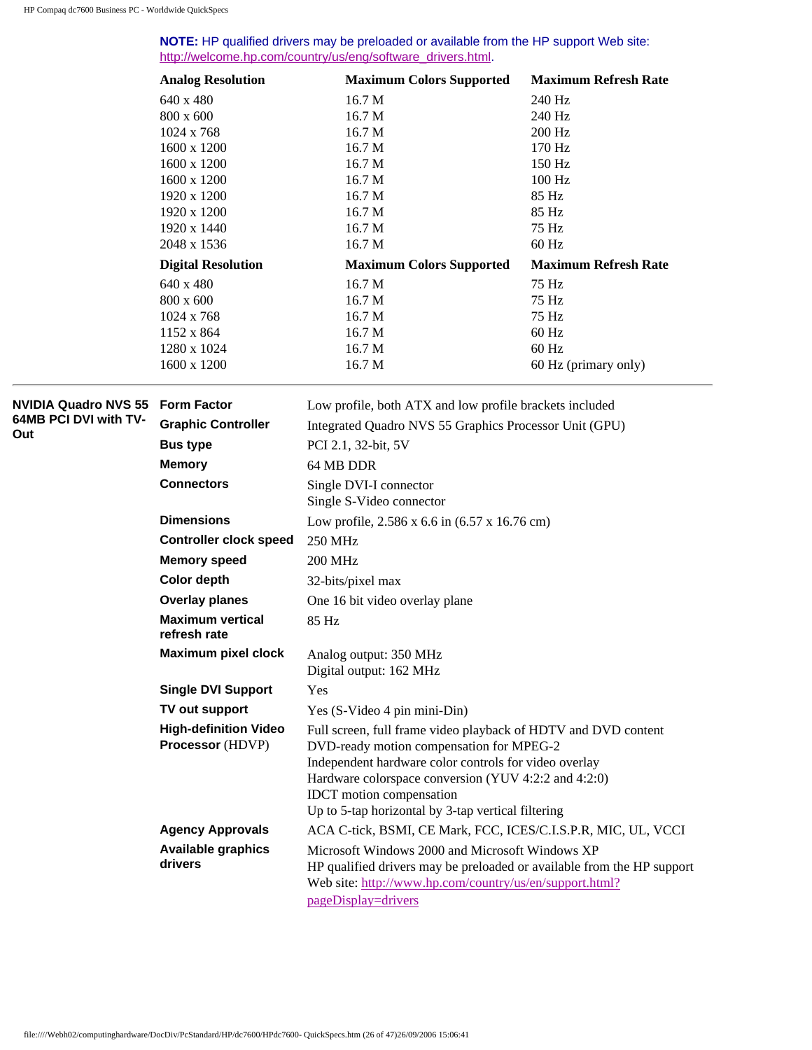**NOTE:** HP qualified drivers may be preloaded or available from the HP support Web site: [http://welcome.hp.com/country/us/eng/software\\_drivers.html](http://welcome.hp.com/country/us/eng/software_drivers.html).

|                             | <b>Analog Resolution</b>                | <b>Maximum Colors Supported</b>                                        | <b>Maximum Refresh Rate</b> |
|-----------------------------|-----------------------------------------|------------------------------------------------------------------------|-----------------------------|
|                             | 640 x 480                               | 16.7 <sub>M</sub>                                                      | 240 Hz                      |
|                             | 800 x 600                               | 16.7 M                                                                 | 240 Hz                      |
|                             | 1024 x 768                              | 16.7 M                                                                 | 200 Hz                      |
|                             | 1600 x 1200                             | 16.7 M                                                                 | 170 Hz                      |
|                             | 1600 x 1200                             | 16.7 M                                                                 | 150 Hz                      |
|                             | 1600 x 1200                             | 16.7 M                                                                 | 100 Hz                      |
|                             | 1920 x 1200                             | 16.7 M                                                                 | 85 Hz                       |
|                             | 1920 x 1200                             | 16.7 M                                                                 | 85 Hz                       |
|                             | 1920 x 1440                             | 16.7 M                                                                 | 75 Hz                       |
|                             | 2048 x 1536                             | 16.7 M                                                                 | 60 Hz                       |
|                             | <b>Digital Resolution</b>               | <b>Maximum Colors Supported</b>                                        | <b>Maximum Refresh Rate</b> |
|                             | 640 x 480                               | 16.7 M                                                                 | 75 Hz                       |
|                             | 800 x 600                               | 16.7 M                                                                 | 75 Hz                       |
|                             | 1024 x 768                              | 16.7 M                                                                 | 75 Hz                       |
|                             | 1152 x 864                              | 16.7 M                                                                 | 60 Hz                       |
|                             | 1280 x 1024                             | 16.7 M                                                                 | 60 Hz                       |
|                             | 1600 x 1200                             | 16.7 M                                                                 | 60 Hz (primary only)        |
| <b>NVIDIA Quadro NVS 55</b> | <b>Form Factor</b>                      | Low profile, both ATX and low profile brackets included                |                             |
| 64MB PCI DVI with TV-       | <b>Graphic Controller</b>               | Integrated Quadro NVS 55 Graphics Processor Unit (GPU)                 |                             |
| Out                         | <b>Bus type</b>                         | PCI 2.1, 32-bit, 5V                                                    |                             |
|                             | <b>Memory</b>                           | 64 MB DDR                                                              |                             |
|                             | <b>Connectors</b>                       |                                                                        |                             |
|                             |                                         | Single DVI-I connector<br>Single S-Video connector                     |                             |
|                             | <b>Dimensions</b>                       | Low profile, 2.586 x 6.6 in (6.57 x 16.76 cm)                          |                             |
|                             | <b>Controller clock speed</b>           | <b>250 MHz</b>                                                         |                             |
|                             | <b>Memory speed</b>                     | <b>200 MHz</b>                                                         |                             |
|                             | <b>Color depth</b>                      | 32-bits/pixel max                                                      |                             |
|                             | <b>Overlay planes</b>                   | One 16 bit video overlay plane                                         |                             |
|                             | <b>Maximum vertical</b><br>refresh rate | 85 Hz                                                                  |                             |
|                             | <b>Maximum pixel clock</b>              | Analog output: 350 MHz                                                 |                             |
|                             |                                         | Digital output: 162 MHz                                                |                             |
|                             | <b>Single DVI Support</b>               | Yes                                                                    |                             |
|                             | TV out support                          | Yes (S-Video 4 pin mini-Din)                                           |                             |
|                             | <b>High-definition Video</b>            | Full screen, full frame video playback of HDTV and DVD content         |                             |
|                             | <b>Processor</b> (HDVP)                 | DVD-ready motion compensation for MPEG-2                               |                             |
|                             |                                         | Independent hardware color controls for video overlay                  |                             |
|                             |                                         | Hardware colorspace conversion (YUV 4:2:2 and 4:2:0)                   |                             |
|                             |                                         | <b>IDCT</b> motion compensation                                        |                             |
|                             |                                         | Up to 5-tap horizontal by 3-tap vertical filtering                     |                             |
|                             | <b>Agency Approvals</b>                 | ACA C-tick, BSMI, CE Mark, FCC, ICES/C.I.S.P.R, MIC, UL, VCCI          |                             |
|                             | <b>Available graphics</b>               | Microsoft Windows 2000 and Microsoft Windows XP                        |                             |
|                             | drivers                                 | HP qualified drivers may be preloaded or available from the HP support |                             |
|                             |                                         | Web site: http://www.hp.com/country/us/en/support.html?                |                             |
|                             |                                         | pageDisplay=drivers                                                    |                             |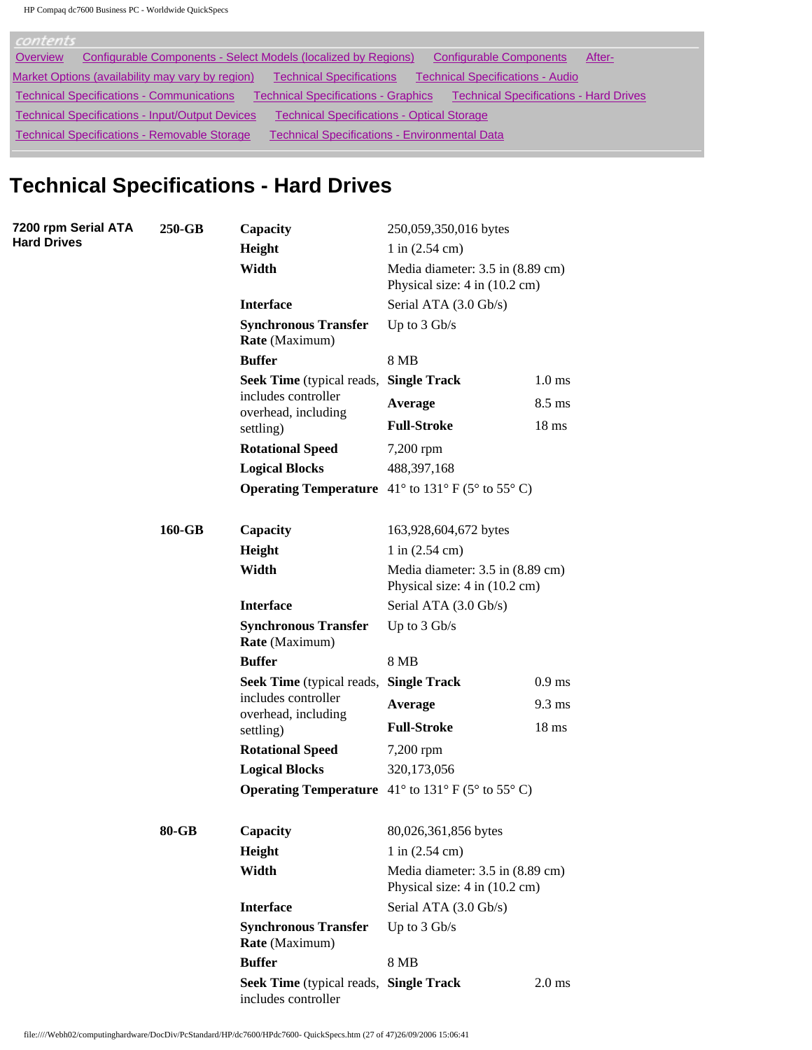| contents                                                                                                                                        |  |
|-------------------------------------------------------------------------------------------------------------------------------------------------|--|
| Configurable Components - Select Models (localized by Regions)<br><b>Configurable Components</b><br>Overview<br>After-                          |  |
| <b>Technical Specifications - Audio</b><br>Market Options (availability may vary by region)<br><b>Technical Specifications</b>                  |  |
| <b>Technical Specifications - Hard Drives</b><br><b>Technical Specifications - Communications</b><br><b>Technical Specifications - Graphics</b> |  |
| <b>Technical Specifications - Input/Output Devices</b><br><b>Technical Specifications - Optical Storage</b>                                     |  |
| <b>Technical Specifications - Removable Storage</b><br><b>Technical Specifications - Environmental Data</b>                                     |  |

# **Technical Specifications - Hard Drives**

| 7200 rpm Serial ATA | 250-GB                                                                                                     | Capacity                                                      | 250,059,350,016 bytes                                                      |                  |
|---------------------|------------------------------------------------------------------------------------------------------------|---------------------------------------------------------------|----------------------------------------------------------------------------|------------------|
| <b>Hard Drives</b>  |                                                                                                            | Height                                                        | $1$ in $(2.54 \text{ cm})$                                                 |                  |
|                     |                                                                                                            | Width                                                         | Media diameter: 3.5 in (8.89 cm)<br>Physical size: 4 in (10.2 cm)          |                  |
|                     |                                                                                                            | <b>Interface</b>                                              | Serial ATA (3.0 Gb/s)                                                      |                  |
|                     |                                                                                                            | <b>Synchronous Transfer</b><br>Rate (Maximum)                 | Up to $3$ Gb/s                                                             |                  |
|                     |                                                                                                            | <b>Buffer</b>                                                 | 8 MB                                                                       |                  |
|                     |                                                                                                            | Seek Time (typical reads, Single Track                        |                                                                            | $1.0$ ms         |
|                     |                                                                                                            | includes controller                                           | Average                                                                    | $8.5 \text{ ms}$ |
|                     |                                                                                                            | overhead, including<br>settling)                              | <b>Full-Stroke</b>                                                         | 18 <sub>ms</sub> |
|                     |                                                                                                            | <b>Rotational Speed</b>                                       | 7,200 rpm                                                                  |                  |
|                     |                                                                                                            | <b>Logical Blocks</b>                                         | 488, 397, 168                                                              |                  |
|                     |                                                                                                            |                                                               | <b>Operating Temperature</b> $41^{\circ}$ to $131^{\circ}$ F (5° to 55° C) |                  |
|                     |                                                                                                            |                                                               |                                                                            |                  |
|                     | 160-GB<br>Capacity<br>Height<br>Width<br><b>Interface</b><br><b>Synchronous Transfer</b><br>Rate (Maximum) |                                                               | 163,928,604,672 bytes                                                      |                  |
|                     |                                                                                                            |                                                               | $1$ in $(2.54 \text{ cm})$                                                 |                  |
|                     |                                                                                                            |                                                               | Media diameter: 3.5 in (8.89 cm)<br>Physical size: 4 in (10.2 cm)          |                  |
|                     |                                                                                                            |                                                               | Serial ATA (3.0 Gb/s)                                                      |                  |
|                     |                                                                                                            | Up to $3$ Gb/s                                                |                                                                            |                  |
|                     |                                                                                                            | <b>Buffer</b>                                                 | <b>8 MB</b>                                                                |                  |
|                     |                                                                                                            | Seek Time (typical reads, Single Track<br>includes controller |                                                                            | $0.9$ ms         |
|                     |                                                                                                            |                                                               | Average                                                                    | $9.3 \text{ ms}$ |
|                     |                                                                                                            | overhead, including<br>settling)                              | <b>Full-Stroke</b>                                                         | 18 <sub>ms</sub> |
|                     |                                                                                                            | <b>Rotational Speed</b>                                       | 7,200 rpm                                                                  |                  |
|                     |                                                                                                            | <b>Logical Blocks</b>                                         | 320,173,056                                                                |                  |
|                     |                                                                                                            |                                                               | <b>Operating Temperature</b> $41^{\circ}$ to $131^{\circ}$ F (5° to 55° C) |                  |
|                     |                                                                                                            |                                                               |                                                                            |                  |
|                     | 80-GB                                                                                                      | Capacity                                                      | 80,026,361,856 bytes                                                       |                  |
|                     |                                                                                                            | Height                                                        | $1$ in $(2.54$ cm)                                                         |                  |
|                     |                                                                                                            | Width                                                         | Media diameter: 3.5 in (8.89 cm)<br>Physical size: 4 in (10.2 cm)          |                  |
|                     |                                                                                                            | <b>Interface</b>                                              | Serial ATA (3.0 Gb/s)                                                      |                  |
|                     |                                                                                                            | <b>Synchronous Transfer</b><br>Rate (Maximum)                 | Up to $3$ Gb/s                                                             |                  |
|                     |                                                                                                            | <b>Buffer</b>                                                 | <b>8 MB</b>                                                                |                  |
|                     |                                                                                                            | Seek Time (typical reads, Single Track<br>includes controller |                                                                            | $2.0$ ms         |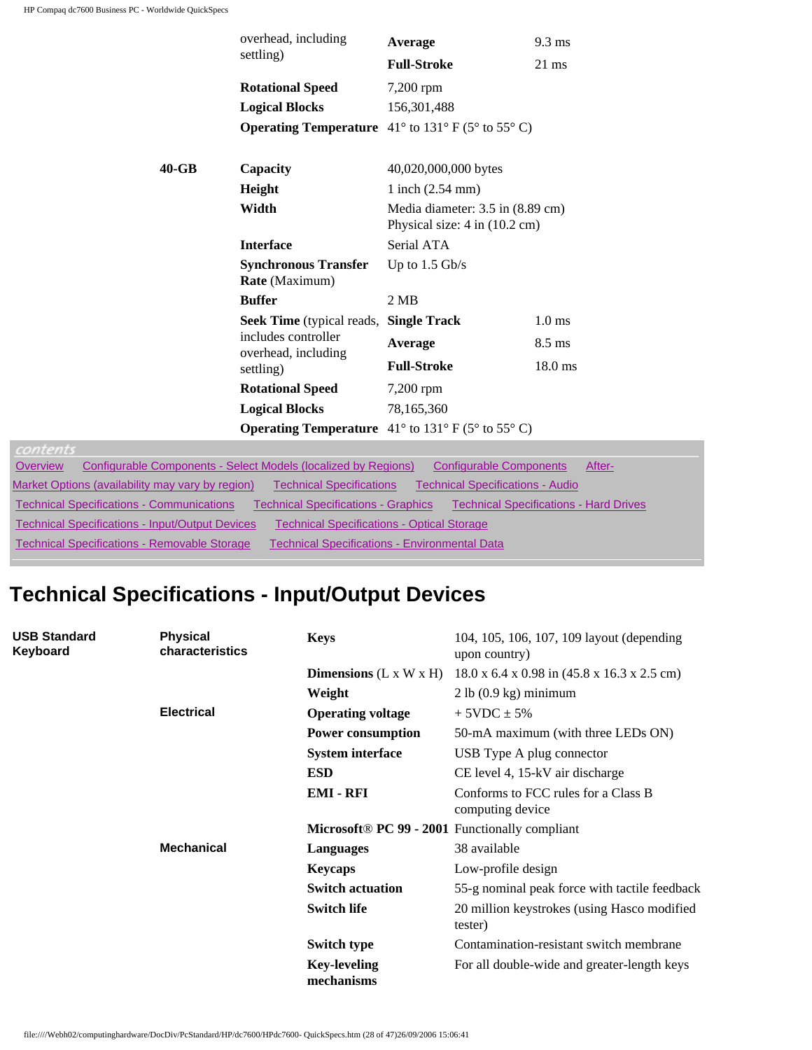|                         | overhead, including                                  | Average                                                                    | $9.3 \text{ ms}$  |  |
|-------------------------|------------------------------------------------------|----------------------------------------------------------------------------|-------------------|--|
|                         | settling)                                            | <b>Full-Stroke</b>                                                         | $21 \text{ ms}$   |  |
|                         | <b>Rotational Speed</b>                              | 7,200 rpm                                                                  |                   |  |
|                         | <b>Logical Blocks</b>                                | 156, 301, 488                                                              |                   |  |
|                         |                                                      | <b>Operating Temperature</b> $41^{\circ}$ to $131^{\circ}$ F (5° to 55° C) |                   |  |
|                         |                                                      |                                                                            |                   |  |
| $40 - GB$               | Capacity                                             | 40,020,000,000 bytes                                                       |                   |  |
| Height                  |                                                      | $1$ inch $(2.54$ mm $)$                                                    |                   |  |
| Width                   |                                                      | Media diameter: 3.5 in (8.89 cm)<br>Physical size: 4 in (10.2 cm)          |                   |  |
|                         | <b>Interface</b>                                     | Serial ATA                                                                 |                   |  |
|                         | <b>Synchronous Transfer</b>                          | Up to $1.5$ Gb/s                                                           |                   |  |
|                         | Rate (Maximum)                                       |                                                                            |                   |  |
|                         | <b>Buffer</b>                                        | $2 \overline{MB}$                                                          |                   |  |
|                         | <b>Seek Time</b> (typical reads, <b>Single Track</b> |                                                                            | $1.0 \text{ ms}$  |  |
|                         | includes controller<br>overhead, including           | Average                                                                    | $8.5 \text{ ms}$  |  |
|                         | settling)                                            | <b>Full-Stroke</b>                                                         | $18.0 \text{ ms}$ |  |
| <b>Rotational Speed</b> |                                                      | 7,200 rpm                                                                  |                   |  |
|                         | <b>Logical Blocks</b>                                | 78,165,360                                                                 |                   |  |
|                         |                                                      | <b>Operating Temperature</b> $41^{\circ}$ to $131^{\circ}$ F (5° to 55° C) |                   |  |

| $\begin{array}{c} \hline \end{array} \qquad \qquad \begin{array}{c} \hline \end{array} \qquad \qquad \begin{array}{c} \hline \end{array} \qquad \qquad \begin{array}{c} \hline \end{array} \qquad \qquad \begin{array}{c} \hline \end{array} \qquad \qquad \begin{array}{c} \hline \end{array} \qquad \qquad \begin{array}{c} \hline \end{array} \qquad \qquad \begin{array}{c} \hline \end{array} \qquad \qquad \begin{array}{c} \hline \end{array} \qquad \qquad \begin{array}{c} \hline \end{array} \qquad \qquad \begin{array}{c} \hline$ |        |
|-----------------------------------------------------------------------------------------------------------------------------------------------------------------------------------------------------------------------------------------------------------------------------------------------------------------------------------------------------------------------------------------------------------------------------------------------------------------------------------------------------------------------------------------------|--------|
| Configurable Components - Select Models (localized by Regions)<br>Configurable Components<br>Overview                                                                                                                                                                                                                                                                                                                                                                                                                                         | After- |
| Market Options (availability may vary by region)<br><b>Technical Specifications - Audio</b><br><b>Technical Specifications</b>                                                                                                                                                                                                                                                                                                                                                                                                                |        |
| <b>Technical Specifications - Communications</b><br>Technical Specifications - Graphics<br><b>Technical Specifications - Hard Drives</b>                                                                                                                                                                                                                                                                                                                                                                                                      |        |
| <b>Technical Specifications - Input/Output Devices</b><br><b>Technical Specifications - Optical Storage</b>                                                                                                                                                                                                                                                                                                                                                                                                                                   |        |
| <b>Technical Specifications - Removable Storage</b><br>Technical Specifications - Environmental Data                                                                                                                                                                                                                                                                                                                                                                                                                                          |        |
|                                                                                                                                                                                                                                                                                                                                                                                                                                                                                                                                               |        |

# **Technical Specifications - Input/Output Devices**

| <b>USB Standard</b><br>Keyboard | <b>Physical</b><br>characteristics | <b>Keys</b>                                    | 104, 105, 106, 107, 109 layout (depending<br>upon country)<br>2 lb (0.9 kg) minimum |  |
|---------------------------------|------------------------------------|------------------------------------------------|-------------------------------------------------------------------------------------|--|
|                                 |                                    | <b>Dimensions</b> $(L \times W \times H)$      | $18.0 \times 6.4 \times 0.98$ in $(45.8 \times 16.3 \times 2.5$ cm)                 |  |
|                                 |                                    | Weight                                         |                                                                                     |  |
|                                 | <b>Electrical</b>                  | <b>Operating voltage</b>                       | $+5VDC + 5%$                                                                        |  |
|                                 |                                    | <b>Power consumption</b>                       | 50-mA maximum (with three LEDs ON)                                                  |  |
|                                 |                                    | <b>System interface</b>                        | USB Type A plug connector                                                           |  |
|                                 |                                    | <b>ESD</b>                                     | CE level 4, 15-kV air discharge                                                     |  |
|                                 |                                    | <b>EMI - RFI</b>                               | Conforms to FCC rules for a Class B<br>computing device                             |  |
|                                 |                                    | Microsoft® PC 99 - 2001 Functionally compliant |                                                                                     |  |
|                                 | <b>Mechanical</b>                  | <b>Languages</b>                               | 38 available                                                                        |  |
|                                 |                                    | <b>Keycaps</b>                                 | Low-profile design                                                                  |  |
|                                 |                                    | <b>Switch actuation</b>                        | 55-g nominal peak force with tactile feedback                                       |  |
|                                 |                                    | <b>Switch life</b>                             | 20 million keystrokes (using Hasco modified<br>tester)                              |  |
|                                 |                                    | Switch type                                    | Contamination-resistant switch membrane                                             |  |
|                                 |                                    | <b>Key-leveling</b><br>mechanisms              | For all double-wide and greater-length keys                                         |  |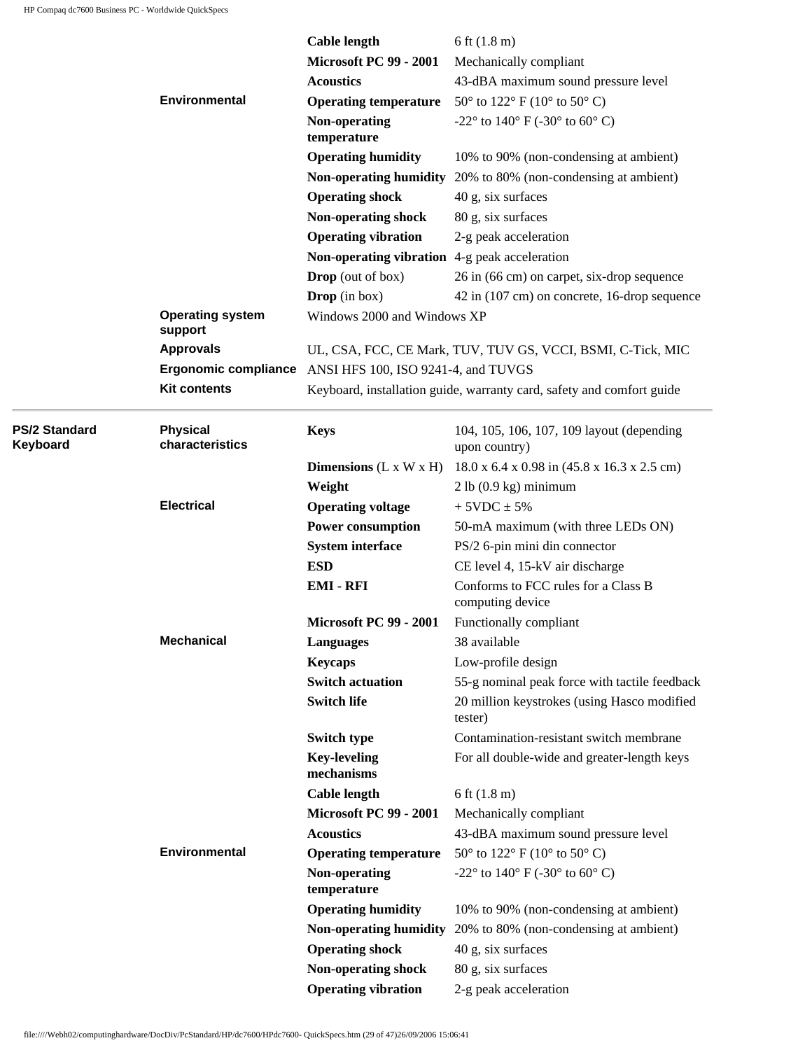ł

|                           |                                    | <b>Cable length</b>                           | 6 ft $(1.8 \text{ m})$                                                 |
|---------------------------|------------------------------------|-----------------------------------------------|------------------------------------------------------------------------|
|                           |                                    | <b>Microsoft PC 99 - 2001</b>                 | Mechanically compliant                                                 |
|                           |                                    | <b>Acoustics</b>                              | 43-dBA maximum sound pressure level                                    |
|                           | <b>Environmental</b>               | <b>Operating temperature</b>                  | $50^{\circ}$ to $122^{\circ}$ F (10° to $50^{\circ}$ C)                |
|                           |                                    | Non-operating                                 | -22 $^{\circ}$ to 140 $^{\circ}$ F (-30 $^{\circ}$ to 60 $^{\circ}$ C) |
|                           |                                    | temperature                                   |                                                                        |
|                           |                                    | <b>Operating humidity</b>                     | 10% to 90% (non-condensing at ambient)                                 |
|                           |                                    |                                               | Non-operating humidity 20% to 80% (non-condensing at ambient)          |
|                           |                                    | <b>Operating shock</b>                        | 40 g, six surfaces                                                     |
|                           |                                    | <b>Non-operating shock</b>                    | 80 g, six surfaces                                                     |
|                           |                                    | <b>Operating vibration</b>                    | 2-g peak acceleration                                                  |
|                           |                                    | Non-operating vibration 4-g peak acceleration |                                                                        |
|                           |                                    | <b>Drop</b> (out of box)                      | 26 in (66 cm) on carpet, six-drop sequence                             |
|                           |                                    | <b>Drop</b> (in box)                          | 42 in (107 cm) on concrete, 16-drop sequence                           |
|                           | <b>Operating system</b><br>support | Windows 2000 and Windows XP                   |                                                                        |
|                           | <b>Approvals</b>                   |                                               | UL, CSA, FCC, CE Mark, TUV, TUV GS, VCCI, BSMI, C-Tick, MIC            |
|                           | <b>Ergonomic compliance</b>        | ANSI HFS 100, ISO 9241-4, and TUVGS           |                                                                        |
|                           | <b>Kit contents</b>                |                                               | Keyboard, installation guide, warranty card, safety and comfort guide  |
| PS/2 Standard<br>Keyboard | <b>Physical</b><br>characteristics | <b>Keys</b>                                   | 104, 105, 106, 107, 109 layout (depending<br>upon country)             |
|                           |                                    | <b>Dimensions</b> $(L \times W \times H)$     | 18.0 x 6.4 x 0.98 in (45.8 x 16.3 x 2.5 cm)                            |
|                           |                                    | Weight                                        | 2 lb (0.9 kg) minimum                                                  |
|                           | <b>Electrical</b>                  | <b>Operating voltage</b>                      | $+5VDC \pm 5%$                                                         |
|                           |                                    | <b>Power consumption</b>                      | 50-mA maximum (with three LEDs ON)                                     |
|                           |                                    | <b>System interface</b>                       | PS/2 6-pin mini din connector                                          |
|                           |                                    | <b>ESD</b>                                    | CE level 4, 15-kV air discharge                                        |
|                           |                                    | <b>EMI-RFI</b>                                | Conforms to FCC rules for a Class B<br>computing device                |
|                           |                                    | <b>Microsoft PC 99 - 2001</b>                 | Functionally compliant                                                 |
|                           | <b>Mechanical</b>                  | <b>Languages</b>                              | 38 available                                                           |
|                           |                                    | <b>Keycaps</b>                                | Low-profile design                                                     |
|                           |                                    | <b>Switch actuation</b>                       | 55-g nominal peak force with tactile feedback                          |
|                           |                                    | <b>Switch life</b>                            | 20 million keystrokes (using Hasco modified<br>tester)                 |
|                           |                                    | Switch type                                   | Contamination-resistant switch membrane                                |
|                           |                                    | <b>Key-leveling</b><br>mechanisms             | For all double-wide and greater-length keys                            |
|                           |                                    | <b>Cable length</b>                           | 6 ft $(1.8 \text{ m})$                                                 |
|                           |                                    | <b>Microsoft PC 99 - 2001</b>                 | Mechanically compliant                                                 |
|                           |                                    | <b>Acoustics</b>                              | 43-dBA maximum sound pressure level                                    |
|                           | <b>Environmental</b>               | <b>Operating temperature</b>                  | $50^{\circ}$ to $122^{\circ}$ F (10° to $50^{\circ}$ C)                |
|                           |                                    | Non-operating                                 | -22 $^{\circ}$ to 140 $^{\circ}$ F (-30 $^{\circ}$ to 60 $^{\circ}$ C) |
|                           |                                    | temperature                                   |                                                                        |
|                           |                                    | <b>Operating humidity</b>                     | 10% to 90% (non-condensing at ambient)                                 |
|                           |                                    | <b>Non-operating humidity</b>                 | 20% to 80% (non-condensing at ambient)                                 |
|                           |                                    | <b>Operating shock</b>                        | 40 g, six surfaces                                                     |
|                           |                                    | Non-operating shock                           | 80 g, six surfaces                                                     |
|                           |                                    | <b>Operating vibration</b>                    | 2-g peak acceleration                                                  |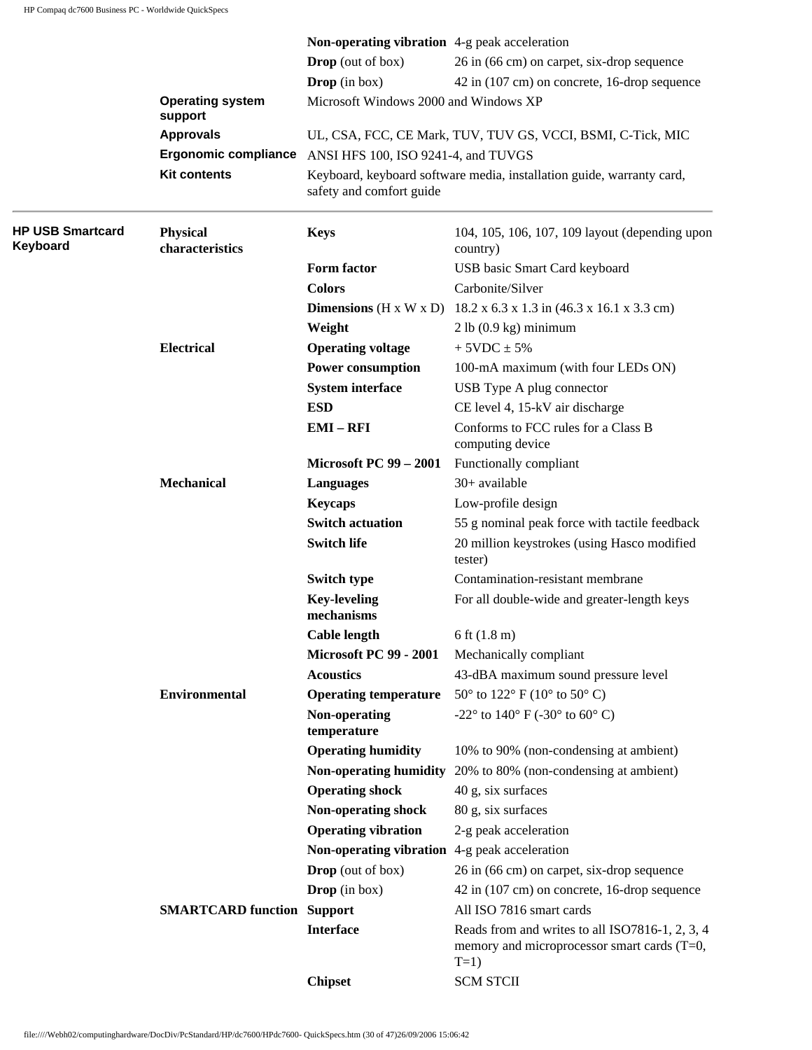|                                     |                                    | Non-operating vibration 4-g peak acceleration |                                                                                                           |  |
|-------------------------------------|------------------------------------|-----------------------------------------------|-----------------------------------------------------------------------------------------------------------|--|
|                                     |                                    | <b>Drop</b> (out of box)                      | 26 in (66 cm) on carpet, six-drop sequence                                                                |  |
|                                     |                                    | Drop (in box)                                 | 42 in (107 cm) on concrete, 16-drop sequence                                                              |  |
|                                     | <b>Operating system</b><br>support | Microsoft Windows 2000 and Windows XP         |                                                                                                           |  |
| <b>Approvals</b>                    |                                    |                                               | UL, CSA, FCC, CE Mark, TUV, TUV GS, VCCI, BSMI, C-Tick, MIC                                               |  |
|                                     | <b>Ergonomic compliance</b>        | ANSI HFS 100, ISO 9241-4, and TUVGS           |                                                                                                           |  |
|                                     | <b>Kit contents</b>                | safety and comfort guide                      | Keyboard, keyboard software media, installation guide, warranty card,                                     |  |
| <b>HP USB Smartcard</b><br>Keyboard | <b>Physical</b><br>characteristics | <b>Keys</b>                                   | 104, 105, 106, 107, 109 layout (depending upon<br>country)                                                |  |
|                                     |                                    | Form factor                                   | USB basic Smart Card keyboard                                                                             |  |
|                                     |                                    | <b>Colors</b>                                 | Carbonite/Silver                                                                                          |  |
|                                     |                                    | <b>Dimensions</b> ( $H \times W \times D$ )   | 18.2 x 6.3 x 1.3 in (46.3 x 16.1 x 3.3 cm)                                                                |  |
|                                     |                                    | Weight                                        | 2 lb (0.9 kg) minimum                                                                                     |  |
|                                     | <b>Electrical</b>                  | <b>Operating voltage</b>                      | $+ 5VDC \pm 5%$                                                                                           |  |
|                                     |                                    | <b>Power consumption</b>                      | 100-mA maximum (with four LEDs ON)                                                                        |  |
|                                     |                                    | <b>System interface</b>                       | USB Type A plug connector                                                                                 |  |
|                                     |                                    | <b>ESD</b>                                    | CE level 4, 15-kV air discharge                                                                           |  |
|                                     |                                    | $EMI - RFI$                                   | Conforms to FCC rules for a Class B<br>computing device                                                   |  |
|                                     |                                    | <b>Microsoft PC 99 - 2001</b>                 | Functionally compliant                                                                                    |  |
|                                     | <b>Mechanical</b>                  | <b>Languages</b>                              | 30+ available                                                                                             |  |
|                                     |                                    | <b>Keycaps</b>                                | Low-profile design                                                                                        |  |
|                                     |                                    | <b>Switch actuation</b>                       | 55 g nominal peak force with tactile feedback                                                             |  |
|                                     |                                    | <b>Switch life</b>                            | 20 million keystrokes (using Hasco modified<br>tester)                                                    |  |
|                                     |                                    | Switch type                                   | Contamination-resistant membrane                                                                          |  |
|                                     |                                    | <b>Key-leveling</b><br>mechanisms             | For all double-wide and greater-length keys                                                               |  |
|                                     |                                    | <b>Cable length</b>                           | $6$ ft $(1.8 \text{ m})$                                                                                  |  |
|                                     |                                    | <b>Microsoft PC 99 - 2001</b>                 | Mechanically compliant                                                                                    |  |
|                                     |                                    | <b>Acoustics</b>                              | 43-dBA maximum sound pressure level                                                                       |  |
|                                     | <b>Environmental</b>               | <b>Operating temperature</b>                  | $50^{\circ}$ to $122^{\circ}$ F $(10^{\circ}$ to $50^{\circ}$ C)                                          |  |
|                                     |                                    | Non-operating<br>temperature                  | -22 $\degree$ to 140 $\degree$ F (-30 $\degree$ to 60 $\degree$ C)                                        |  |
|                                     |                                    | <b>Operating humidity</b>                     | 10% to 90% (non-condensing at ambient)                                                                    |  |
|                                     |                                    | Non-operating humidity                        | 20% to 80% (non-condensing at ambient)                                                                    |  |
|                                     |                                    | <b>Operating shock</b>                        | 40 g, six surfaces                                                                                        |  |
|                                     |                                    | Non-operating shock                           | 80 g, six surfaces                                                                                        |  |
|                                     |                                    | <b>Operating vibration</b>                    | 2-g peak acceleration                                                                                     |  |
|                                     |                                    | Non-operating vibration 4-g peak acceleration |                                                                                                           |  |
|                                     |                                    | <b>Drop</b> (out of box)                      | 26 in (66 cm) on carpet, six-drop sequence                                                                |  |
|                                     |                                    | Drop (in box)                                 | 42 in (107 cm) on concrete, 16-drop sequence                                                              |  |
|                                     | <b>SMARTCARD function Support</b>  |                                               | All ISO 7816 smart cards                                                                                  |  |
|                                     |                                    | <b>Interface</b>                              | Reads from and writes to all ISO7816-1, 2, 3, 4<br>memory and microprocessor smart cards (T=0,<br>$T=1$ ) |  |
|                                     |                                    | <b>Chipset</b>                                | <b>SCM STCII</b>                                                                                          |  |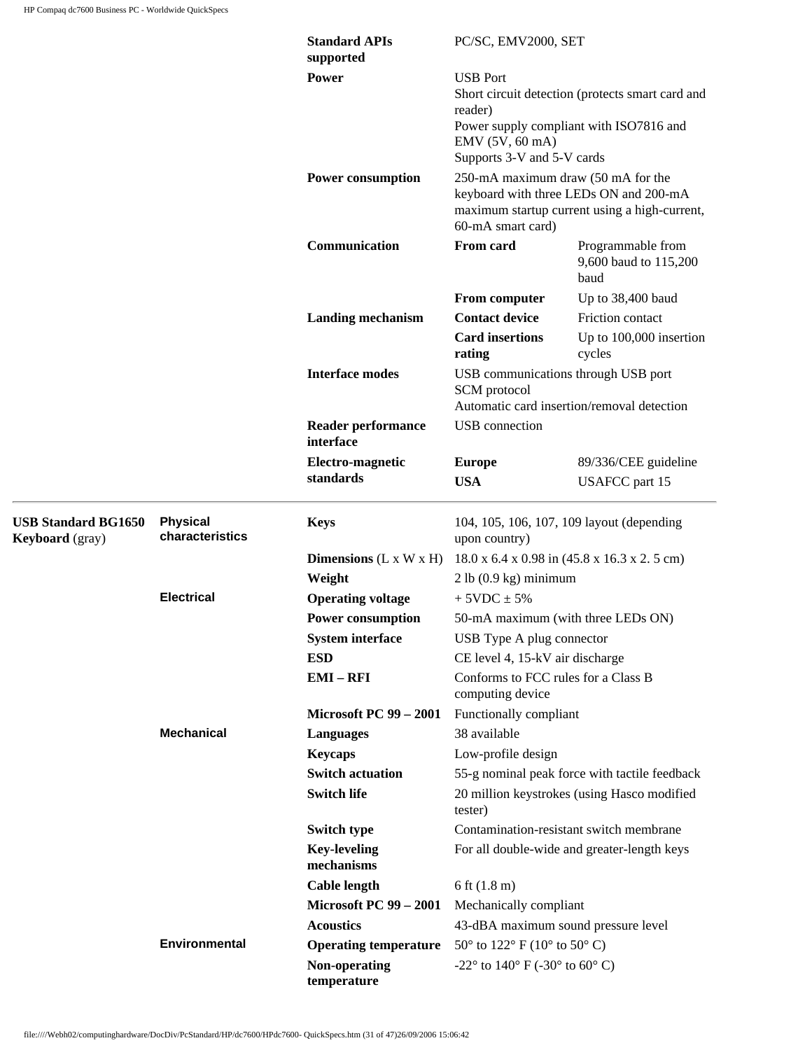|                                                      |                                    | <b>Standard APIs</b><br>supported                         | PC/SC, EMV2000, SET                                                                                                                                                                                                                                                                                                              |                                                    |  |
|------------------------------------------------------|------------------------------------|-----------------------------------------------------------|----------------------------------------------------------------------------------------------------------------------------------------------------------------------------------------------------------------------------------------------------------------------------------------------------------------------------------|----------------------------------------------------|--|
|                                                      |                                    | <b>Power</b><br><b>Power consumption</b><br>Communication | <b>USB</b> Port<br>Short circuit detection (protects smart card and<br>reader)<br>Power supply compliant with ISO7816 and<br>EMV (5V, 60 mA)<br>Supports 3-V and 5-V cards<br>250-mA maximum draw (50 mA for the<br>keyboard with three LEDs ON and 200-mA<br>maximum startup current using a high-current,<br>60-mA smart card) |                                                    |  |
|                                                      |                                    |                                                           |                                                                                                                                                                                                                                                                                                                                  |                                                    |  |
|                                                      |                                    |                                                           | <b>From card</b>                                                                                                                                                                                                                                                                                                                 | Programmable from<br>9,600 baud to 115,200<br>baud |  |
|                                                      |                                    |                                                           | From computer                                                                                                                                                                                                                                                                                                                    | Up to 38,400 baud                                  |  |
|                                                      |                                    | <b>Landing mechanism</b>                                  | <b>Contact device</b>                                                                                                                                                                                                                                                                                                            | Friction contact                                   |  |
|                                                      |                                    |                                                           | <b>Card insertions</b><br>rating                                                                                                                                                                                                                                                                                                 | Up to 100,000 insertion<br>cycles                  |  |
|                                                      |                                    | <b>Interface modes</b>                                    | USB communications through USB port<br>SCM protocol<br>Automatic card insertion/removal detection<br>USB connection                                                                                                                                                                                                              |                                                    |  |
|                                                      |                                    | <b>Reader performance</b><br>interface                    |                                                                                                                                                                                                                                                                                                                                  |                                                    |  |
|                                                      |                                    | Electro-magnetic                                          | <b>Europe</b>                                                                                                                                                                                                                                                                                                                    | 89/336/CEE guideline                               |  |
|                                                      |                                    | standards                                                 | <b>USA</b>                                                                                                                                                                                                                                                                                                                       | <b>USAFCC</b> part 15                              |  |
| <b>USB Standard BG1650</b><br><b>Keyboard</b> (gray) | <b>Physical</b><br>characteristics | <b>Keys</b>                                               | 104, 105, 106, 107, 109 layout (depending<br>upon country)                                                                                                                                                                                                                                                                       |                                                    |  |
|                                                      |                                    | <b>Dimensions</b> $(L \times W \times H)$                 |                                                                                                                                                                                                                                                                                                                                  | 18.0 x 6.4 x 0.98 in (45.8 x 16.3 x 2.5 cm)        |  |
|                                                      |                                    | Weight                                                    | 2 lb (0.9 kg) minimum                                                                                                                                                                                                                                                                                                            |                                                    |  |
|                                                      | <b>Electrical</b>                  | <b>Operating voltage</b>                                  | $+5VDC \pm 5%$                                                                                                                                                                                                                                                                                                                   |                                                    |  |
|                                                      |                                    | <b>Power consumption</b>                                  | 50-mA maximum (with three LEDs ON)                                                                                                                                                                                                                                                                                               |                                                    |  |
|                                                      |                                    | <b>System interface</b>                                   | USB Type A plug connector                                                                                                                                                                                                                                                                                                        |                                                    |  |
|                                                      |                                    | <b>ESD</b>                                                | CE level 4, 15-kV air discharge                                                                                                                                                                                                                                                                                                  |                                                    |  |
|                                                      |                                    | $EMI - RFI$                                               | Conforms to FCC rules for a Class B<br>computing device                                                                                                                                                                                                                                                                          |                                                    |  |
|                                                      |                                    | <b>Microsoft PC 99 - 2001</b>                             | Functionally compliant                                                                                                                                                                                                                                                                                                           |                                                    |  |
|                                                      | <b>Mechanical</b>                  | <b>Languages</b>                                          | 38 available                                                                                                                                                                                                                                                                                                                     |                                                    |  |
|                                                      |                                    | <b>Keycaps</b>                                            | Low-profile design                                                                                                                                                                                                                                                                                                               |                                                    |  |
|                                                      |                                    | <b>Switch actuation</b>                                   |                                                                                                                                                                                                                                                                                                                                  | 55-g nominal peak force with tactile feedback      |  |
|                                                      |                                    | <b>Switch life</b>                                        | tester)                                                                                                                                                                                                                                                                                                                          | 20 million keystrokes (using Hasco modified        |  |
|                                                      |                                    | <b>Switch type</b>                                        |                                                                                                                                                                                                                                                                                                                                  | Contamination-resistant switch membrane            |  |
|                                                      |                                    | <b>Key-leveling</b><br>mechanisms                         |                                                                                                                                                                                                                                                                                                                                  | For all double-wide and greater-length keys        |  |
|                                                      |                                    | <b>Cable length</b>                                       | 6 ft $(1.8 \text{ m})$                                                                                                                                                                                                                                                                                                           |                                                    |  |
|                                                      |                                    | <b>Microsoft PC 99 - 2001</b>                             | Mechanically compliant                                                                                                                                                                                                                                                                                                           |                                                    |  |
|                                                      |                                    | <b>Acoustics</b>                                          | 43-dBA maximum sound pressure level                                                                                                                                                                                                                                                                                              |                                                    |  |
|                                                      | <b>Environmental</b>               | <b>Operating temperature</b>                              | $50^{\circ}$ to $122^{\circ}$ F (10° to $50^{\circ}$ C)                                                                                                                                                                                                                                                                          |                                                    |  |
|                                                      |                                    | Non-operating<br>temperature                              | -22 $\degree$ to 140 $\degree$ F (-30 $\degree$ to 60 $\degree$ C)                                                                                                                                                                                                                                                               |                                                    |  |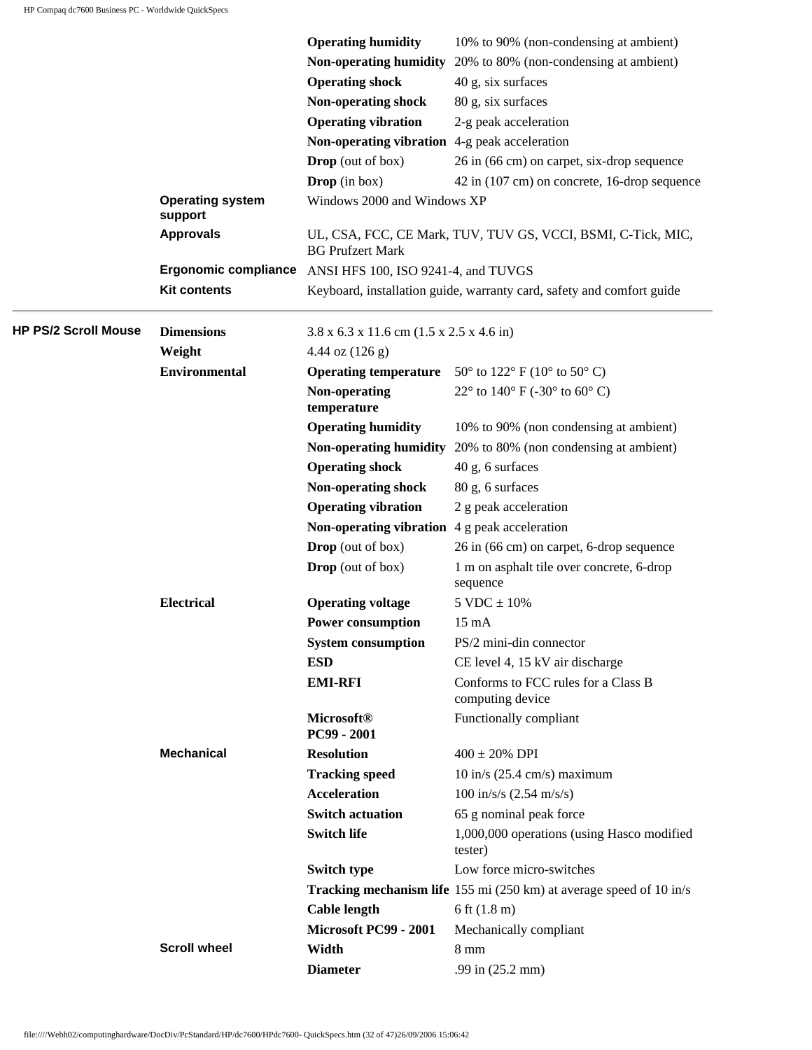|                             |                             | <b>Operating humidity</b>                                        | 10% to 90% (non-condensing at ambient)                                |
|-----------------------------|-----------------------------|------------------------------------------------------------------|-----------------------------------------------------------------------|
|                             |                             |                                                                  | Non-operating humidity 20% to 80% (non-condensing at ambient)         |
|                             |                             | <b>Operating shock</b>                                           | 40 g, six surfaces                                                    |
|                             |                             | Non-operating shock                                              | 80 g, six surfaces                                                    |
|                             |                             | <b>Operating vibration</b>                                       | 2-g peak acceleration                                                 |
|                             |                             | Non-operating vibration 4-g peak acceleration                    |                                                                       |
|                             |                             | <b>Drop</b> (out of box)                                         | 26 in (66 cm) on carpet, six-drop sequence                            |
|                             |                             | <b>Drop</b> (in box)                                             | 42 in (107 cm) on concrete, 16-drop sequence                          |
|                             | <b>Operating system</b>     | Windows 2000 and Windows XP                                      |                                                                       |
|                             | support<br><b>Approvals</b> |                                                                  | UL, CSA, FCC, CE Mark, TUV, TUV GS, VCCI, BSMI, C-Tick, MIC,          |
|                             |                             | <b>BG Prufzert Mark</b>                                          |                                                                       |
|                             | <b>Ergonomic compliance</b> | ANSI HFS 100, ISO 9241-4, and TUVGS                              |                                                                       |
|                             | <b>Kit contents</b>         |                                                                  | Keyboard, installation guide, warranty card, safety and comfort guide |
| <b>HP PS/2 Scroll Mouse</b> | <b>Dimensions</b>           | $3.8 \times 6.3 \times 11.6$ cm $(1.5 \times 2.5 \times 4.6)$ in |                                                                       |
|                             | Weight                      | 4.44 oz $(126 g)$                                                |                                                                       |
|                             | <b>Environmental</b>        |                                                                  | <b>Operating temperature</b> 50° to 122° F (10° to 50° C)             |
|                             |                             | Non-operating<br>temperature                                     | 22 $\degree$ to 140 $\degree$ F (-30 $\degree$ to 60 $\degree$ C)     |
|                             |                             | <b>Operating humidity</b>                                        | 10% to 90% (non condensing at ambient)                                |
|                             |                             |                                                                  | Non-operating humidity 20% to 80% (non condensing at ambient)         |
|                             |                             | <b>Operating shock</b>                                           | 40 g, 6 surfaces                                                      |
|                             |                             | Non-operating shock                                              | 80 g, 6 surfaces                                                      |
|                             |                             | <b>Operating vibration</b>                                       | 2 g peak acceleration                                                 |
|                             |                             | Non-operating vibration $4g$ peak acceleration                   |                                                                       |
|                             |                             | <b>Drop</b> (out of box)                                         | 26 in (66 cm) on carpet, 6-drop sequence                              |
|                             |                             | <b>Drop</b> (out of box)                                         | 1 m on asphalt tile over concrete, 6-drop<br>sequence                 |
|                             | <b>Electrical</b>           | <b>Operating voltage</b>                                         | $5$ VDC $\pm$ 10%                                                     |
|                             |                             | <b>Power consumption</b>                                         | $15 \text{ mA}$                                                       |
|                             |                             | <b>System consumption</b>                                        | PS/2 mini-din connector                                               |
|                             |                             | <b>ESD</b>                                                       | CE level 4, 15 kV air discharge                                       |
|                             |                             | <b>EMI-RFI</b>                                                   | Conforms to FCC rules for a Class B<br>computing device               |
|                             |                             | <b>Microsoft®</b><br>PC99 - 2001                                 | Functionally compliant                                                |
|                             | <b>Mechanical</b>           | <b>Resolution</b>                                                | $400 \pm 20\%$ DPI                                                    |
|                             |                             | <b>Tracking speed</b>                                            | $10$ in/s (25.4 cm/s) maximum                                         |
|                             |                             | <b>Acceleration</b>                                              | $100 \text{ in/s/s} (2.54 \text{ m/s/s})$                             |
|                             |                             | <b>Switch actuation</b>                                          | 65 g nominal peak force                                               |
|                             |                             | <b>Switch life</b>                                               | 1,000,000 operations (using Hasco modified<br>tester)                 |
|                             |                             | Switch type                                                      | Low force micro-switches                                              |
|                             |                             |                                                                  | Tracking mechanism life 155 mi (250 km) at average speed of 10 in/s   |
|                             |                             | <b>Cable length</b>                                              | 6 ft $(1.8 \text{ m})$                                                |
|                             |                             | Microsoft PC99 - 2001                                            | Mechanically compliant                                                |
|                             | <b>Scroll wheel</b>         | Width                                                            | $8 \text{ mm}$                                                        |
|                             |                             | <b>Diameter</b>                                                  | .99 in (25.2 mm)                                                      |
|                             |                             |                                                                  |                                                                       |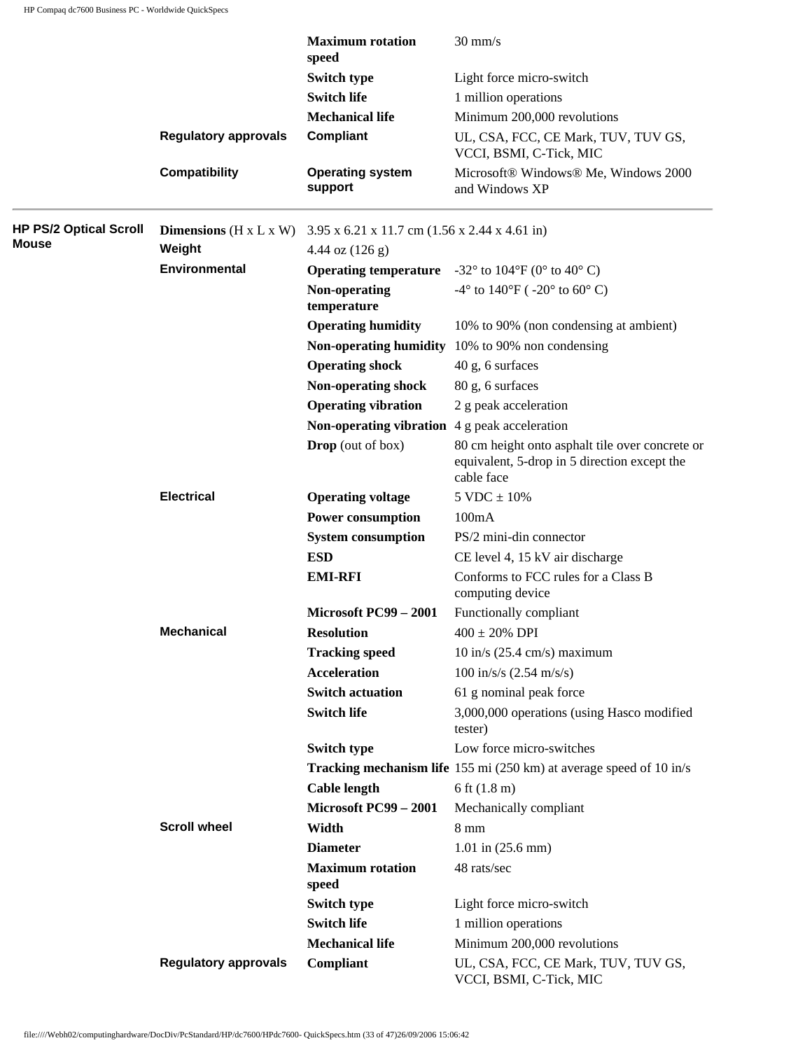|                               |                                             | <b>Maximum</b> rotation<br>speed                                      | $30 \text{ mm/s}$                                                                                             |
|-------------------------------|---------------------------------------------|-----------------------------------------------------------------------|---------------------------------------------------------------------------------------------------------------|
|                               |                                             | <b>Switch type</b>                                                    | Light force micro-switch                                                                                      |
|                               |                                             | <b>Switch life</b>                                                    | 1 million operations                                                                                          |
|                               |                                             | <b>Mechanical life</b>                                                | Minimum 200,000 revolutions                                                                                   |
|                               | <b>Regulatory approvals</b>                 | Compliant                                                             | UL, CSA, FCC, CE Mark, TUV, TUV GS,<br>VCCI, BSMI, C-Tick, MIC                                                |
|                               | <b>Compatibility</b>                        | <b>Operating system</b><br>support                                    | Microsoft® Windows® Me, Windows 2000<br>and Windows XP                                                        |
| <b>HP PS/2 Optical Scroll</b> | <b>Dimensions</b> ( $H \times L \times W$ ) | $3.95 \times 6.21 \times 11.7$ cm $(1.56 \times 2.44 \times 4.61$ in) |                                                                                                               |
| Mouse                         | Weight                                      | 4.44 oz $(126 g)$                                                     |                                                                                                               |
|                               | <b>Environmental</b>                        |                                                                       | <b>Operating temperature</b> $-32^{\circ}$ to $104^{\circ}F$ (0° to 40° C)                                    |
|                               |                                             | Non-operating<br>temperature                                          | -4° to 140°F ( $-20$ ° to 60°C)                                                                               |
|                               |                                             | <b>Operating humidity</b>                                             | 10% to 90% (non condensing at ambient)                                                                        |
|                               |                                             |                                                                       | Non-operating humidity 10% to 90% non condensing                                                              |
|                               |                                             | <b>Operating shock</b>                                                | 40 g, 6 surfaces                                                                                              |
|                               |                                             | Non-operating shock                                                   | 80 g, 6 surfaces                                                                                              |
|                               |                                             | <b>Operating vibration</b>                                            | 2 g peak acceleration                                                                                         |
|                               |                                             | <b>Non-operating vibration</b> $\overline{4}$ g peak acceleration     |                                                                                                               |
|                               |                                             | <b>Drop</b> (out of box)                                              | 80 cm height onto asphalt tile over concrete or<br>equivalent, 5-drop in 5 direction except the<br>cable face |
|                               | <b>Electrical</b>                           | <b>Operating voltage</b>                                              | $5 \text{ VDC} \pm 10\%$                                                                                      |
|                               |                                             | <b>Power consumption</b>                                              | 100mA                                                                                                         |
|                               |                                             | <b>System consumption</b>                                             | PS/2 mini-din connector                                                                                       |
|                               |                                             | <b>ESD</b>                                                            | CE level 4, 15 kV air discharge                                                                               |
|                               |                                             | <b>EMI-RFI</b>                                                        | Conforms to FCC rules for a Class B<br>computing device                                                       |
|                               |                                             | Microsoft PC99 - 2001                                                 | Functionally compliant                                                                                        |
|                               | <b>Mechanical</b>                           | <b>Resolution</b>                                                     | $400 \pm 20\%$ DPI                                                                                            |
|                               |                                             | <b>Tracking speed</b>                                                 | $10$ in/s (25.4 cm/s) maximum                                                                                 |
|                               |                                             | <b>Acceleration</b>                                                   | $100 \text{ in/s/s} (2.54 \text{ m/s/s})$                                                                     |
|                               |                                             | <b>Switch actuation</b>                                               | 61 g nominal peak force                                                                                       |
|                               |                                             | <b>Switch life</b>                                                    | 3,000,000 operations (using Hasco modified<br>tester)                                                         |
|                               |                                             | <b>Switch type</b>                                                    | Low force micro-switches                                                                                      |
|                               |                                             |                                                                       | <b>Tracking mechanism life</b> 155 mi (250 km) at average speed of 10 in/s                                    |
|                               |                                             | <b>Cable length</b>                                                   | 6 ft $(1.8 \text{ m})$                                                                                        |
|                               |                                             | Microsoft PC99 - 2001                                                 | Mechanically compliant                                                                                        |
|                               | <b>Scroll wheel</b>                         | Width                                                                 | $8 \text{ mm}$                                                                                                |
|                               |                                             | <b>Diameter</b>                                                       | $1.01$ in $(25.6$ mm)                                                                                         |
|                               |                                             | <b>Maximum</b> rotation<br>speed                                      | 48 rats/sec                                                                                                   |
|                               |                                             | <b>Switch type</b>                                                    | Light force micro-switch                                                                                      |
|                               |                                             | <b>Switch life</b>                                                    | 1 million operations                                                                                          |
|                               |                                             | <b>Mechanical life</b>                                                | Minimum 200,000 revolutions                                                                                   |
|                               | <b>Regulatory approvals</b>                 | Compliant                                                             | UL, CSA, FCC, CE Mark, TUV, TUV GS,<br>VCCI, BSMI, C-Tick, MIC                                                |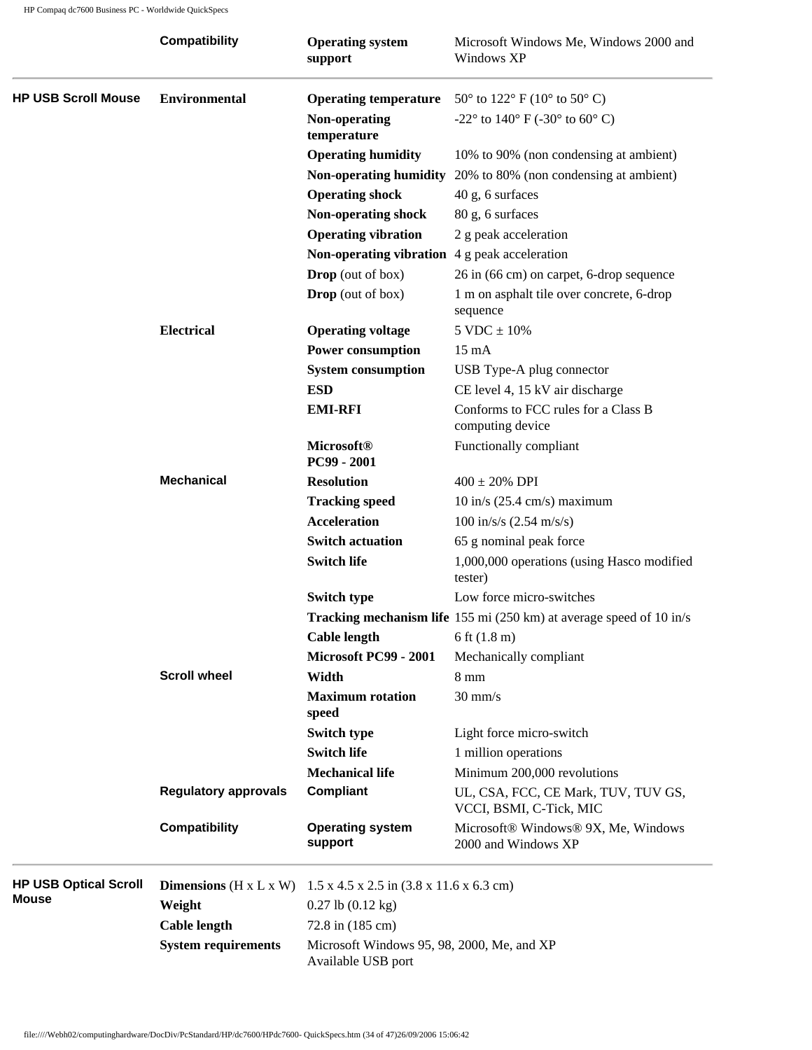|                              | <b>Compatibility</b>                 | <b>Operating system</b><br>support                               | Microsoft Windows Me, Windows 2000 and<br>Windows XP                   |  |
|------------------------------|--------------------------------------|------------------------------------------------------------------|------------------------------------------------------------------------|--|
| <b>HP USB Scroll Mouse</b>   | <b>Environmental</b>                 | <b>Operating temperature</b>                                     | 50 $\degree$ to 122 $\degree$ F (10 $\degree$ to 50 $\degree$ C)       |  |
|                              |                                      | Non-operating<br>temperature                                     | -22 $^{\circ}$ to 140 $^{\circ}$ F (-30 $^{\circ}$ to 60 $^{\circ}$ C) |  |
|                              |                                      | <b>Operating humidity</b>                                        | 10% to 90% (non condensing at ambient)                                 |  |
|                              |                                      |                                                                  | Non-operating humidity 20% to 80% (non condensing at ambient)          |  |
|                              |                                      | <b>Operating shock</b>                                           | 40 g, 6 surfaces                                                       |  |
|                              |                                      | Non-operating shock                                              | 80 g, 6 surfaces                                                       |  |
|                              |                                      | <b>Operating vibration</b>                                       | 2 g peak acceleration                                                  |  |
|                              |                                      | Non-operating vibration $4g$ peak acceleration                   |                                                                        |  |
|                              |                                      | <b>Drop</b> (out of box)                                         | 26 in (66 cm) on carpet, 6-drop sequence                               |  |
|                              |                                      | <b>Drop</b> (out of box)                                         | 1 m on asphalt tile over concrete, 6-drop<br>sequence                  |  |
|                              | <b>Electrical</b>                    | <b>Operating voltage</b>                                         | $5 \text{ VDC} \pm 10\%$                                               |  |
|                              |                                      | <b>Power consumption</b>                                         | $15 \text{ mA}$                                                        |  |
|                              |                                      | <b>System consumption</b>                                        | USB Type-A plug connector                                              |  |
|                              |                                      | <b>ESD</b>                                                       | CE level 4, 15 kV air discharge                                        |  |
|                              |                                      | <b>EMI-RFI</b>                                                   | Conforms to FCC rules for a Class B<br>computing device                |  |
|                              |                                      | <b>Microsoft®</b><br>PC99 - 2001                                 | Functionally compliant                                                 |  |
|                              | <b>Mechanical</b>                    | <b>Resolution</b>                                                | $400 \pm 20\%$ DPI                                                     |  |
|                              |                                      | <b>Tracking speed</b>                                            | $10$ in/s (25.4 cm/s) maximum                                          |  |
|                              |                                      | <b>Acceleration</b>                                              | $100 \text{ in/s/s} (2.54 \text{ m/s/s})$                              |  |
|                              |                                      | <b>Switch actuation</b>                                          | 65 g nominal peak force                                                |  |
|                              |                                      | <b>Switch life</b>                                               | 1,000,000 operations (using Hasco modified<br>tester)                  |  |
|                              |                                      | <b>Switch type</b>                                               | Low force micro-switches                                               |  |
|                              |                                      |                                                                  | Tracking mechanism life 155 mi (250 km) at average speed of 10 in/s    |  |
|                              |                                      | <b>Cable length</b>                                              | 6 ft $(1.8 \text{ m})$                                                 |  |
|                              |                                      | Microsoft PC99 - 2001                                            | Mechanically compliant                                                 |  |
|                              | <b>Scroll wheel</b>                  | Width                                                            | $8 \text{ mm}$                                                         |  |
|                              |                                      | <b>Maximum</b> rotation<br>speed                                 | $30$ mm/s                                                              |  |
|                              |                                      | <b>Switch type</b>                                               | Light force micro-switch                                               |  |
|                              |                                      | <b>Switch life</b>                                               | 1 million operations                                                   |  |
|                              |                                      | <b>Mechanical life</b>                                           | Minimum 200,000 revolutions                                            |  |
|                              | <b>Regulatory approvals</b>          | <b>Compliant</b>                                                 | UL, CSA, FCC, CE Mark, TUV, TUV GS,<br>VCCI, BSMI, C-Tick, MIC         |  |
|                              | <b>Compatibility</b>                 | <b>Operating system</b><br>support                               | Microsoft® Windows® 9X, Me, Windows<br>2000 and Windows XP             |  |
| <b>HP USB Optical Scroll</b> | Dimensions ( $H \times L \times W$ ) | $1.5 \times 4.5 \times 2.5$ in $(3.8 \times 11.6 \times 6.3$ cm) |                                                                        |  |
| <b>Mouse</b>                 | Weight                               | $0.27$ lb $(0.12$ kg)                                            |                                                                        |  |
|                              | <b>Cable length</b>                  | 72.8 in (185 cm)                                                 |                                                                        |  |
|                              | <b>System requirements</b>           | Microsoft Windows 95, 98, 2000, Me, and XP<br>Available USB port |                                                                        |  |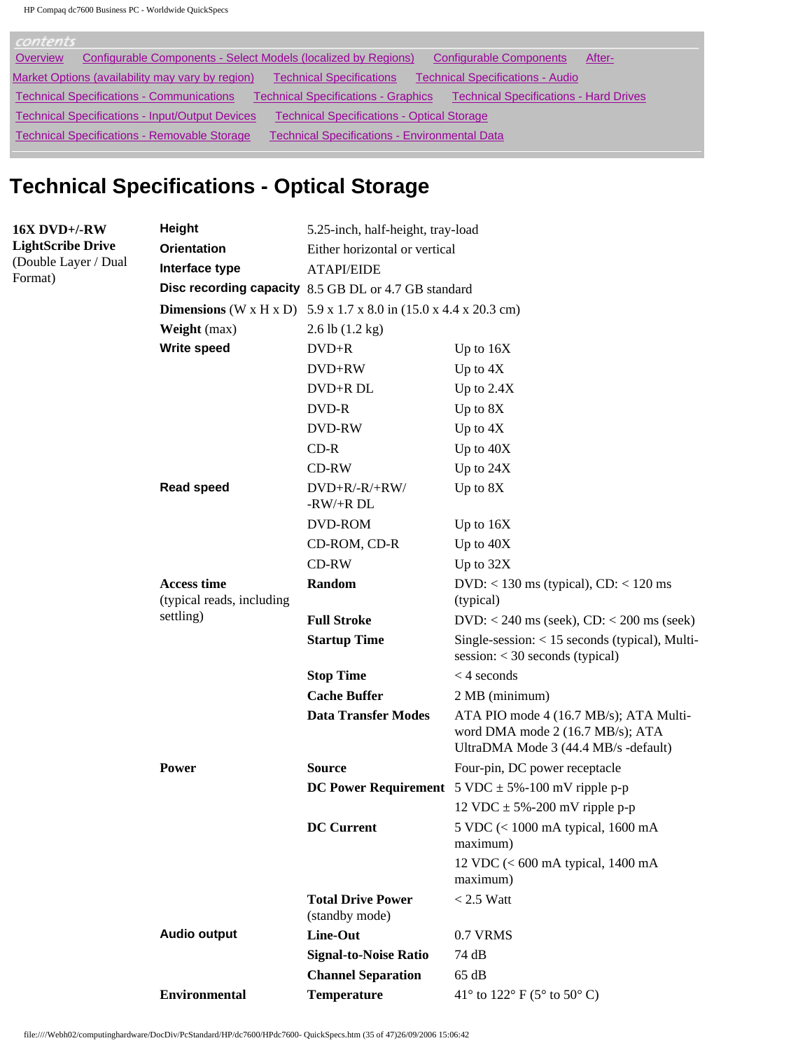| contents                                                                                                                                        |
|-------------------------------------------------------------------------------------------------------------------------------------------------|
| Configurable Components - Select Models (localized by Regions)<br>Overview<br><b>Configurable Components</b><br>After-                          |
| <b>Technical Specifications</b><br><b>Technical Specifications - Audio</b><br>Market Options (availability may vary by region)                  |
| <b>Technical Specifications - Communications</b><br><b>Technical Specifications - Hard Drives</b><br><b>Technical Specifications - Graphics</b> |
| <b>Technical Specifications - Input/Output Devices</b><br><b>Technical Specifications - Optical Storage</b>                                     |
| <b>Technical Specifications - Removable Storage</b><br><b>Technical Specifications - Environmental Data</b>                                     |

# **Technical Specifications - Optical Storage**

| <b>16X DVD+/-RW</b>             | Height                                          | 5.25-inch, half-height, tray-load                                         |                                                                                                                    |  |  |
|---------------------------------|-------------------------------------------------|---------------------------------------------------------------------------|--------------------------------------------------------------------------------------------------------------------|--|--|
| <b>LightScribe Drive</b>        | <b>Orientation</b>                              | Either horizontal or vertical                                             |                                                                                                                    |  |  |
| (Double Layer / Dual<br>Format) | Interface type                                  | <b>ATAPI/EIDE</b>                                                         |                                                                                                                    |  |  |
|                                 |                                                 | Disc recording capacity 8.5 GB DL or 4.7 GB standard                      |                                                                                                                    |  |  |
|                                 |                                                 | <b>Dimensions</b> (W x H x D) 5.9 x 1.7 x 8.0 in $(15.0 x 4.4 x 20.3 cm)$ |                                                                                                                    |  |  |
|                                 | Weight (max)                                    | $2.6$ lb $(1.2 \text{ kg})$                                               |                                                                                                                    |  |  |
|                                 | Write speed                                     | $DVD+R$                                                                   | Up to $16X$                                                                                                        |  |  |
|                                 |                                                 | DVD+RW                                                                    | Up to $4X$                                                                                                         |  |  |
|                                 |                                                 | DVD+R DL                                                                  | Up to $2.4X$                                                                                                       |  |  |
|                                 |                                                 | DVD-R                                                                     | Up to 8X                                                                                                           |  |  |
|                                 |                                                 | DVD-RW                                                                    | Up to $4X$                                                                                                         |  |  |
|                                 |                                                 | $CD-R$                                                                    | Up to 40X                                                                                                          |  |  |
|                                 |                                                 | CD-RW                                                                     | Up to 24X                                                                                                          |  |  |
|                                 | <b>Read speed</b>                               | $DVD+R/-R/+RW/$<br>$-RW/+R DL$                                            | Up to 8X                                                                                                           |  |  |
|                                 |                                                 | DVD-ROM                                                                   | Up to $16X$                                                                                                        |  |  |
|                                 |                                                 | CD-ROM, CD-R                                                              | Up to 40X                                                                                                          |  |  |
|                                 |                                                 | $CD-RW$                                                                   | Up to 32X                                                                                                          |  |  |
|                                 | <b>Access time</b><br>(typical reads, including | Random                                                                    | $DVD:$ < 130 ms (typical), $CD:$ < 120 ms<br>(typical)                                                             |  |  |
|                                 | settling)                                       | <b>Full Stroke</b>                                                        | $DVD: < 240$ ms (seek), $CD: < 200$ ms (seek)                                                                      |  |  |
|                                 |                                                 | <b>Startup Time</b>                                                       | Single-session: $<$ 15 seconds (typical), Multi-<br>session: $<$ 30 seconds (typical)                              |  |  |
|                                 |                                                 | <b>Stop Time</b>                                                          | $<$ 4 seconds                                                                                                      |  |  |
|                                 |                                                 | <b>Cache Buffer</b>                                                       | 2 MB (minimum)                                                                                                     |  |  |
|                                 |                                                 | <b>Data Transfer Modes</b>                                                | ATA PIO mode 4 (16.7 MB/s); ATA Multi-<br>word DMA mode 2 (16.7 MB/s); ATA<br>UltraDMA Mode 3 (44.4 MB/s -default) |  |  |
|                                 | <b>Power</b>                                    | <b>Source</b>                                                             | Four-pin, DC power receptacle                                                                                      |  |  |
|                                 |                                                 |                                                                           | <b>DC Power Requirement</b> $5 \text{ VDC} \pm 5\% - 100 \text{ mV}$ ripple p-p                                    |  |  |
|                                 |                                                 |                                                                           | 12 VDC $\pm$ 5%-200 mV ripple p-p                                                                                  |  |  |
|                                 |                                                 | <b>DC</b> Current                                                         | 5 VDC (< 1000 mA typical, 1600 mA<br>maximum)                                                                      |  |  |
|                                 |                                                 |                                                                           | 12 VDC $(< 600 \text{ mA}$ typical, 1400 mA<br>maximum)                                                            |  |  |
|                                 |                                                 | <b>Total Drive Power</b><br>(standby mode)                                | $< 2.5$ Watt                                                                                                       |  |  |
|                                 | <b>Audio output</b>                             | Line-Out                                                                  | 0.7 VRMS                                                                                                           |  |  |
|                                 |                                                 | <b>Signal-to-Noise Ratio</b>                                              | 74 dB                                                                                                              |  |  |
|                                 |                                                 | <b>Channel Separation</b>                                                 | 65 dB                                                                                                              |  |  |
|                                 | <b>Environmental</b>                            | <b>Temperature</b>                                                        | 41° to 122° F (5° to 50° C)                                                                                        |  |  |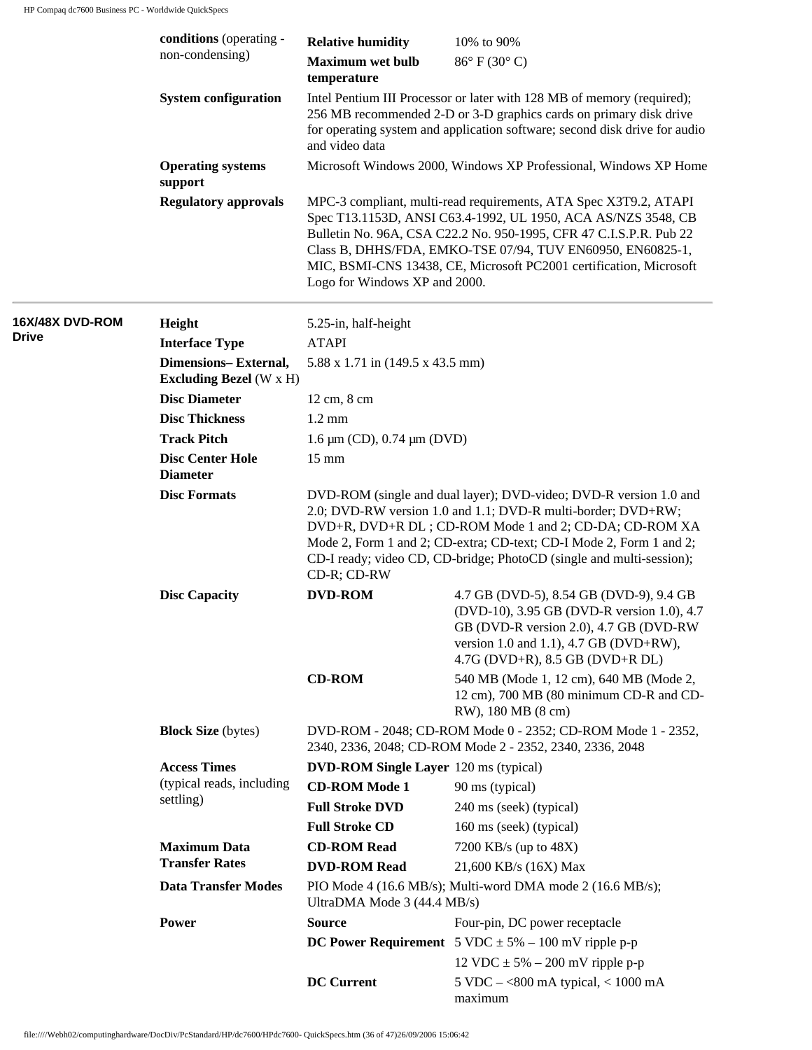|                 | conditions (operating -                                | <b>Relative humidity</b>                                                                                                                                                                                                                                                                                                                                  | 10% to 90%                                                                                                                                                                                                                                                                                                                                  |  |
|-----------------|--------------------------------------------------------|-----------------------------------------------------------------------------------------------------------------------------------------------------------------------------------------------------------------------------------------------------------------------------------------------------------------------------------------------------------|---------------------------------------------------------------------------------------------------------------------------------------------------------------------------------------------------------------------------------------------------------------------------------------------------------------------------------------------|--|
|                 | non-condensing)                                        | <b>Maximum wet bulb</b><br>temperature                                                                                                                                                                                                                                                                                                                    | $86^{\circ}$ F (30 $^{\circ}$ C)                                                                                                                                                                                                                                                                                                            |  |
|                 | <b>System configuration</b>                            | Intel Pentium III Processor or later with 128 MB of memory (required);<br>256 MB recommended 2-D or 3-D graphics cards on primary disk drive<br>for operating system and application software; second disk drive for audio<br>and video data<br>Microsoft Windows 2000, Windows XP Professional, Windows XP Home                                          |                                                                                                                                                                                                                                                                                                                                             |  |
|                 | <b>Operating systems</b><br>support                    |                                                                                                                                                                                                                                                                                                                                                           |                                                                                                                                                                                                                                                                                                                                             |  |
|                 | <b>Regulatory approvals</b>                            | Logo for Windows XP and 2000.                                                                                                                                                                                                                                                                                                                             | MPC-3 compliant, multi-read requirements, ATA Spec X3T9.2, ATAPI<br>Spec T13.1153D, ANSI C63.4-1992, UL 1950, ACA AS/NZS 3548, CB<br>Bulletin No. 96A, CSA C22.2 No. 950-1995, CFR 47 C.I.S.P.R. Pub 22<br>Class B, DHHS/FDA, EMKO-TSE 07/94, TUV EN60950, EN60825-1,<br>MIC, BSMI-CNS 13438, CE, Microsoft PC2001 certification, Microsoft |  |
| 16X/48X DVD-ROM | Height                                                 | 5.25-in, half-height                                                                                                                                                                                                                                                                                                                                      |                                                                                                                                                                                                                                                                                                                                             |  |
| <b>Drive</b>    | <b>Interface Type</b>                                  | <b>ATAPI</b>                                                                                                                                                                                                                                                                                                                                              |                                                                                                                                                                                                                                                                                                                                             |  |
|                 | Dimensions-External,<br><b>Excluding Bezel</b> (W x H) | 5.88 x 1.71 in (149.5 x 43.5 mm)                                                                                                                                                                                                                                                                                                                          |                                                                                                                                                                                                                                                                                                                                             |  |
|                 | <b>Disc Diameter</b>                                   | 12 cm, 8 cm                                                                                                                                                                                                                                                                                                                                               |                                                                                                                                                                                                                                                                                                                                             |  |
|                 | <b>Disc Thickness</b>                                  | $1.2 \text{ mm}$                                                                                                                                                                                                                                                                                                                                          |                                                                                                                                                                                                                                                                                                                                             |  |
|                 | <b>Track Pitch</b>                                     | $1.6 \mu m$ (CD), 0.74 $\mu m$ (DVD)                                                                                                                                                                                                                                                                                                                      |                                                                                                                                                                                                                                                                                                                                             |  |
|                 | <b>Disc Center Hole</b><br><b>Diameter</b>             | $15 \text{ mm}$                                                                                                                                                                                                                                                                                                                                           |                                                                                                                                                                                                                                                                                                                                             |  |
|                 | <b>Disc Formats</b>                                    | DVD-ROM (single and dual layer); DVD-video; DVD-R version 1.0 and<br>2.0; DVD-RW version 1.0 and 1.1; DVD-R multi-border; DVD+RW;<br>DVD+R, DVD+R DL; CD-ROM Mode 1 and 2; CD-DA; CD-ROM XA<br>Mode 2, Form 1 and 2; CD-extra; CD-text; CD-I Mode 2, Form 1 and 2;<br>CD-I ready; video CD, CD-bridge; PhotoCD (single and multi-session);<br>CD-R; CD-RW |                                                                                                                                                                                                                                                                                                                                             |  |
|                 | <b>Disc Capacity</b>                                   | <b>DVD-ROM</b>                                                                                                                                                                                                                                                                                                                                            | 4.7 GB (DVD-5), 8.54 GB (DVD-9), 9.4 GB<br>(DVD-10), 3.95 GB (DVD-R version 1.0), 4.7<br>GB (DVD-R version 2.0), 4.7 GB (DVD-RW<br>version 1.0 and 1.1), 4.7 GB (DVD+RW),<br>$4.7G$ (DVD+R), $8.5$ GB (DVD+R DL)                                                                                                                            |  |
|                 |                                                        | <b>CD-ROM</b>                                                                                                                                                                                                                                                                                                                                             | 540 MB (Mode 1, 12 cm), 640 MB (Mode 2,<br>12 cm), 700 MB (80 minimum CD-R and CD-<br>RW), 180 MB (8 cm)                                                                                                                                                                                                                                    |  |
|                 | <b>Block Size</b> (bytes)                              | DVD-ROM - 2048; CD-ROM Mode 0 - 2352; CD-ROM Mode 1 - 2352,<br>2340, 2336, 2048; CD-ROM Mode 2 - 2352, 2340, 2336, 2048                                                                                                                                                                                                                                   |                                                                                                                                                                                                                                                                                                                                             |  |
|                 | <b>Access Times</b>                                    | <b>DVD-ROM Single Layer</b> 120 ms (typical)                                                                                                                                                                                                                                                                                                              |                                                                                                                                                                                                                                                                                                                                             |  |
|                 | (typical reads, including                              | <b>CD-ROM Mode 1</b>                                                                                                                                                                                                                                                                                                                                      | 90 ms (typical)                                                                                                                                                                                                                                                                                                                             |  |
|                 | settling)                                              | <b>Full Stroke DVD</b>                                                                                                                                                                                                                                                                                                                                    | 240 ms (seek) (typical)                                                                                                                                                                                                                                                                                                                     |  |
|                 |                                                        | <b>Full Stroke CD</b>                                                                                                                                                                                                                                                                                                                                     | 160 ms (seek) (typical)                                                                                                                                                                                                                                                                                                                     |  |
|                 | <b>Maximum Data</b>                                    | <b>CD-ROM Read</b>                                                                                                                                                                                                                                                                                                                                        | 7200 KB/s (up to 48X)                                                                                                                                                                                                                                                                                                                       |  |
|                 | <b>Transfer Rates</b>                                  | <b>DVD-ROM Read</b>                                                                                                                                                                                                                                                                                                                                       | 21,600 KB/s (16X) Max                                                                                                                                                                                                                                                                                                                       |  |
|                 | <b>Data Transfer Modes</b>                             | PIO Mode 4 (16.6 MB/s); Multi-word DMA mode 2 (16.6 MB/s);<br>UltraDMA Mode 3 (44.4 MB/s)                                                                                                                                                                                                                                                                 |                                                                                                                                                                                                                                                                                                                                             |  |
|                 | Power                                                  | <b>Source</b>                                                                                                                                                                                                                                                                                                                                             | Four-pin, DC power receptacle                                                                                                                                                                                                                                                                                                               |  |
|                 |                                                        |                                                                                                                                                                                                                                                                                                                                                           | <b>DC Power Requirement</b> $5 \text{ VDC} \pm 5\% - 100 \text{ mV}$ ripple p-p                                                                                                                                                                                                                                                             |  |
|                 |                                                        |                                                                                                                                                                                                                                                                                                                                                           | 12 VDC $\pm$ 5% – 200 mV ripple p-p                                                                                                                                                                                                                                                                                                         |  |
|                 |                                                        | <b>DC</b> Current                                                                                                                                                                                                                                                                                                                                         | 5 VDC $-$ <800 mA typical, < 1000 mA<br>maximum                                                                                                                                                                                                                                                                                             |  |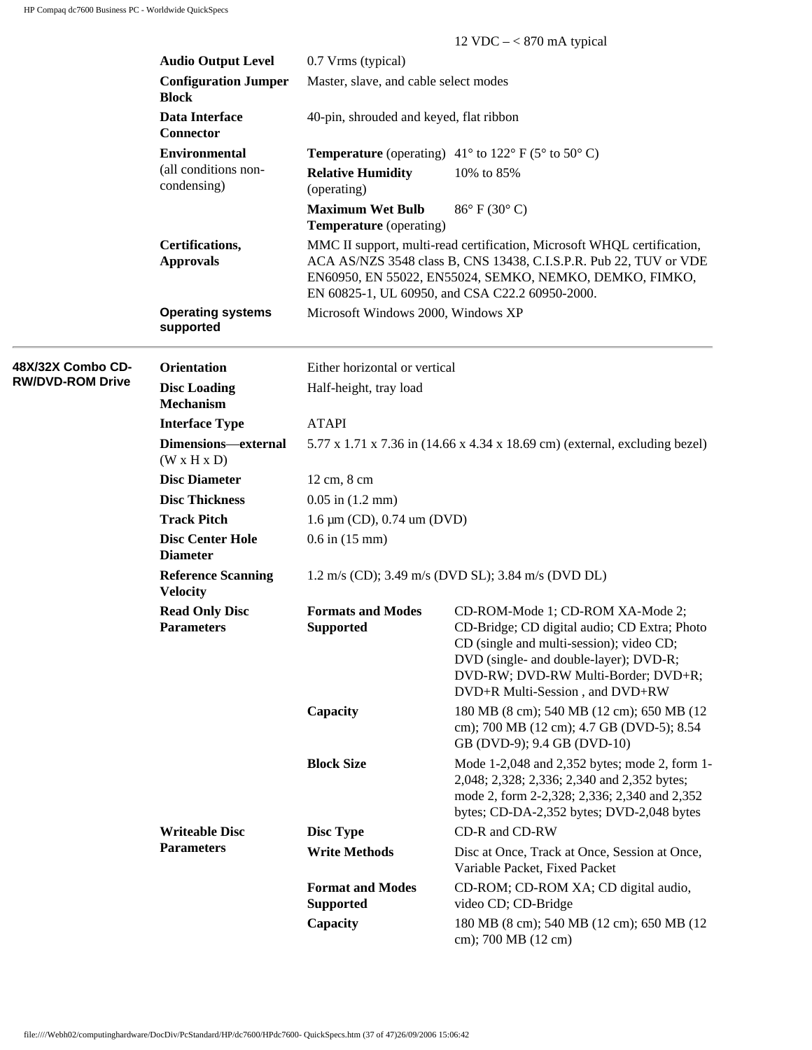|                         |                                              |                                                                             | 12 VDC $- < 870$ mA typical                                                                                                                                                                                                                                |  |
|-------------------------|----------------------------------------------|-----------------------------------------------------------------------------|------------------------------------------------------------------------------------------------------------------------------------------------------------------------------------------------------------------------------------------------------------|--|
|                         | <b>Audio Output Level</b>                    | 0.7 Vrms (typical)                                                          |                                                                                                                                                                                                                                                            |  |
|                         | <b>Configuration Jumper</b><br><b>Block</b>  | Master, slave, and cable select modes                                       |                                                                                                                                                                                                                                                            |  |
|                         | Data Interface<br><b>Connector</b>           | 40-pin, shrouded and keyed, flat ribbon                                     |                                                                                                                                                                                                                                                            |  |
|                         | <b>Environmental</b>                         |                                                                             | <b>Temperature</b> (operating) $41^{\circ}$ to $122^{\circ}$ F (5° to 50° C)                                                                                                                                                                               |  |
|                         | (all conditions non-<br>condensing)          | <b>Relative Humidity</b><br>(operating)                                     | 10% to 85%                                                                                                                                                                                                                                                 |  |
|                         |                                              | <b>Maximum Wet Bulb</b><br><b>Temperature</b> (operating)                   | $86^{\circ}$ F (30 $^{\circ}$ C)                                                                                                                                                                                                                           |  |
|                         | Certifications,<br><b>Approvals</b>          |                                                                             | MMC II support, multi-read certification, Microsoft WHQL certification,<br>ACA AS/NZS 3548 class B, CNS 13438, C.I.S.P.R. Pub 22, TUV or VDE<br>EN60950, EN 55022, EN55024, SEMKO, NEMKO, DEMKO, FIMKO,<br>EN 60825-1, UL 60950, and CSA C22.2 60950-2000. |  |
|                         | <b>Operating systems</b><br>supported        | Microsoft Windows 2000, Windows XP                                          |                                                                                                                                                                                                                                                            |  |
| 48X/32X Combo CD-       | <b>Orientation</b>                           | Either horizontal or vertical                                               |                                                                                                                                                                                                                                                            |  |
| <b>RW/DVD-ROM Drive</b> | <b>Disc Loading</b><br><b>Mechanism</b>      | Half-height, tray load                                                      |                                                                                                                                                                                                                                                            |  |
|                         | <b>Interface Type</b>                        | <b>ATAPI</b>                                                                |                                                                                                                                                                                                                                                            |  |
|                         | Dimensions-external<br>(W x H x D)           | 5.77 x 1.71 x 7.36 in (14.66 x 4.34 x 18.69 cm) (external, excluding bezel) |                                                                                                                                                                                                                                                            |  |
|                         | <b>Disc Diameter</b>                         | 12 cm, 8 cm                                                                 |                                                                                                                                                                                                                                                            |  |
|                         | <b>Disc Thickness</b>                        | $0.05$ in $(1.2$ mm)                                                        |                                                                                                                                                                                                                                                            |  |
|                         | <b>Track Pitch</b>                           | 1.6 μm (CD), 0.74 um (DVD)                                                  |                                                                                                                                                                                                                                                            |  |
|                         | <b>Disc Center Hole</b><br><b>Diameter</b>   | $0.6$ in $(15$ mm)                                                          |                                                                                                                                                                                                                                                            |  |
|                         | <b>Reference Scanning</b><br><b>Velocity</b> |                                                                             | 1.2 m/s (CD); 3.49 m/s (DVD SL); 3.84 m/s (DVD DL)                                                                                                                                                                                                         |  |
|                         | <b>Read Only Disc</b><br><b>Parameters</b>   | <b>Formats and Modes</b><br><b>Supported</b>                                | CD-ROM-Mode 1; CD-ROM XA-Mode 2;<br>CD-Bridge; CD digital audio; CD Extra; Photo<br>CD (single and multi-session); video CD;<br>DVD (single- and double-layer); DVD-R;<br>DVD-RW; DVD-RW Multi-Border; DVD+R;<br>DVD+R Multi-Session, and DVD+RW           |  |
|                         |                                              | Capacity                                                                    | 180 MB (8 cm); 540 MB (12 cm); 650 MB (12<br>cm); 700 MB (12 cm); 4.7 GB (DVD-5); 8.54<br>GB (DVD-9); 9.4 GB (DVD-10)                                                                                                                                      |  |
|                         |                                              | <b>Block Size</b>                                                           | Mode 1-2,048 and 2,352 bytes; mode 2, form 1-<br>2,048; 2,328; 2,336; 2,340 and 2,352 bytes;<br>mode 2, form 2-2,328; 2,336; 2,340 and 2,352<br>bytes; CD-DA-2,352 bytes; DVD-2,048 bytes                                                                  |  |
|                         | <b>Writeable Disc</b>                        | <b>Disc Type</b>                                                            | CD-R and CD-RW                                                                                                                                                                                                                                             |  |
|                         | <b>Parameters</b>                            | <b>Write Methods</b>                                                        | Disc at Once, Track at Once, Session at Once,<br>Variable Packet, Fixed Packet                                                                                                                                                                             |  |
|                         |                                              | <b>Format and Modes</b><br><b>Supported</b>                                 | CD-ROM; CD-ROM XA; CD digital audio,<br>video CD; CD-Bridge                                                                                                                                                                                                |  |
|                         |                                              | Capacity                                                                    | 180 MB (8 cm); 540 MB (12 cm); 650 MB (12<br>cm); 700 MB (12 cm)                                                                                                                                                                                           |  |
|                         |                                              |                                                                             |                                                                                                                                                                                                                                                            |  |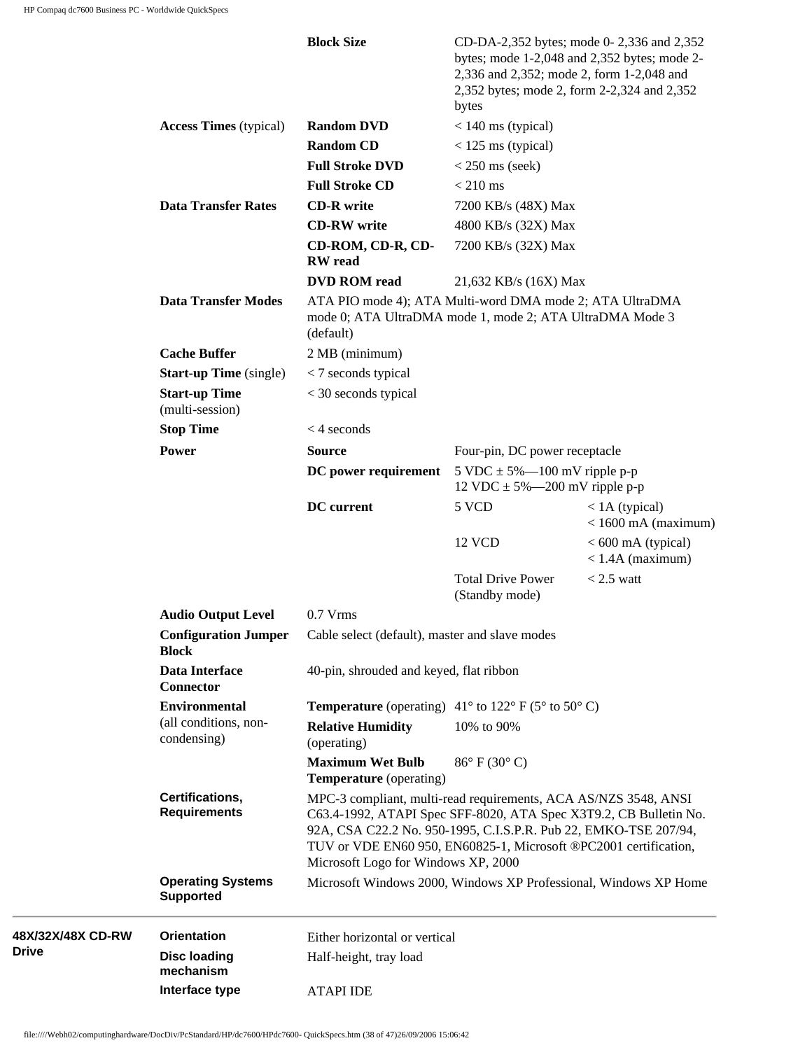|                   |                                              | <b>Block Size</b>                                                                                                                                                                                                                                                                                                   | bytes                                                                 | CD-DA-2,352 bytes; mode 0-2,336 and 2,352<br>bytes; mode $1-2,048$ and $2,352$ bytes; mode $2-$<br>2,336 and 2,352; mode 2, form 1-2,048 and<br>2,352 bytes; mode 2, form 2-2,324 and 2,352 |
|-------------------|----------------------------------------------|---------------------------------------------------------------------------------------------------------------------------------------------------------------------------------------------------------------------------------------------------------------------------------------------------------------------|-----------------------------------------------------------------------|---------------------------------------------------------------------------------------------------------------------------------------------------------------------------------------------|
|                   | <b>Access Times</b> (typical)                | <b>Random DVD</b>                                                                                                                                                                                                                                                                                                   | $< 140$ ms (typical)                                                  |                                                                                                                                                                                             |
|                   |                                              | <b>Random CD</b>                                                                                                                                                                                                                                                                                                    | $<$ 125 ms (typical)                                                  |                                                                                                                                                                                             |
|                   |                                              | <b>Full Stroke DVD</b>                                                                                                                                                                                                                                                                                              | $<$ 250 ms (seek)                                                     |                                                                                                                                                                                             |
|                   |                                              | <b>Full Stroke CD</b>                                                                                                                                                                                                                                                                                               | $< 210$ ms                                                            |                                                                                                                                                                                             |
|                   | <b>Data Transfer Rates</b>                   | <b>CD-R</b> write                                                                                                                                                                                                                                                                                                   | 7200 KB/s (48X) Max                                                   |                                                                                                                                                                                             |
|                   |                                              |                                                                                                                                                                                                                                                                                                                     |                                                                       |                                                                                                                                                                                             |
|                   |                                              | <b>CD-RW</b> write                                                                                                                                                                                                                                                                                                  | 4800 KB/s (32X) Max                                                   |                                                                                                                                                                                             |
|                   |                                              | CD-ROM, CD-R, CD-<br><b>RW</b> read                                                                                                                                                                                                                                                                                 | 7200 KB/s (32X) Max                                                   |                                                                                                                                                                                             |
|                   |                                              | <b>DVD ROM read</b>                                                                                                                                                                                                                                                                                                 | 21,632 KB/s (16X) Max                                                 |                                                                                                                                                                                             |
|                   | <b>Data Transfer Modes</b>                   | ATA PIO mode 4); ATA Multi-word DMA mode 2; ATA UltraDMA<br>mode 0; ATA UltraDMA mode 1, mode 2; ATA UltraDMA Mode 3<br>(default)                                                                                                                                                                                   |                                                                       |                                                                                                                                                                                             |
|                   | <b>Cache Buffer</b>                          | 2 MB (minimum)                                                                                                                                                                                                                                                                                                      |                                                                       |                                                                                                                                                                                             |
|                   | <b>Start-up Time</b> (single)                | $<$ 7 seconds typical                                                                                                                                                                                                                                                                                               |                                                                       |                                                                                                                                                                                             |
|                   | <b>Start-up Time</b><br>(multi-session)      | $<$ 30 seconds typical                                                                                                                                                                                                                                                                                              |                                                                       |                                                                                                                                                                                             |
|                   | <b>Stop Time</b>                             | $<$ 4 seconds                                                                                                                                                                                                                                                                                                       |                                                                       |                                                                                                                                                                                             |
|                   | Power                                        | <b>Source</b>                                                                                                                                                                                                                                                                                                       | Four-pin, DC power receptacle                                         |                                                                                                                                                                                             |
|                   |                                              | DC power requirement                                                                                                                                                                                                                                                                                                | 5 VDC $\pm$ 5%—100 mV ripple p-p<br>12 VDC $\pm$ 5%—200 mV ripple p-p |                                                                                                                                                                                             |
|                   |                                              | <b>DC</b> current                                                                                                                                                                                                                                                                                                   | 5 VCD                                                                 | $< 1A$ (typical)<br>$<$ 1600 mA (maximum)                                                                                                                                                   |
|                   |                                              |                                                                                                                                                                                                                                                                                                                     | 12 VCD                                                                | $< 600$ mA (typical)<br>$<$ 1.4A (maximum)                                                                                                                                                  |
|                   |                                              |                                                                                                                                                                                                                                                                                                                     | <b>Total Drive Power</b><br>(Standby mode)                            | $< 2.5$ watt                                                                                                                                                                                |
|                   | <b>Audio Output Level</b>                    | $0.7$ Vrms                                                                                                                                                                                                                                                                                                          |                                                                       |                                                                                                                                                                                             |
|                   | <b>Configuration Jumper</b><br><b>Block</b>  | Cable select (default), master and slave modes                                                                                                                                                                                                                                                                      |                                                                       |                                                                                                                                                                                             |
|                   | Data Interface<br><b>Connector</b>           | 40-pin, shrouded and keyed, flat ribbon                                                                                                                                                                                                                                                                             |                                                                       |                                                                                                                                                                                             |
|                   | <b>Environmental</b>                         | <b>Temperature</b> (operating) $41^{\circ}$ to $122^{\circ}$ F (5° to 50° C)                                                                                                                                                                                                                                        |                                                                       |                                                                                                                                                                                             |
|                   | (all conditions, non-<br>condensing)         | <b>Relative Humidity</b><br>(operating)                                                                                                                                                                                                                                                                             | 10% to 90%                                                            |                                                                                                                                                                                             |
|                   |                                              | <b>Maximum Wet Bulb</b><br><b>Temperature</b> (operating)                                                                                                                                                                                                                                                           | $86^{\circ}$ F (30 $^{\circ}$ C)                                      |                                                                                                                                                                                             |
|                   | Certifications,<br><b>Requirements</b>       | MPC-3 compliant, multi-read requirements, ACA AS/NZS 3548, ANSI<br>C63.4-1992, ATAPI Spec SFF-8020, ATA Spec X3T9.2, CB Bulletin No.<br>92A, CSA C22.2 No. 950-1995, C.I.S.P.R. Pub 22, EMKO-TSE 207/94,<br>TUV or VDE EN60 950, EN60825-1, Microsoft ®PC2001 certification,<br>Microsoft Logo for Windows XP, 2000 |                                                                       |                                                                                                                                                                                             |
|                   | <b>Operating Systems</b><br><b>Supported</b> | Microsoft Windows 2000, Windows XP Professional, Windows XP Home                                                                                                                                                                                                                                                    |                                                                       |                                                                                                                                                                                             |
| 48X/32X/48X CD-RW | <b>Orientation</b>                           | Either horizontal or vertical                                                                                                                                                                                                                                                                                       |                                                                       |                                                                                                                                                                                             |
| <b>Drive</b>      | <b>Disc loading</b><br>mechanism             | Half-height, tray load                                                                                                                                                                                                                                                                                              |                                                                       |                                                                                                                                                                                             |
|                   | Interface type                               | <b>ATAPI IDE</b>                                                                                                                                                                                                                                                                                                    |                                                                       |                                                                                                                                                                                             |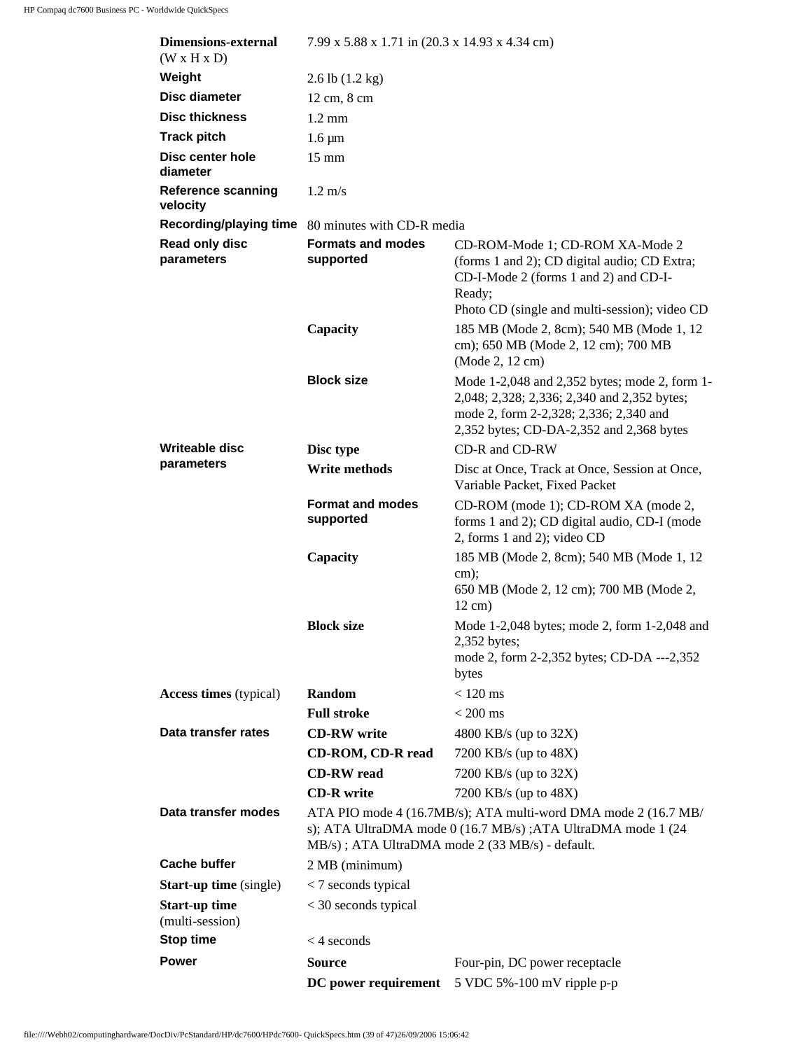| <b>Dimensions-external</b><br>(W x H x D) | 7.99 x 5.88 x 1.71 in (20.3 x 14.93 x 4.34 cm) |                                                                                                                                                                                     |  |
|-------------------------------------------|------------------------------------------------|-------------------------------------------------------------------------------------------------------------------------------------------------------------------------------------|--|
| Weight                                    | $2.6$ lb $(1.2 \text{ kg})$                    |                                                                                                                                                                                     |  |
| <b>Disc diameter</b>                      | 12 cm, 8 cm                                    |                                                                                                                                                                                     |  |
| <b>Disc thickness</b>                     | $1.2 \text{ mm}$                               |                                                                                                                                                                                     |  |
| <b>Track pitch</b>                        | $1.6 \mu m$                                    |                                                                                                                                                                                     |  |
| Disc center hole<br>diameter              | $15 \text{ mm}$                                |                                                                                                                                                                                     |  |
| <b>Reference scanning</b><br>velocity     | $1.2 \text{ m/s}$                              |                                                                                                                                                                                     |  |
| <b>Recording/playing time</b>             | 80 minutes with CD-R media                     |                                                                                                                                                                                     |  |
| Read only disc<br>parameters              | <b>Formats and modes</b><br>supported          | CD-ROM-Mode 1; CD-ROM XA-Mode 2<br>(forms 1 and 2); CD digital audio; CD Extra;<br>CD-I-Mode 2 (forms 1 and 2) and CD-I-<br>Ready;<br>Photo CD (single and multi-session); video CD |  |
|                                           | Capacity                                       | 185 MB (Mode 2, 8cm); 540 MB (Mode 1, 12<br>cm); 650 MB (Mode 2, 12 cm); 700 MB<br>(Mode 2, 12 cm)                                                                                  |  |
|                                           | <b>Block size</b>                              | Mode 1-2,048 and 2,352 bytes; mode 2, form 1-<br>2,048; 2,328; 2,336; 2,340 and 2,352 bytes;<br>mode 2, form 2-2,328; 2,336; 2,340 and<br>2,352 bytes; CD-DA-2,352 and 2,368 bytes  |  |
| Writeable disc                            | Disc type                                      | CD-R and CD-RW                                                                                                                                                                      |  |
| parameters                                | Write methods                                  | Disc at Once, Track at Once, Session at Once,<br>Variable Packet, Fixed Packet                                                                                                      |  |
|                                           | <b>Format and modes</b><br>supported           | CD-ROM (mode 1); CD-ROM XA (mode 2,<br>forms 1 and 2); CD digital audio, CD-I (mode<br>2, forms 1 and 2); video CD                                                                  |  |
|                                           | Capacity                                       | 185 MB (Mode 2, 8cm); 540 MB (Mode 1, 12<br>$cm)$ ;<br>650 MB (Mode 2, 12 cm); 700 MB (Mode 2,<br>$12 \text{ cm}$ )                                                                 |  |
|                                           | <b>Block size</b>                              | Mode 1-2,048 bytes; mode 2, form 1-2,048 and<br>$2,352$ bytes;<br>mode 2, form 2-2,352 bytes; CD-DA ---2,352<br>bytes                                                               |  |
| <b>Access times</b> (typical)             | Random                                         | $< 120$ ms                                                                                                                                                                          |  |
|                                           | <b>Full stroke</b>                             | $< 200$ ms                                                                                                                                                                          |  |
| Data transfer rates                       | <b>CD-RW</b> write                             | 4800 KB/s (up to 32X)                                                                                                                                                               |  |
|                                           | CD-ROM, CD-R read                              | 7200 KB/s (up to 48X)                                                                                                                                                               |  |
|                                           | <b>CD-RW</b> read                              | 7200 KB/s (up to 32X)                                                                                                                                                               |  |
|                                           | <b>CD-R</b> write                              | 7200 KB/s (up to 48X)                                                                                                                                                               |  |
| Data transfer modes                       |                                                | ATA PIO mode 4 (16.7MB/s); ATA multi-word DMA mode 2 (16.7 MB/<br>s); ATA UltraDMA mode 0 (16.7 MB/s) ; ATA UltraDMA mode 1 (24<br>MB/s); ATA UltraDMA mode 2 (33 MB/s) - default.  |  |
| <b>Cache buffer</b>                       | 2 MB (minimum)                                 |                                                                                                                                                                                     |  |
| <b>Start-up time</b> (single)             | $<$ 7 seconds typical                          |                                                                                                                                                                                     |  |
| <b>Start-up time</b><br>(multi-session)   | $<$ 30 seconds typical                         |                                                                                                                                                                                     |  |
| <b>Stop time</b>                          | $<$ 4 seconds                                  |                                                                                                                                                                                     |  |
| <b>Power</b>                              | Source                                         | Four-pin, DC power receptacle                                                                                                                                                       |  |
|                                           | DC power requirement                           | 5 VDC 5%-100 mV ripple p-p                                                                                                                                                          |  |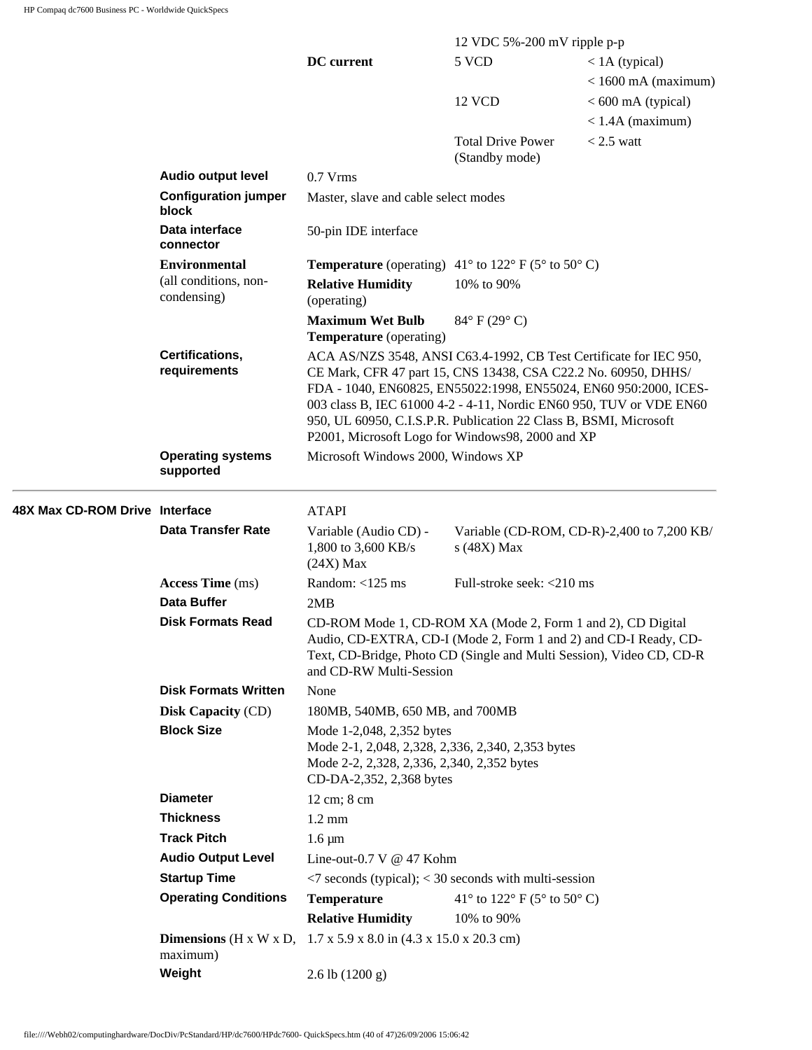|                                |                                                  |                                                                                                                                                                                                                                                                                                                                                                                                          | 12 VDC 5%-200 mV ripple p-p                |                                            |
|--------------------------------|--------------------------------------------------|----------------------------------------------------------------------------------------------------------------------------------------------------------------------------------------------------------------------------------------------------------------------------------------------------------------------------------------------------------------------------------------------------------|--------------------------------------------|--------------------------------------------|
|                                |                                                  | DC current                                                                                                                                                                                                                                                                                                                                                                                               | 5 VCD                                      | $<$ 1A (typical)                           |
|                                |                                                  |                                                                                                                                                                                                                                                                                                                                                                                                          |                                            | $<$ 1600 mA (maximum)                      |
|                                |                                                  |                                                                                                                                                                                                                                                                                                                                                                                                          | 12 VCD                                     | $< 600$ mA (typical)                       |
|                                |                                                  |                                                                                                                                                                                                                                                                                                                                                                                                          |                                            | $<$ 1.4A (maximum)                         |
|                                |                                                  |                                                                                                                                                                                                                                                                                                                                                                                                          | <b>Total Drive Power</b><br>(Standby mode) | $< 2.5$ watt                               |
|                                | <b>Audio output level</b>                        | $0.7$ Vrms                                                                                                                                                                                                                                                                                                                                                                                               |                                            |                                            |
|                                | <b>Configuration jumper</b><br>block             | Master, slave and cable select modes                                                                                                                                                                                                                                                                                                                                                                     |                                            |                                            |
|                                | Data interface<br>connector                      | 50-pin IDE interface                                                                                                                                                                                                                                                                                                                                                                                     |                                            |                                            |
|                                | <b>Environmental</b>                             | <b>Temperature</b> (operating) $41^{\circ}$ to $122^{\circ}$ F (5° to 50° C)                                                                                                                                                                                                                                                                                                                             |                                            |                                            |
|                                | (all conditions, non-<br>condensing)             | <b>Relative Humidity</b><br>(operating)                                                                                                                                                                                                                                                                                                                                                                  | 10% to 90%                                 |                                            |
|                                |                                                  | <b>Maximum Wet Bulb</b><br><b>Temperature</b> (operating)                                                                                                                                                                                                                                                                                                                                                | $84^{\circ}$ F (29 $^{\circ}$ C)           |                                            |
|                                | Certifications,<br>requirements                  | ACA AS/NZS 3548, ANSI C63.4-1992, CB Test Certificate for IEC 950,<br>CE Mark, CFR 47 part 15, CNS 13438, CSA C22.2 No. 60950, DHHS/<br>FDA - 1040, EN60825, EN55022:1998, EN55024, EN60 950:2000, ICES-<br>003 class B, IEC 61000 4-2 - 4-11, Nordic EN60 950, TUV or VDE EN60<br>950, UL 60950, C.I.S.P.R. Publication 22 Class B, BSMI, Microsoft<br>P2001, Microsoft Logo for Windows98, 2000 and XP |                                            |                                            |
|                                | <b>Operating systems</b><br>supported            | Microsoft Windows 2000, Windows XP                                                                                                                                                                                                                                                                                                                                                                       |                                            |                                            |
| 48X Max CD-ROM Drive Interface |                                                  | <b>ATAPI</b>                                                                                                                                                                                                                                                                                                                                                                                             |                                            |                                            |
|                                | <b>Data Transfer Rate</b>                        | Variable (Audio CD) -<br>1,800 to 3,600 KB/s<br>$(24X)$ Max                                                                                                                                                                                                                                                                                                                                              | s (48X) Max                                | Variable (CD-ROM, CD-R)-2,400 to 7,200 KB/ |
|                                | <b>Access Time</b> (ms)                          | Random: <125 ms                                                                                                                                                                                                                                                                                                                                                                                          | Full-stroke seek: <210 ms                  |                                            |
|                                | Data Buffer                                      | 2MB                                                                                                                                                                                                                                                                                                                                                                                                      |                                            |                                            |
|                                | <b>Disk Formats Read</b>                         | CD-ROM Mode 1, CD-ROM XA (Mode 2, Form 1 and 2), CD Digital<br>Audio, CD-EXTRA, CD-I (Mode 2, Form 1 and 2) and CD-I Ready, CD-<br>Text, CD-Bridge, Photo CD (Single and Multi Session), Video CD, CD-R<br>and CD-RW Multi-Session                                                                                                                                                                       |                                            |                                            |
|                                | <b>Disk Formats Written</b>                      | None                                                                                                                                                                                                                                                                                                                                                                                                     |                                            |                                            |
|                                | <b>Disk Capacity (CD)</b>                        | 180MB, 540MB, 650 MB, and 700MB                                                                                                                                                                                                                                                                                                                                                                          |                                            |                                            |
|                                | <b>Block Size</b>                                | Mode 1-2,048, 2,352 bytes                                                                                                                                                                                                                                                                                                                                                                                |                                            |                                            |
|                                |                                                  | Mode 2-1, 2,048, 2,328, 2,336, 2,340, 2,353 bytes<br>Mode 2-2, 2,328, 2,336, 2,340, 2,352 bytes<br>CD-DA-2,352, 2,368 bytes                                                                                                                                                                                                                                                                              |                                            |                                            |
|                                | <b>Diameter</b>                                  | 12 cm; 8 cm                                                                                                                                                                                                                                                                                                                                                                                              |                                            |                                            |
|                                | <b>Thickness</b>                                 | $1.2 \text{ mm}$                                                                                                                                                                                                                                                                                                                                                                                         |                                            |                                            |
|                                | <b>Track Pitch</b>                               | $1.6 \mu m$                                                                                                                                                                                                                                                                                                                                                                                              |                                            |                                            |
|                                | <b>Audio Output Level</b>                        | Line-out-0.7 V @ 47 Kohm                                                                                                                                                                                                                                                                                                                                                                                 |                                            |                                            |
|                                | <b>Startup Time</b>                              | $\langle 7 \rangle$ seconds (typical); $\langle 30 \rangle$ seconds with multi-session                                                                                                                                                                                                                                                                                                                   |                                            |                                            |
|                                | <b>Operating Conditions</b>                      | <b>Temperature</b>                                                                                                                                                                                                                                                                                                                                                                                       | 41° to 122° F (5° to 50° C)                |                                            |
|                                |                                                  | <b>Relative Humidity</b>                                                                                                                                                                                                                                                                                                                                                                                 | 10% to 90%                                 |                                            |
|                                | Dimensions ( $H \times W \times D$ ,<br>maximum) | $1.7 \times 5.9 \times 8.0$ in $(4.3 \times 15.0 \times 20.3$ cm)                                                                                                                                                                                                                                                                                                                                        |                                            |                                            |
|                                | Weight                                           | $2.6$ lb $(1200 g)$                                                                                                                                                                                                                                                                                                                                                                                      |                                            |                                            |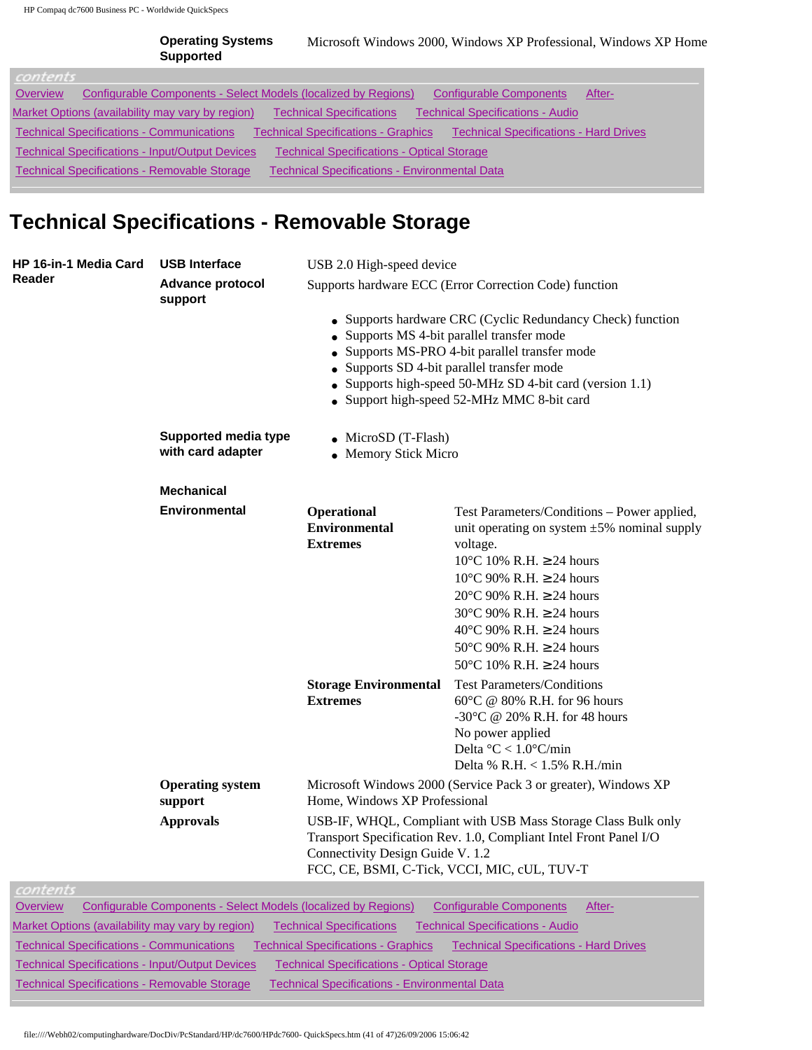|          | <b>Operating Systems</b><br><b>Supported</b>                   |                                            | Microsoft Windows 2000, Windows XP Professional, Windows XP Home |        |
|----------|----------------------------------------------------------------|--------------------------------------------|------------------------------------------------------------------|--------|
| contents |                                                                |                                            |                                                                  |        |
| Overview | Configurable Components - Select Models (localized by Regions) |                                            | Configurable Components                                          | After- |
|          | Market Options (availability may vary by region)               | <b>Technical Specifications</b>            | <b>Technical Specifications - Audio</b>                          |        |
|          | <b>Technical Specifications - Communications</b>               | <b>Technical Specifications - Graphics</b> | <b>Technical Specifications - Hard Drives</b>                    |        |

[Technical Specifications - Input/Output Devices](http://h18000.www1.hp.com/products/quickspecs/12253_div/12253_div.HTML#Technical Specifications - Input/Output Devices) [Technical Specifications - Optical Storage](http://h18000.www1.hp.com/products/quickspecs/12253_div/12253_div.HTML#Technical Specifications - Optical Storage) 

[Technical Specifications - Removable Storage](http://h18000.www1.hp.com/products/quickspecs/12253_div/12253_div.HTML#Technical Specifications - Removable Storage) [Technical Specifications - Environmental Data](http://h18000.www1.hp.com/products/quickspecs/12253_div/12253_div.HTML#Technical Specifications - Environmental Data) 

## **Technical Specifications - Removable Storage**

| <b>HP 16-in-1 Media Card</b>                                        | <b>USB Interface</b>                                           | USB 2.0 High-speed device                                                                                                                                                                                              |                                                                                                                                                                                                                                                                                                                                                                                                                     |  |
|---------------------------------------------------------------------|----------------------------------------------------------------|------------------------------------------------------------------------------------------------------------------------------------------------------------------------------------------------------------------------|---------------------------------------------------------------------------------------------------------------------------------------------------------------------------------------------------------------------------------------------------------------------------------------------------------------------------------------------------------------------------------------------------------------------|--|
| Reader                                                              | Advance protocol<br>support                                    |                                                                                                                                                                                                                        | Supports hardware ECC (Error Correction Code) function                                                                                                                                                                                                                                                                                                                                                              |  |
|                                                                     |                                                                |                                                                                                                                                                                                                        | • Supports hardware CRC (Cyclic Redundancy Check) function<br>• Supports MS 4-bit parallel transfer mode<br>• Supports MS-PRO 4-bit parallel transfer mode<br>• Supports SD 4-bit parallel transfer mode<br>• Supports high-speed 50-MHz SD 4-bit card (version 1.1)<br>• Support high-speed 52-MHz MMC 8-bit card                                                                                                  |  |
|                                                                     | <b>Supported media type</b><br>with card adapter               | $\bullet$ MicroSD (T-Flash)<br>• Memory Stick Micro                                                                                                                                                                    |                                                                                                                                                                                                                                                                                                                                                                                                                     |  |
|                                                                     | <b>Mechanical</b>                                              |                                                                                                                                                                                                                        |                                                                                                                                                                                                                                                                                                                                                                                                                     |  |
|                                                                     | <b>Environmental</b>                                           | Operational<br><b>Environmental</b><br><b>Extremes</b>                                                                                                                                                                 | Test Parameters/Conditions - Power applied,<br>unit operating on system $\pm 5\%$ nominal supply<br>voltage.<br>$10^{\circ}$ C 10% R.H. $\geq$ 24 hours<br>$10^{\circ}$ C 90% R.H. $\geq$ 24 hours<br>20 $\textdegree$ C 90% R.H. $\geq$ 24 hours<br>30 $\degree$ C 90% R.H. $\geq$ 24 hours<br>40 $\degree$ C 90% R.H. $\geq$ 24 hours<br>50°C 90% R.H. $\geq$ 24 hours<br>50 $\degree$ C 10% R.H. $\geq$ 24 hours |  |
|                                                                     |                                                                | <b>Storage Environmental</b><br><b>Extremes</b>                                                                                                                                                                        | <b>Test Parameters/Conditions</b><br>$60^{\circ}$ C @ 80% R.H. for 96 hours<br>-30°C @ 20% R.H. for 48 hours<br>No power applied<br>Delta $°C < 1.0°C/min$<br>Delta % R.H. < 1.5% R.H./min                                                                                                                                                                                                                          |  |
|                                                                     | <b>Operating system</b><br>support                             | Microsoft Windows 2000 (Service Pack 3 or greater), Windows XP<br>Home, Windows XP Professional                                                                                                                        |                                                                                                                                                                                                                                                                                                                                                                                                                     |  |
|                                                                     | <b>Approvals</b>                                               | USB-IF, WHQL, Compliant with USB Mass Storage Class Bulk only<br>Transport Specification Rev. 1.0, Compliant Intel Front Panel I/O<br>Connectivity Design Guide V. 1.2<br>FCC, CE, BSMI, C-Tick, VCCI, MIC, cUL, TUV-T |                                                                                                                                                                                                                                                                                                                                                                                                                     |  |
| contents                                                            |                                                                |                                                                                                                                                                                                                        |                                                                                                                                                                                                                                                                                                                                                                                                                     |  |
| <b>Overview</b><br>Market Options (availability may vary by region) | Configurable Components - Select Models (localized by Regions) | <b>Technical Specifications</b>                                                                                                                                                                                        | <b>Configurable Components</b><br>After-<br><b>Technical Specifications - Audio</b>                                                                                                                                                                                                                                                                                                                                 |  |

[Technical Specifications - Communications](http://h18000.www1.hp.com/products/quickspecs/12253_div/12253_div.HTML#Technical Specifications - Communications) [Technical Specifications - Graphics](http://h18000.www1.hp.com/products/quickspecs/12253_div/12253_div.HTML#Technical Specifications - Graphics) [Technical Specifications - Hard Drives](http://h18000.www1.hp.com/products/quickspecs/12253_div/12253_div.HTML#Technical Specifications - Hard Drives)

[Technical Specifications - Input/Output Devices](http://h18000.www1.hp.com/products/quickspecs/12253_div/12253_div.HTML#Technical Specifications - Input/Output Devices) [Technical Specifications - Optical Storage](http://h18000.www1.hp.com/products/quickspecs/12253_div/12253_div.HTML#Technical Specifications - Optical Storage) 

[Technical Specifications - Removable Storage](http://h18000.www1.hp.com/products/quickspecs/12253_div/12253_div.HTML#Technical Specifications - Removable Storage) [Technical Specifications - Environmental Data](http://h18000.www1.hp.com/products/quickspecs/12253_div/12253_div.HTML#Technical Specifications - Environmental Data) 

file:////Webh02/computinghardware/DocDiv/PcStandard/HP/dc7600/HPdc7600- QuickSpecs.htm (41 of 47)26/09/2006 15:06:42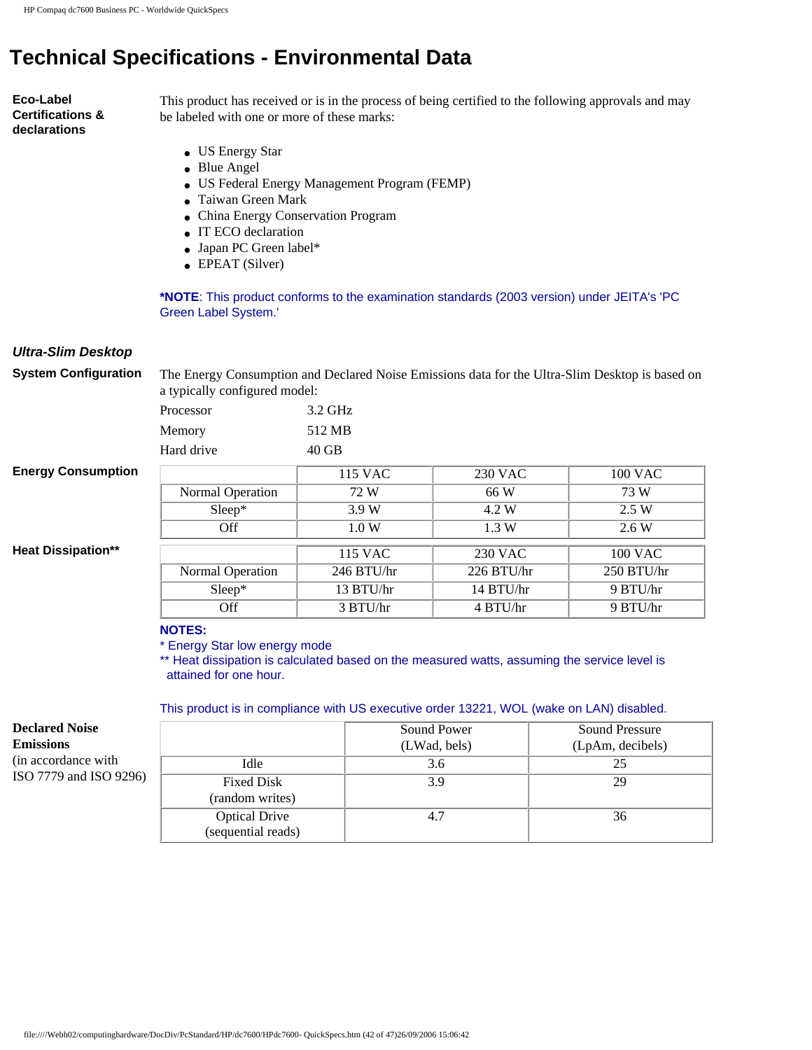# **Technical Specifications - Environmental Data**

**Eco-Label Certifications & declarations**

This product has received or is in the process of being certified to the following approvals and may be labeled with one or more of these marks:

- US Energy Star
- Blue Angel
- US Federal Energy Management Program (FEMP)
- Taiwan Green Mark
- China Energy Conservation Program
- IT ECO declaration
- Japan PC Green label\*
- EPEAT (Silver)

**\*NOTE**: This product conforms to the examination standards (2003 version) under JEITA's 'PC Green Label System.'

### *Ultra-Slim Desktop*

**System Configuration** The Energy Consumption and Declared Noise Emissions data for the Ultra-Slim Desktop is based on a typically configured model:

| Processor  | 3.2 GHz |
|------------|---------|
| Memory     | 512 MB  |
| Hard drive | $40$ GB |

### **Energy Consumption**

**Heat Dissipation\*\*** 

|                  | 115 VAC      | 230 VAC      | 100 VAC    |
|------------------|--------------|--------------|------------|
| Normal Operation | 72 W         | 66 W         | 73 W       |
| Sleep*           | 3.9W         | 4.2 W        | 2.5 W      |
| Off              | 1.0 W        | 1.3 W        | 2.6W       |
|                  |              |              |            |
|                  | 115 VAC      | 230 VAC      | 100 VAC    |
| Normal Operation | $246$ BTU/hr | $226$ BTU/hr | 250 BTU/hr |
| Sleep*           | 13 BTU/hr    | 14 BTU/hr    | 9 BTU/hr   |
| Off              | 3 BTU/hr     | 4 BTU/hr     | 9 BTU/hr   |

#### **NOTES:**

\* Energy Star low energy mode

\*\* Heat dissipation is calculated based on the measured watts, assuming the service level is attained for one hour.

#### This product is in compliance with US executive order 13221, WOL (wake on LAN) disabled.

**Declared Noise Emissions** (in accordance with ISO 7779 and ISO 9296)

|                      | Sound Power  | <b>Sound Pressure</b> |
|----------------------|--------------|-----------------------|
|                      | (LWad, bels) | (LpAm, decibels)      |
| Idle                 | 3.6          | 25                    |
| <b>Fixed Disk</b>    | 3.9          | 29                    |
| (random writes)      |              |                       |
| <b>Optical Drive</b> | 4.7          | 36                    |
| (sequential reads)   |              |                       |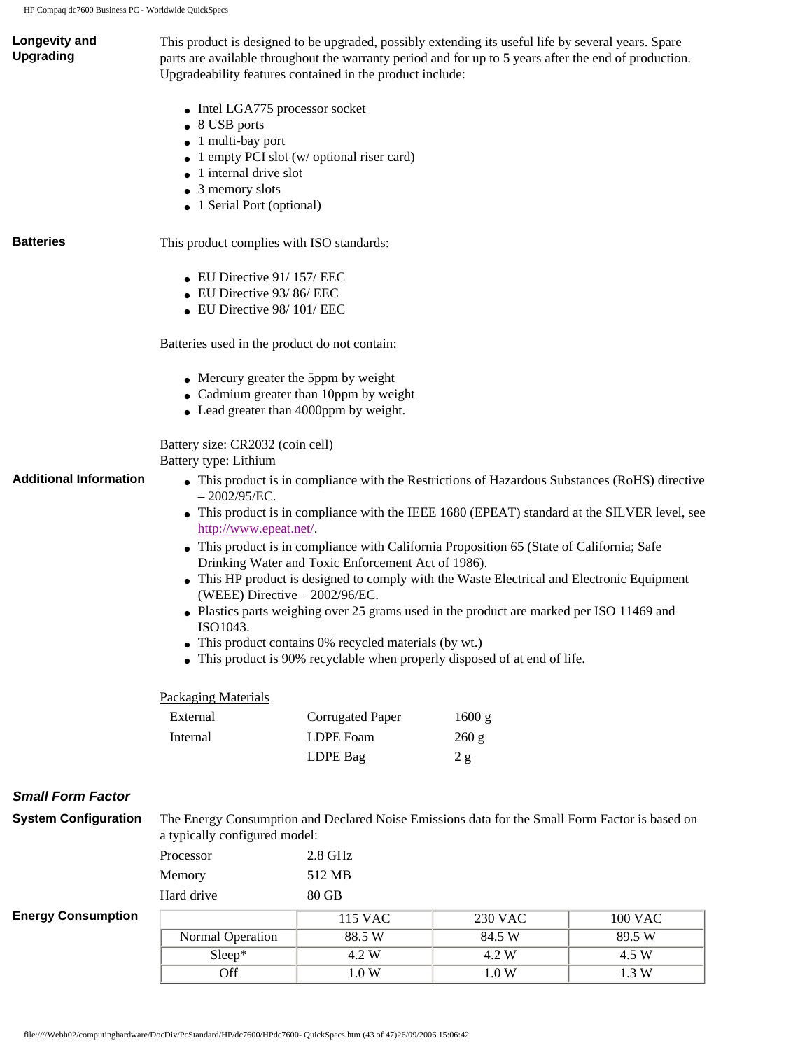| Longevity and<br><b>Upgrading</b> | This product is designed to be upgraded, possibly extending its useful life by several years. Spare<br>Upgradeability features contained in the product include: |                                                                                  | parts are available throughout the warranty period and for up to 5 years after the end of production. |                                                                                                |
|-----------------------------------|------------------------------------------------------------------------------------------------------------------------------------------------------------------|----------------------------------------------------------------------------------|-------------------------------------------------------------------------------------------------------|------------------------------------------------------------------------------------------------|
|                                   |                                                                                                                                                                  |                                                                                  |                                                                                                       |                                                                                                |
|                                   | • Intel LGA775 processor socket                                                                                                                                  |                                                                                  |                                                                                                       |                                                                                                |
|                                   | • 8 USB ports<br>1 multi-bay port                                                                                                                                |                                                                                  |                                                                                                       |                                                                                                |
|                                   |                                                                                                                                                                  | 1 empty PCI slot (w/ optional riser card)                                        |                                                                                                       |                                                                                                |
|                                   | 1 internal drive slot                                                                                                                                            |                                                                                  |                                                                                                       |                                                                                                |
|                                   | 3 memory slots                                                                                                                                                   |                                                                                  |                                                                                                       |                                                                                                |
|                                   | • 1 Serial Port (optional)                                                                                                                                       |                                                                                  |                                                                                                       |                                                                                                |
| <b>Batteries</b>                  | This product complies with ISO standards:                                                                                                                        |                                                                                  |                                                                                                       |                                                                                                |
|                                   | $\bullet$ EU Directive 91/157/EEC                                                                                                                                |                                                                                  |                                                                                                       |                                                                                                |
|                                   | • EU Directive 93/86/EEC                                                                                                                                         |                                                                                  |                                                                                                       |                                                                                                |
|                                   | $\bullet$ EU Directive 98/101/EEC                                                                                                                                |                                                                                  |                                                                                                       |                                                                                                |
|                                   | Batteries used in the product do not contain:                                                                                                                    |                                                                                  |                                                                                                       |                                                                                                |
|                                   | • Mercury greater the 5ppm by weight                                                                                                                             |                                                                                  |                                                                                                       |                                                                                                |
|                                   |                                                                                                                                                                  | • Cadmium greater than 10ppm by weight<br>• Lead greater than 4000ppm by weight. |                                                                                                       |                                                                                                |
|                                   |                                                                                                                                                                  |                                                                                  |                                                                                                       |                                                                                                |
|                                   | Battery size: CR2032 (coin cell)<br>Battery type: Lithium                                                                                                        |                                                                                  |                                                                                                       |                                                                                                |
| <b>Additional Information</b>     | $-2002/95/EC.$                                                                                                                                                   |                                                                                  |                                                                                                       | • This product is in compliance with the Restrictions of Hazardous Substances (RoHS) directive |
|                                   | http://www.epeat.net/.                                                                                                                                           |                                                                                  |                                                                                                       | • This product is in compliance with the IEEE 1680 (EPEAT) standard at the SILVER level, see   |
|                                   |                                                                                                                                                                  |                                                                                  | • This product is in compliance with California Proposition 65 (State of California; Safe             |                                                                                                |
|                                   |                                                                                                                                                                  | Drinking Water and Toxic Enforcement Act of 1986).                               |                                                                                                       |                                                                                                |
|                                   |                                                                                                                                                                  |                                                                                  | • This HP product is designed to comply with the Waste Electrical and Electronic Equipment            |                                                                                                |
|                                   | (WEEE) Directive - 2002/96/EC.                                                                                                                                   |                                                                                  |                                                                                                       |                                                                                                |
|                                   | ISO1043.                                                                                                                                                         |                                                                                  | • Plastics parts weighing over 25 grams used in the product are marked per ISO 11469 and              |                                                                                                |
|                                   |                                                                                                                                                                  | • This product contains 0% recycled materials (by wt.)                           |                                                                                                       |                                                                                                |
|                                   |                                                                                                                                                                  |                                                                                  | This product is 90% recyclable when properly disposed of at end of life.                              |                                                                                                |
|                                   | <b>Packaging Materials</b>                                                                                                                                       |                                                                                  |                                                                                                       |                                                                                                |
|                                   | External                                                                                                                                                         | <b>Corrugated Paper</b>                                                          | 1600 g                                                                                                |                                                                                                |
|                                   | Internal                                                                                                                                                         | <b>LDPE</b> Foam                                                                 | 260 g                                                                                                 |                                                                                                |
|                                   |                                                                                                                                                                  | LDPE Bag                                                                         | 2g                                                                                                    |                                                                                                |
| <b>Small Form Factor</b>          |                                                                                                                                                                  |                                                                                  |                                                                                                       |                                                                                                |
| <b>System Configuration</b>       | a typically configured model:                                                                                                                                    |                                                                                  | The Energy Consumption and Declared Noise Emissions data for the Small Form Factor is based on        |                                                                                                |
|                                   | Processor                                                                                                                                                        | 2.8 GHz                                                                          |                                                                                                       |                                                                                                |
|                                   | Memory                                                                                                                                                           | 512 MB                                                                           |                                                                                                       |                                                                                                |
|                                   | Hard drive                                                                                                                                                       | 80 GB                                                                            |                                                                                                       |                                                                                                |
| <b>Energy Consumption</b>         |                                                                                                                                                                  | <b>115 VAC</b>                                                                   | <b>230 VAC</b>                                                                                        | <b>100 VAC</b>                                                                                 |
|                                   | Normal Operation                                                                                                                                                 | 88.5 W                                                                           | 84.5 W                                                                                                | 89.5 W                                                                                         |
|                                   | Sleep*                                                                                                                                                           | 4.2 W                                                                            | 4.2 W                                                                                                 | 4.5 W                                                                                          |
|                                   | Off                                                                                                                                                              | 1.0 W                                                                            | 1.0 W                                                                                                 | 1.3 W                                                                                          |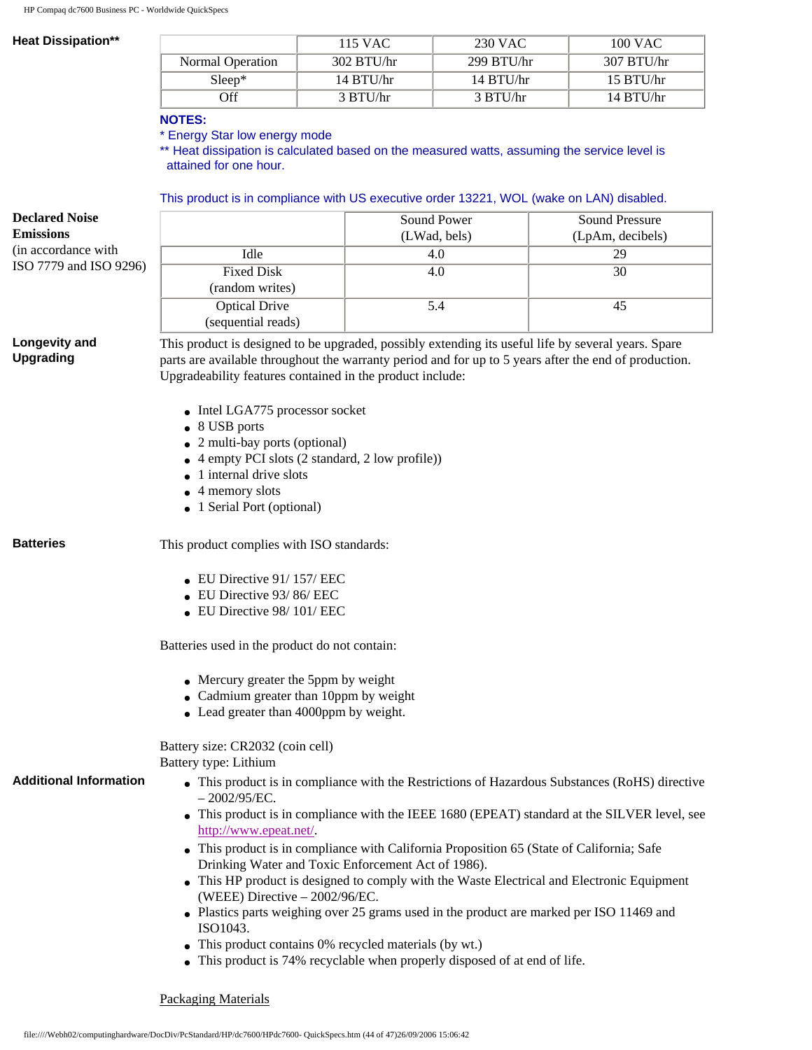#### **Heat Dissipation\*\***

|                  | 115 VAC      | 230 VAC      | 100 VAC      |
|------------------|--------------|--------------|--------------|
| Normal Operation | $302$ BTU/hr | $299$ BTU/hr | 307 B T U/hr |
| $Sleep*$         | 14 B T U/hr  | $14$ BTU/hr  | $15$ BTU/hr  |
| Off              | 3 BTU/hr     | 3 BTU/hr     | 14 B T U/hr  |

#### **NOTES:**

\* Energy Star low energy mode

\*\* Heat dissipation is calculated based on the measured watts, assuming the service level is attained for one hour.

### This product is in compliance with US executive order 13221, WOL (wake on LAN) disabled.

| <b>Declared Noise</b>         |                                                                                                                                                 | Sound Power                                                                                | <b>Sound Pressure</b> |  |  |
|-------------------------------|-------------------------------------------------------------------------------------------------------------------------------------------------|--------------------------------------------------------------------------------------------|-----------------------|--|--|
| <b>Emissions</b>              |                                                                                                                                                 | (LWad, bels)                                                                               | (LpAm, decibels)      |  |  |
| (in accordance with           | Idle                                                                                                                                            | 4.0                                                                                        | 29                    |  |  |
| ISO 7779 and ISO 9296)        | <b>Fixed Disk</b>                                                                                                                               | 4.0                                                                                        | 30                    |  |  |
|                               | (random writes)                                                                                                                                 |                                                                                            |                       |  |  |
|                               | <b>Optical Drive</b>                                                                                                                            | 5.4                                                                                        | 45                    |  |  |
|                               | (sequential reads)                                                                                                                              |                                                                                            |                       |  |  |
| Longevity and                 | This product is designed to be upgraded, possibly extending its useful life by several years. Spare                                             |                                                                                            |                       |  |  |
| <b>Upgrading</b>              | parts are available throughout the warranty period and for up to 5 years after the end of production.                                           |                                                                                            |                       |  |  |
|                               | Upgradeability features contained in the product include:                                                                                       |                                                                                            |                       |  |  |
|                               |                                                                                                                                                 |                                                                                            |                       |  |  |
|                               | • Intel LGA775 processor socket<br>• 8 USB ports                                                                                                |                                                                                            |                       |  |  |
|                               | • 2 multi-bay ports (optional)                                                                                                                  |                                                                                            |                       |  |  |
|                               | 4 empty PCI slots (2 standard, 2 low profile))                                                                                                  |                                                                                            |                       |  |  |
|                               | 1 internal drive slots                                                                                                                          |                                                                                            |                       |  |  |
|                               | 4 memory slots                                                                                                                                  |                                                                                            |                       |  |  |
|                               | • 1 Serial Port (optional)                                                                                                                      |                                                                                            |                       |  |  |
|                               |                                                                                                                                                 |                                                                                            |                       |  |  |
| <b>Batteries</b>              | This product complies with ISO standards:                                                                                                       |                                                                                            |                       |  |  |
|                               |                                                                                                                                                 |                                                                                            |                       |  |  |
|                               | $\bullet$ EU Directive 91/157/EEC                                                                                                               |                                                                                            |                       |  |  |
|                               | EU Directive 93/86/EEC                                                                                                                          |                                                                                            |                       |  |  |
|                               | • EU Directive 98/101/EEC                                                                                                                       |                                                                                            |                       |  |  |
|                               | Batteries used in the product do not contain:                                                                                                   |                                                                                            |                       |  |  |
|                               | • Mercury greater the 5ppm by weight                                                                                                            |                                                                                            |                       |  |  |
|                               | • Cadmium greater than 10ppm by weight                                                                                                          |                                                                                            |                       |  |  |
|                               | • Lead greater than 4000ppm by weight.                                                                                                          |                                                                                            |                       |  |  |
|                               |                                                                                                                                                 |                                                                                            |                       |  |  |
|                               | Battery size: CR2032 (coin cell)<br>Battery type: Lithium                                                                                       |                                                                                            |                       |  |  |
| <b>Additional Information</b> |                                                                                                                                                 |                                                                                            |                       |  |  |
|                               | • This product is in compliance with the Restrictions of Hazardous Substances (RoHS) directive<br>$-2002/95/EC.$                                |                                                                                            |                       |  |  |
|                               | • This product is in compliance with the IEEE 1680 (EPEAT) standard at the SILVER level, see                                                    |                                                                                            |                       |  |  |
|                               | http://www.epeat.net/.                                                                                                                          |                                                                                            |                       |  |  |
|                               | • This product is in compliance with California Proposition 65 (State of California; Safe<br>Drinking Water and Toxic Enforcement Act of 1986). |                                                                                            |                       |  |  |
|                               |                                                                                                                                                 | • This HP product is designed to comply with the Waste Electrical and Electronic Equipment |                       |  |  |
|                               | (WEEE) Directive - 2002/96/EC.                                                                                                                  |                                                                                            |                       |  |  |
|                               |                                                                                                                                                 | • Plastics parts weighing over 25 grams used in the product are marked per ISO 11469 and   |                       |  |  |
|                               | ISO1043.                                                                                                                                        |                                                                                            |                       |  |  |
|                               | • This product contains 0% recycled materials (by wt.)                                                                                          |                                                                                            |                       |  |  |
|                               |                                                                                                                                                 | • This product is 74% recyclable when properly disposed of at end of life.                 |                       |  |  |
|                               |                                                                                                                                                 |                                                                                            |                       |  |  |

#### Packaging Materials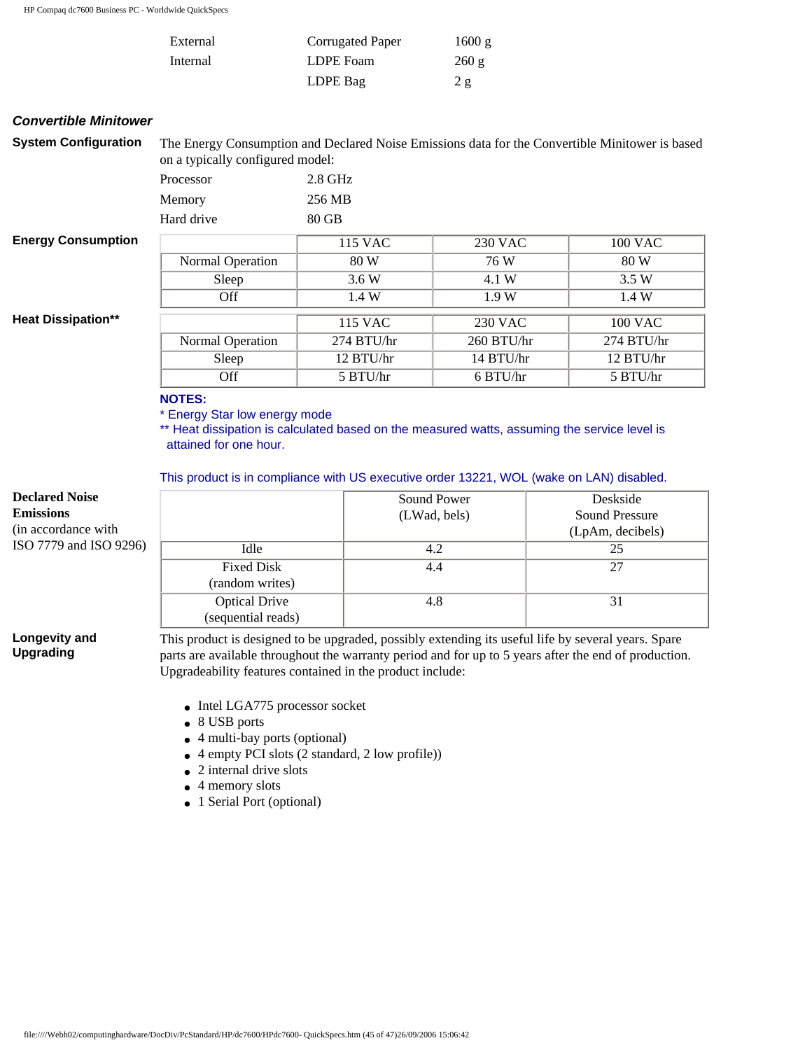| External | Corrugated Paper | 1600 g |
|----------|------------------|--------|
| Internal | LDPE Foam        | 260 g  |
|          | LDPE Bag         | 2g     |

#### *Convertible Minitower*

| <b>System Configuration</b> | The Energy Consumption and Declared Noise Emissions data for the Convertible Minitower is based<br>on a typically configured model: |              |            |              |
|-----------------------------|-------------------------------------------------------------------------------------------------------------------------------------|--------------|------------|--------------|
|                             | Processor                                                                                                                           | $2.8$ GHz    |            |              |
|                             | Memory                                                                                                                              | 256 MB       |            |              |
|                             | Hard drive                                                                                                                          | 80 GB        |            |              |
| <b>Energy Consumption</b>   |                                                                                                                                     | 115 VAC      | 230 VAC    | 100 VAC      |
|                             | Normal Operation                                                                                                                    | 80 W         | 76 W       | 80 W         |
|                             | Sleep                                                                                                                               | 3.6 W        | 4.1 W      | 3.5W         |
|                             | <b>Off</b>                                                                                                                          | 1.4 W        | 1.9W       | 1.4W         |
| <b>Heat Dissipation**</b>   |                                                                                                                                     | 115 VAC      | 230 VAC    | 100 VAC      |
|                             | Normal Operation                                                                                                                    | $274$ BTU/hr | 260 BTU/hr | $274$ BTU/hr |
|                             | Sleep                                                                                                                               | 12 BTU/hr    | 14 BTU/hr  | 12 BTU/hr    |
|                             | <b>Off</b>                                                                                                                          | 5 BTU/hr     | 6 BTU/hr   | 5 BTU/hr     |

#### **NOTES:**

\* Energy Star low energy mode

\*\* Heat dissipation is calculated based on the measured watts, assuming the service level is attained for one hour.

This product is in compliance with US executive order 13221, WOL (wake on LAN) disabled.

| <b>Declared Noise</b><br><b>Emissions</b><br>(in accordance with) |                      | Sound Power<br>(LWad, bels) | Deskside<br>Sound Pressure<br>(LpAm, decibels) |
|-------------------------------------------------------------------|----------------------|-----------------------------|------------------------------------------------|
| ISO 7779 and ISO 9296)                                            | Idle                 | 4.2                         | 25                                             |
|                                                                   | <b>Fixed Disk</b>    | 4.4                         | 27                                             |
|                                                                   | (random writes)      |                             |                                                |
|                                                                   | <b>Optical Drive</b> | 4.8                         | 31                                             |
|                                                                   | (sequential reads)   |                             |                                                |

**Longevity and Upgrading**

This product is designed to be upgraded, possibly extending its useful life by several years. Spare parts are available throughout the warranty period and for up to 5 years after the end of production. Upgradeability features contained in the product include:

- Intel LGA775 processor socket
- 8 USB ports
- $\bullet$  4 multi-bay ports (optional)
- $\bullet$  4 empty PCI slots (2 standard, 2 low profile))
- $\bullet$  2 internal drive slots
- 4 memory slots
- 1 Serial Port (optional)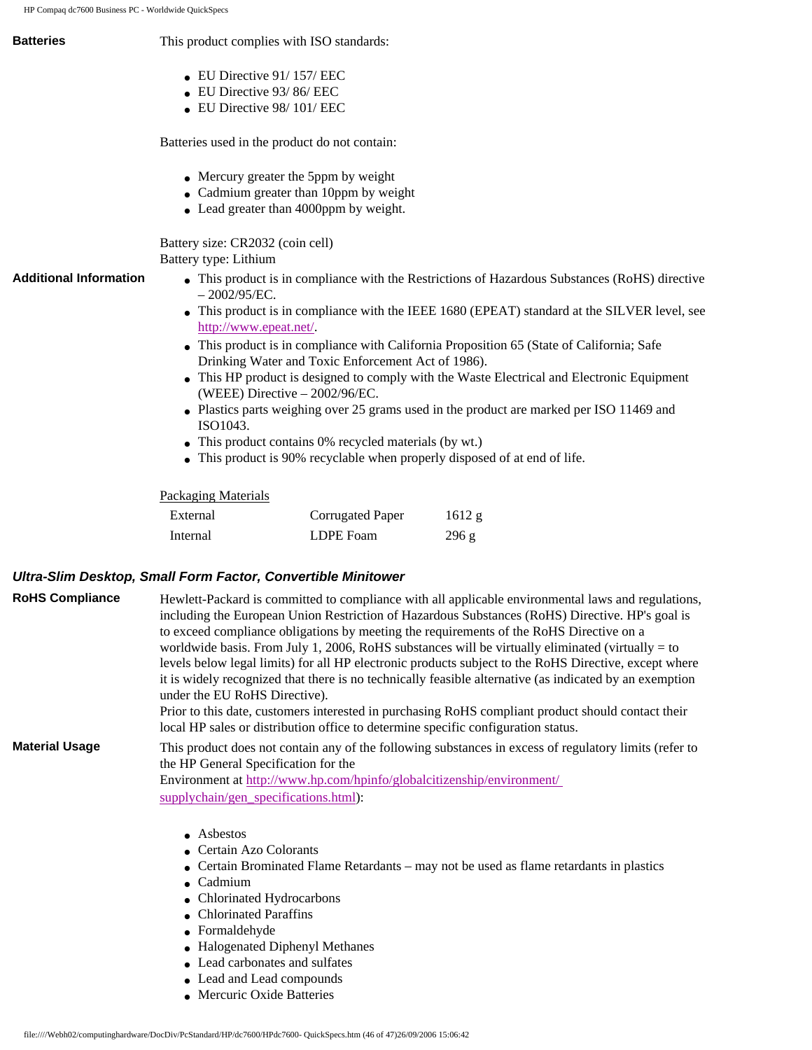| HP Compaq dc7600 Business PC - Worldwide QuickSpecs |                                                                                                                                                                                                                                                                                                |                                                                                                                                                                                |                                                                                                                                                                                                                                                                                                                                                                                           |
|-----------------------------------------------------|------------------------------------------------------------------------------------------------------------------------------------------------------------------------------------------------------------------------------------------------------------------------------------------------|--------------------------------------------------------------------------------------------------------------------------------------------------------------------------------|-------------------------------------------------------------------------------------------------------------------------------------------------------------------------------------------------------------------------------------------------------------------------------------------------------------------------------------------------------------------------------------------|
| <b>Batteries</b>                                    | This product complies with ISO standards:                                                                                                                                                                                                                                                      |                                                                                                                                                                                |                                                                                                                                                                                                                                                                                                                                                                                           |
| <b>Additional Information</b>                       | $\bullet$ EU Directive 91/157/EEC<br>EU Directive 93/86/EEC<br>$\bullet$ EU Directive 98/101/EEC<br>Batteries used in the product do not contain:<br>Battery size: CR2032 (coin cell)<br>Battery type: Lithium<br>$-2002/95/EC.$<br>http://www.epeat.net/.<br>(WEEE) Directive $-2002/96/EC$ . | • Mercury greater the 5ppm by weight<br>• Cadmium greater than 10ppm by weight<br>• Lead greater than 4000ppm by weight.<br>Drinking Water and Toxic Enforcement Act of 1986). | • This product is in compliance with the Restrictions of Hazardous Substances (RoHS) directive<br>• This product is in compliance with the IEEE 1680 (EPEAT) standard at the SILVER level, see<br>• This product is in compliance with California Proposition 65 (State of California; Safe<br>• This HP product is designed to comply with the Waste Electrical and Electronic Equipment |
|                                                     | • Plastics parts weighing over 25 grams used in the product are marked per ISO 11469 and<br>ISO1043.<br>• This product contains 0% recycled materials (by wt.)                                                                                                                                 |                                                                                                                                                                                |                                                                                                                                                                                                                                                                                                                                                                                           |
|                                                     |                                                                                                                                                                                                                                                                                                |                                                                                                                                                                                | • This product is 90% recyclable when properly disposed of at end of life.                                                                                                                                                                                                                                                                                                                |
|                                                     | <b>Packaging Materials</b>                                                                                                                                                                                                                                                                     |                                                                                                                                                                                |                                                                                                                                                                                                                                                                                                                                                                                           |
|                                                     | External                                                                                                                                                                                                                                                                                       | Corrugated Paper                                                                                                                                                               | 1612 g                                                                                                                                                                                                                                                                                                                                                                                    |

### *Ultra-Slim Desktop, Small Form Factor, Convertible Minitower*

| <b>RoHS Compliance</b> | Hewlett-Packard is committed to compliance with all applicable environmental laws and regulations,<br>including the European Union Restriction of Hazardous Substances (RoHS) Directive. HP's goal is<br>to exceed compliance obligations by meeting the requirements of the RoHS Directive on a<br>worldwide basis. From July 1, 2006, RoHS substances will be virtually eliminated (virtually = to<br>levels below legal limits) for all HP electronic products subject to the RoHS Directive, except where<br>it is widely recognized that there is no technically feasible alternative (as indicated by an exemption<br>under the EU RoHS Directive).<br>Prior to this date, customers interested in purchasing RoHS compliant product should contact their<br>local HP sales or distribution office to determine specific configuration status. |
|------------------------|------------------------------------------------------------------------------------------------------------------------------------------------------------------------------------------------------------------------------------------------------------------------------------------------------------------------------------------------------------------------------------------------------------------------------------------------------------------------------------------------------------------------------------------------------------------------------------------------------------------------------------------------------------------------------------------------------------------------------------------------------------------------------------------------------------------------------------------------------|
| <b>Material Usage</b>  | This product does not contain any of the following substances in excess of regulatory limits (refer to<br>the HP General Specification for the<br>Environment at http://www.hp.com/hpinfo/globalcitizenship/environment/<br>supplychain/gen specifications.html):                                                                                                                                                                                                                                                                                                                                                                                                                                                                                                                                                                                    |

Internal LDPE Foam 296 g

- Asbestos
- Certain Azo Colorants
- Certain Brominated Flame Retardants may not be used as flame retardants in plastics
- Cadmium
- Chlorinated Hydrocarbons
- Chlorinated Paraffins
- Formaldehyde
- Halogenated Diphenyl Methanes
- Lead carbonates and sulfates
- Lead and Lead compounds
- Mercuric Oxide Batteries